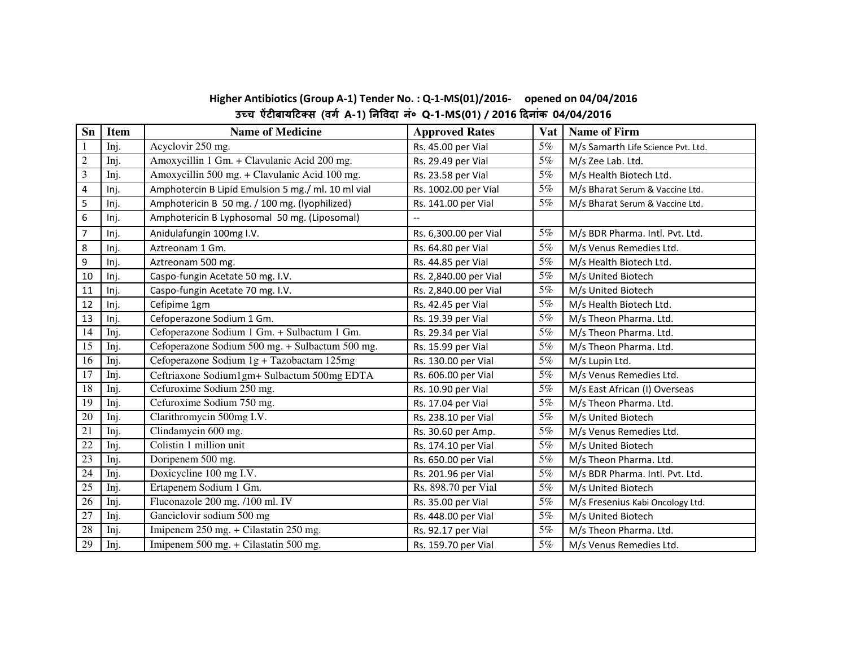| Higher Antibiotics (Group A-1) Tender No.: Q-1-MS(01)/2016- opened on 04/04/2016 |  |
|----------------------------------------------------------------------------------|--|
| उच्च ऐंटीबायटिक्स (वर्ग A-1) निविदा नं॰ Q-1-MS(01) / 2016 दिनांक 04/04/2016      |  |

| Sn                      | <b>Item</b> | <b>Name of Medicine</b>                           | <b>Approved Rates</b>    | <b>Vat</b> | <b>Name of Firm</b>                |
|-------------------------|-------------|---------------------------------------------------|--------------------------|------------|------------------------------------|
|                         | Inj.        | Acyclovir 250 mg.                                 | Rs. 45.00 per Vial       | 5%         | M/s Samarth Life Science Pvt. Ltd. |
| $\sqrt{2}$              | Inj.        | Amoxycillin 1 Gm. + Clavulanic Acid 200 mg.       | Rs. 29.49 per Vial       | 5%         | M/s Zee Lab. Ltd.                  |
| 3                       | Inj.        | Amoxycillin 500 mg. + Clavulanic Acid 100 mg.     | Rs. 23.58 per Vial       | 5%         | M/s Health Biotech Ltd.            |
| $\overline{\mathbf{4}}$ | Inj.        | Amphotercin B Lipid Emulsion 5 mg./ml. 10 ml vial | Rs. 1002.00 per Vial     | 5%         | M/s Bharat Serum & Vaccine Ltd.    |
| 5                       | Inj.        | Amphotericin B 50 mg. / 100 mg. (lyophilized)     | Rs. 141.00 per Vial      | 5%         | M/s Bharat Serum & Vaccine Ltd.    |
| 6                       | Inj.        | Amphotericin B Lyphosomal 50 mg. (Liposomal)      | $\overline{\phantom{a}}$ |            |                                    |
| $\overline{7}$          | Inj.        | Anidulafungin 100mg I.V.                          | Rs. 6,300.00 per Vial    | 5%         | M/s BDR Pharma. Intl. Pvt. Ltd.    |
| 8                       | Inj.        | Aztreonam 1 Gm.                                   | Rs. 64.80 per Vial       | 5%         | M/s Venus Remedies Ltd.            |
| 9                       | Inj.        | Aztreonam 500 mg.                                 | Rs. 44.85 per Vial       | 5%         | M/s Health Biotech Ltd.            |
| 10                      | Inj.        | Caspo-fungin Acetate 50 mg. I.V.                  | Rs. 2,840.00 per Vial    | 5%         | M/s United Biotech                 |
| 11                      | Inj.        | Caspo-fungin Acetate 70 mg. I.V.                  | Rs. 2,840.00 per Vial    | 5%         | M/s United Biotech                 |
| 12                      | Inj.        | Cefipime 1gm                                      | Rs. 42.45 per Vial       | 5%         | M/s Health Biotech Ltd.            |
| 13                      | Inj.        | Cefoperazone Sodium 1 Gm.                         | Rs. 19.39 per Vial       | 5%         | M/s Theon Pharma. Ltd.             |
| 14                      | Inj.        | Cefoperazone Sodium 1 Gm. + Sulbactum 1 Gm.       | Rs. 29.34 per Vial       | 5%         | M/s Theon Pharma. Ltd.             |
| 15                      | Inj.        | Cefoperazone Sodium 500 mg. + Sulbactum 500 mg.   | Rs. 15.99 per Vial       | 5%         | M/s Theon Pharma. Ltd.             |
| 16                      | Inj.        | Cefoperazone Sodium 1g + Tazobactam 125mg         | Rs. 130.00 per Vial      | 5%         | M/s Lupin Ltd.                     |
| 17                      | Inj.        | Ceftriaxone Sodium1gm+ Sulbactum 500mg EDTA       | Rs. 606.00 per Vial      | 5%         | M/s Venus Remedies Ltd.            |
| 18                      | Inj.        | Cefuroxime Sodium 250 mg.                         | Rs. 10.90 per Vial       | 5%         | M/s East African (I) Overseas      |
| 19                      | Inj.        | Cefuroxime Sodium 750 mg.                         | Rs. 17.04 per Vial       | 5%         | M/s Theon Pharma. Ltd.             |
| 20                      | Inj.        | Clarithromycin 500mg I.V.                         | Rs. 238.10 per Vial      | 5%         | M/s United Biotech                 |
| 21                      | Inj.        | Clindamycin 600 mg.                               | Rs. 30.60 per Amp.       | 5%         | M/s Venus Remedies Ltd.            |
| 22                      | Inj.        | Colistin 1 million unit                           | Rs. 174.10 per Vial      | 5%         | M/s United Biotech                 |
| 23                      | Inj.        | Doripenem 500 mg.                                 | Rs. 650.00 per Vial      | 5%         | M/s Theon Pharma. Ltd.             |
| 24                      | Inj.        | Doxicycline 100 mg I.V.                           | Rs. 201.96 per Vial      | 5%         | M/s BDR Pharma. Intl. Pvt. Ltd.    |
| 25                      | Inj.        | Ertapenem Sodium 1 Gm.                            | Rs. 898.70 per Vial      | 5%         | M/s United Biotech                 |
| 26                      | Inj.        | Fluconazole 200 mg. /100 ml. IV                   | Rs. 35.00 per Vial       | 5%         | M/s Fresenius Kabi Oncology Ltd.   |
| 27                      | Inj.        | Ganciclovir sodium 500 mg                         | Rs. 448.00 per Vial      | 5%         | M/s United Biotech                 |
| 28                      | Inj.        | Imipenem 250 mg. + Cilastatin 250 mg.             | Rs. 92.17 per Vial       | 5%         | M/s Theon Pharma. Ltd.             |
| 29                      | Inj.        | Imipenem 500 mg. + Cilastatin 500 mg.             | Rs. 159.70 per Vial      | 5%         | M/s Venus Remedies Ltd.            |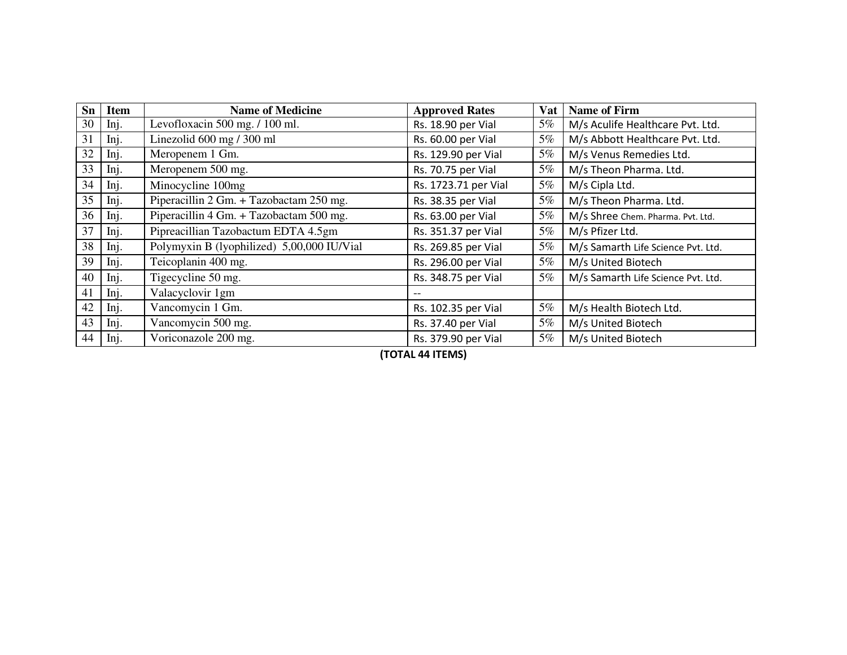| Sn | <b>Item</b> | <b>Name of Medicine</b>                    | <b>Approved Rates</b> | <b>Vat</b> | <b>Name of Firm</b>                |
|----|-------------|--------------------------------------------|-----------------------|------------|------------------------------------|
| 30 | Inj.        | Levofloxacin 500 mg. / 100 ml.             | Rs. 18.90 per Vial    | $5\%$      | M/s Aculife Healthcare Pvt. Ltd.   |
| 31 | Inj.        | Linezolid 600 mg / 300 ml                  | Rs. 60.00 per Vial    | 5%         | M/s Abbott Healthcare Pvt. Ltd.    |
| 32 | Inj.        | Meropenem 1 Gm.                            | Rs. 129.90 per Vial   | 5%         | M/s Venus Remedies Ltd.            |
| 33 | Inj.        | Meropenem 500 mg.                          | Rs. 70.75 per Vial    | 5%         | M/s Theon Pharma. Ltd.             |
| 34 | Inj.        | Minocycline 100mg                          | Rs. 1723.71 per Vial  | $5\%$      | M/s Cipla Ltd.                     |
| 35 | Inj.        | Piperacillin 2 Gm. + Tazobactam 250 mg.    | Rs. 38.35 per Vial    | $5\%$      | M/s Theon Pharma. Ltd.             |
| 36 | Inj.        | Piperacillin 4 Gm. + Tazobactam 500 mg.    | Rs. 63.00 per Vial    | 5%         | M/s Shree Chem. Pharma. Pvt. Ltd.  |
| 37 | Inj.        | Pipreacillian Tazobactum EDTA 4.5gm        | Rs. 351.37 per Vial   | 5%         | M/s Pfizer Ltd.                    |
| 38 | Inj.        | Polymyxin B (lyophilized) 5,00,000 IU/Vial | Rs. 269.85 per Vial   | 5%         | M/s Samarth Life Science Pvt. Ltd. |
| 39 | Inj.        | Teicoplanin 400 mg.                        | Rs. 296.00 per Vial   | $5\%$      | M/s United Biotech                 |
| 40 | Inj.        | Tigecycline 50 mg.                         | Rs. 348.75 per Vial   | $5\%$      | M/s Samarth Life Science Pvt. Ltd. |
| 41 | Inj.        | Valacyclovir 1gm                           |                       |            |                                    |
| 42 | Inj.        | Vancomycin 1 Gm.                           | Rs. 102.35 per Vial   | 5%         | M/s Health Biotech Ltd.            |
| 43 | Inj.        | Vancomycin 500 mg.                         | Rs. 37.40 per Vial    | $5\%$      | M/s United Biotech                 |
| 44 | Inj.        | Voriconazole 200 mg.                       | Rs. 379.90 per Vial   | 5%         | M/s United Biotech                 |

**(TOTAL 44 ITEMS)**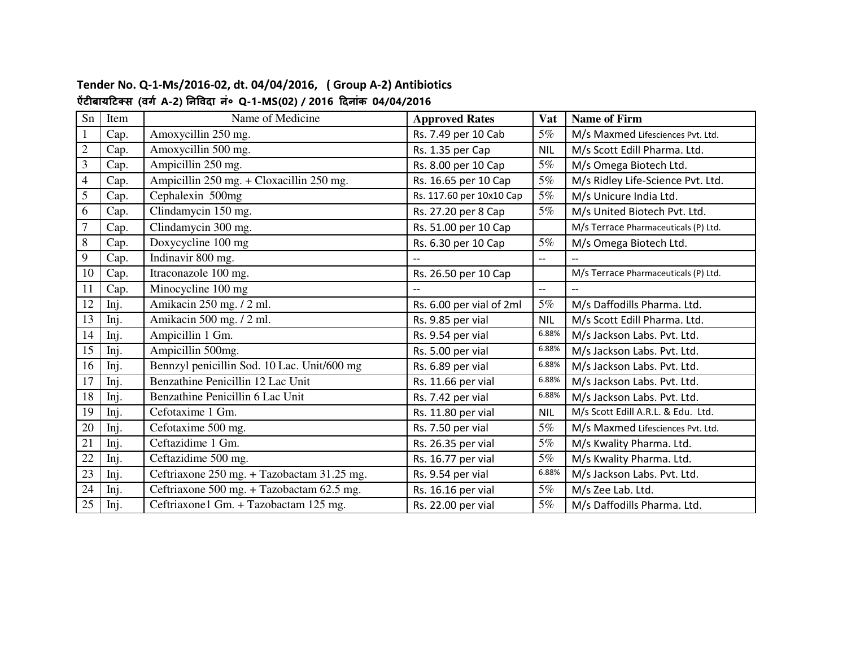| Sn             | Item | Name of Medicine                            | <b>Approved Rates</b>    | <b>Vat</b> | <b>Name of Firm</b>                  |
|----------------|------|---------------------------------------------|--------------------------|------------|--------------------------------------|
| $\mathbf{1}$   | Cap. | Amoxycillin 250 mg.                         | Rs. 7.49 per 10 Cab      | 5%         | M/s Maxmed Lifesciences Pvt. Ltd.    |
| $\sqrt{2}$     | Cap. | Amoxycillin 500 mg.                         | Rs. 1.35 per Cap         | <b>NIL</b> | M/s Scott Edill Pharma. Ltd.         |
| $\mathfrak{Z}$ | Cap. | Ampicillin 250 mg.                          | Rs. 8.00 per 10 Cap      | $5\%$      | M/s Omega Biotech Ltd.               |
| $\overline{4}$ | Cap. | Ampicillin 250 mg. + Cloxacillin 250 mg.    | Rs. 16.65 per 10 Cap     | 5%         | M/s Ridley Life-Science Pvt. Ltd.    |
| 5              | Cap. | Cephalexin 500mg                            | Rs. 117.60 per 10x10 Cap | 5%         | M/s Unicure India Ltd.               |
| 6              | Cap. | Clindamycin 150 mg.                         | Rs. 27.20 per 8 Cap      | 5%         | M/s United Biotech Pvt. Ltd.         |
| $\overline{7}$ | Cap. | Clindamycin 300 mg.                         | Rs. 51.00 per 10 Cap     |            | M/s Terrace Pharmaceuticals (P) Ltd. |
| $\,8\,$        | Cap. | Doxycycline 100 mg                          | Rs. 6.30 per 10 Cap      | 5%         | M/s Omega Biotech Ltd.               |
| 9              | Cap. | Indinavir 800 mg.                           |                          | $- -$      |                                      |
| 10             | Cap. | Itraconazole 100 mg.                        | Rs. 26.50 per 10 Cap     |            | M/s Terrace Pharmaceuticals (P) Ltd. |
| 11             | Cap. | Minocycline 100 mg                          |                          | $-$        |                                      |
| 12             | Inj. | Amikacin 250 mg. / 2 ml.                    | Rs. 6.00 per vial of 2ml | 5%         | M/s Daffodills Pharma. Ltd.          |
| 13             | Inj. | Amikacin 500 mg. / 2 ml.                    | Rs. 9.85 per vial        | <b>NIL</b> | M/s Scott Edill Pharma. Ltd.         |
| 14             | Inj. | Ampicillin 1 Gm.                            | Rs. 9.54 per vial        | 6.88%      | M/s Jackson Labs. Pvt. Ltd.          |
| 15             | Inj. | Ampicillin 500mg.                           | Rs. 5.00 per vial        | 6.88%      | M/s Jackson Labs. Pvt. Ltd.          |
| 16             | Inj. | Bennzyl penicillin Sod. 10 Lac. Unit/600 mg | Rs. 6.89 per vial        | 6.88%      | M/s Jackson Labs. Pvt. Ltd.          |
| 17             | Inj. | Benzathine Penicillin 12 Lac Unit           | Rs. 11.66 per vial       | 6.88%      | M/s Jackson Labs. Pvt. Ltd.          |
| 18             | Inj. | Benzathine Penicillin 6 Lac Unit            | Rs. 7.42 per vial        | 6.88%      | M/s Jackson Labs. Pvt. Ltd.          |
| 19             | Inj. | Cefotaxime 1 Gm.                            | Rs. 11.80 per vial       | <b>NIL</b> | M/s Scott Edill A.R.L. & Edu. Ltd.   |
| 20             | Inj. | Cefotaxime 500 mg.                          | Rs. 7.50 per vial        | 5%         | M/s Maxmed Lifesciences Pvt. Ltd.    |
| 21             | Inj. | Ceftazidime 1 Gm.                           | Rs. 26.35 per vial       | 5%         | M/s Kwality Pharma. Ltd.             |
| 22             | Inj. | Ceftazidime 500 mg.                         | Rs. 16.77 per vial       | 5%         | M/s Kwality Pharma. Ltd.             |
| 23             | Inj. | Ceftriaxone 250 mg. + Tazobactam 31.25 mg.  | Rs. 9.54 per vial        | 6.88%      | M/s Jackson Labs. Pvt. Ltd.          |
| 24             | Inj. | Ceftriaxone 500 mg. + Tazobactam 62.5 mg.   | Rs. 16.16 per vial       | 5%         | M/s Zee Lab. Ltd.                    |
| 25             | Inj. | Ceftriaxone1 Gm. + Tazobactam 125 mg.       | Rs. 22.00 per vial       | 5%         | M/s Daffodills Pharma. Ltd.          |

#### **Tender No. Q-1-Ms/2016-02, dt. 04/04/2016, ( Group A-2) Antibiotics ऐंटबायट
स (वग A-2) नवदा नं० Q-1-MS(02) / 2016 दनांक 04/04/2016**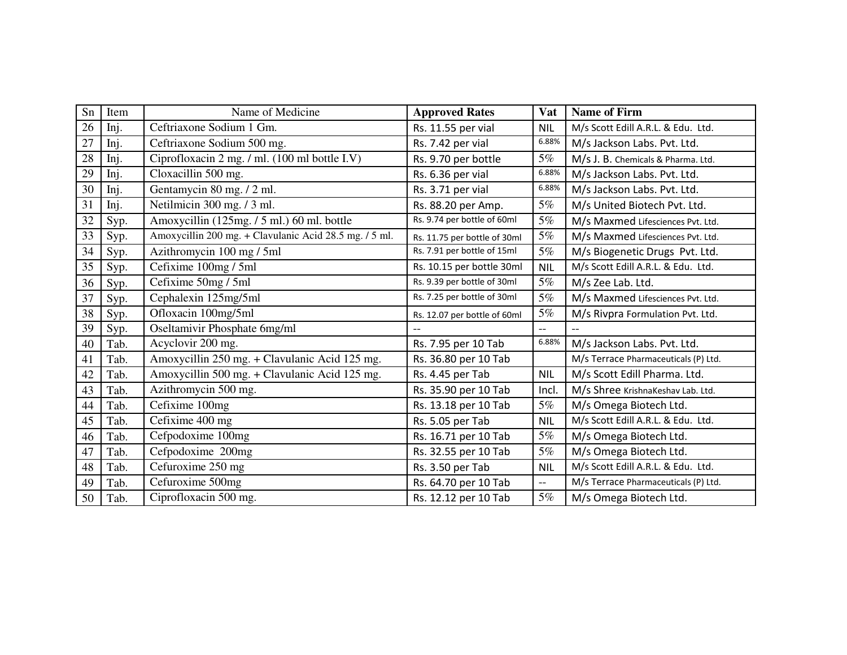| Sn | Item | Name of Medicine                                       | <b>Approved Rates</b>        | Vat        | <b>Name of Firm</b>                  |
|----|------|--------------------------------------------------------|------------------------------|------------|--------------------------------------|
| 26 | Inj. | Ceftriaxone Sodium 1 Gm.                               | Rs. 11.55 per vial           | <b>NIL</b> | M/s Scott Edill A.R.L. & Edu. Ltd.   |
| 27 | Inj. | Ceftriaxone Sodium 500 mg.                             | Rs. 7.42 per vial            | 6.88%      | M/s Jackson Labs. Pvt. Ltd.          |
| 28 | Inj. | Ciprofloxacin 2 mg. / ml. (100 ml bottle I.V)          | Rs. 9.70 per bottle          | 5%         | M/s J. B. Chemicals & Pharma. Ltd.   |
| 29 | Inj. | Cloxacillin 500 mg.                                    | Rs. 6.36 per vial            | 6.88%      | M/s Jackson Labs. Pvt. Ltd.          |
| 30 | Inj. | Gentamycin 80 mg. / 2 ml.                              | Rs. 3.71 per vial            | 6.88%      | M/s Jackson Labs. Pvt. Ltd.          |
| 31 | Inj. | Netilmicin 300 mg. / 3 ml.                             | Rs. 88.20 per Amp.           | 5%         | M/s United Biotech Pvt. Ltd.         |
| 32 | Syp. | Amoxycillin (125mg. / 5 ml.) 60 ml. bottle             | Rs. 9.74 per bottle of 60ml  | 5%         | M/s Maxmed Lifesciences Pvt. Ltd.    |
| 33 | Syp. | Amoxycillin 200 mg. + Clavulanic Acid 28.5 mg. / 5 ml. | Rs. 11.75 per bottle of 30ml | 5%         | M/s Maxmed Lifesciences Pvt. Ltd.    |
| 34 | Syp. | Azithromycin 100 mg / 5ml                              | Rs. 7.91 per bottle of 15ml  | 5%         | M/s Biogenetic Drugs Pvt. Ltd.       |
| 35 | Syp. | Cefixime 100mg / 5ml                                   | Rs. 10.15 per bottle 30ml    | <b>NIL</b> | M/s Scott Edill A.R.L. & Edu. Ltd.   |
| 36 | Syp. | Cefixime 50mg / 5ml                                    | Rs. 9.39 per bottle of 30ml  | 5%         | M/s Zee Lab. Ltd.                    |
| 37 | Syp. | Cephalexin 125mg/5ml                                   | Rs. 7.25 per bottle of 30ml  | 5%         | M/s Maxmed Lifesciences Pvt. Ltd.    |
| 38 | Syp. | Ofloxacin 100mg/5ml                                    | Rs. 12.07 per bottle of 60ml | $5\%$      | M/s Rivpra Formulation Pvt. Ltd.     |
| 39 | Syp. | Oseltamivir Phosphate 6mg/ml                           |                              | $-$        |                                      |
| 40 | Tab. | Acyclovir 200 mg.                                      | Rs. 7.95 per 10 Tab          | 6.88%      | M/s Jackson Labs. Pvt. Ltd.          |
| 41 | Tab. | Amoxycillin 250 mg. + Clavulanic Acid 125 mg.          | Rs. 36.80 per 10 Tab         |            | M/s Terrace Pharmaceuticals (P) Ltd. |
| 42 | Tab. | Amoxycillin 500 mg. + Clavulanic Acid 125 mg.          | Rs. 4.45 per Tab             | <b>NIL</b> | M/s Scott Edill Pharma. Ltd.         |
| 43 | Tab. | Azithromycin 500 mg.                                   | Rs. 35.90 per 10 Tab         | Incl.      | M/s Shree KrishnaKeshav Lab. Ltd.    |
| 44 | Tab. | Cefixime 100mg                                         | Rs. 13.18 per 10 Tab         | 5%         | M/s Omega Biotech Ltd.               |
| 45 | Tab. | Cefixime 400 mg                                        | Rs. 5.05 per Tab             | <b>NIL</b> | M/s Scott Edill A.R.L. & Edu. Ltd.   |
| 46 | Tab. | Cefpodoxime 100mg                                      | Rs. 16.71 per 10 Tab         | 5%         | M/s Omega Biotech Ltd.               |
| 47 | Tab. | Cefpodoxime 200mg                                      | Rs. 32.55 per 10 Tab         | 5%         | M/s Omega Biotech Ltd.               |
| 48 | Tab. | Cefuroxime 250 mg                                      | Rs. 3.50 per Tab             | <b>NIL</b> | M/s Scott Edill A.R.L. & Edu. Ltd.   |
| 49 | Tab. | Cefuroxime 500mg                                       | Rs. 64.70 per 10 Tab         | $-$        | M/s Terrace Pharmaceuticals (P) Ltd. |
| 50 | Tab. | Ciprofloxacin 500 mg.                                  | Rs. 12.12 per 10 Tab         | 5%         | M/s Omega Biotech Ltd.               |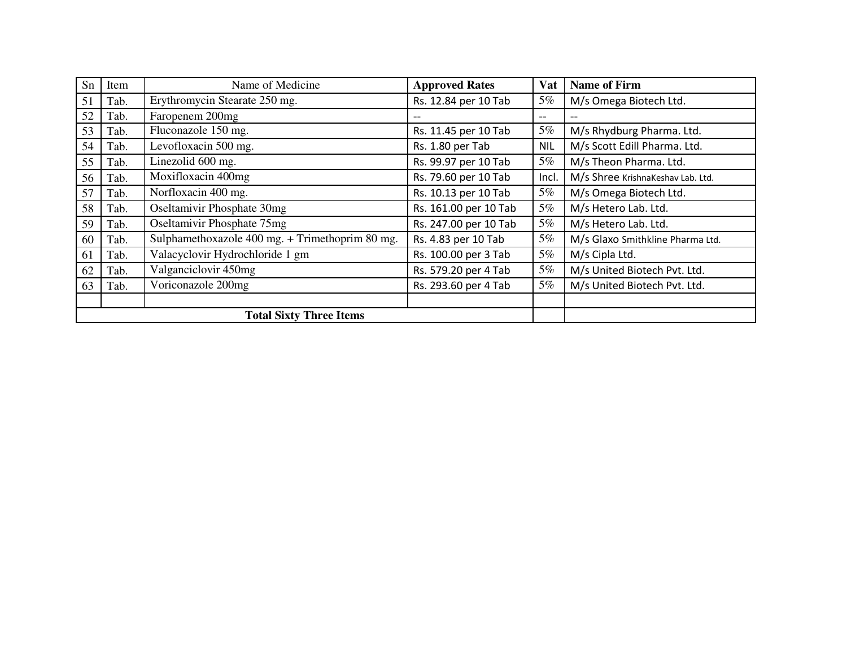| Sn | Item | Name of Medicine                                | <b>Approved Rates</b> | <b>Vat</b> | <b>Name of Firm</b>               |
|----|------|-------------------------------------------------|-----------------------|------------|-----------------------------------|
| 51 | Tab. | Erythromycin Stearate 250 mg.                   | Rs. 12.84 per 10 Tab  | 5%         | M/s Omega Biotech Ltd.            |
| 52 | Tab. | Faropenem 200mg                                 | --                    | --         |                                   |
| 53 | Tab. | Fluconazole 150 mg.                             | Rs. 11.45 per 10 Tab  | 5%         | M/s Rhydburg Pharma. Ltd.         |
| 54 | Tab. | Levofloxacin 500 mg.                            | Rs. 1.80 per Tab      | <b>NIL</b> | M/s Scott Edill Pharma. Ltd.      |
| 55 | Tab. | Linezolid 600 mg.                               | Rs. 99.97 per 10 Tab  | 5%         | M/s Theon Pharma. Ltd.            |
| 56 | Tab. | Moxifloxacin 400mg                              | Rs. 79.60 per 10 Tab  | Incl.      | M/s Shree KrishnaKeshav Lab. Ltd. |
| 57 | Tab. | Norfloxacin 400 mg.                             | Rs. 10.13 per 10 Tab  | 5%         | M/s Omega Biotech Ltd.            |
| 58 | Tab. | Oseltamivir Phosphate 30mg                      | Rs. 161.00 per 10 Tab | 5%         | M/s Hetero Lab. Ltd.              |
| 59 | Tab. | Oseltamivir Phosphate 75mg                      | Rs. 247.00 per 10 Tab | 5%         | M/s Hetero Lab. Ltd.              |
| 60 | Tab. | Sulphamethoxazole 400 mg. + Trimethoprim 80 mg. | Rs. 4.83 per 10 Tab   | 5%         | M/s Glaxo Smithkline Pharma Ltd.  |
| 61 | Tab. | Valacyclovir Hydrochloride 1 gm                 | Rs. 100.00 per 3 Tab  | 5%         | M/s Cipla Ltd.                    |
| 62 | Tab. | Valganciclovir 450mg                            | Rs. 579.20 per 4 Tab  | 5%         | M/s United Biotech Pvt. Ltd.      |
| 63 | Tab. | Voriconazole 200mg                              | Rs. 293.60 per 4 Tab  | 5%         | M/s United Biotech Pvt. Ltd.      |
|    |      |                                                 |                       |            |                                   |
|    |      | <b>Total Sixty Three Items</b>                  |                       |            |                                   |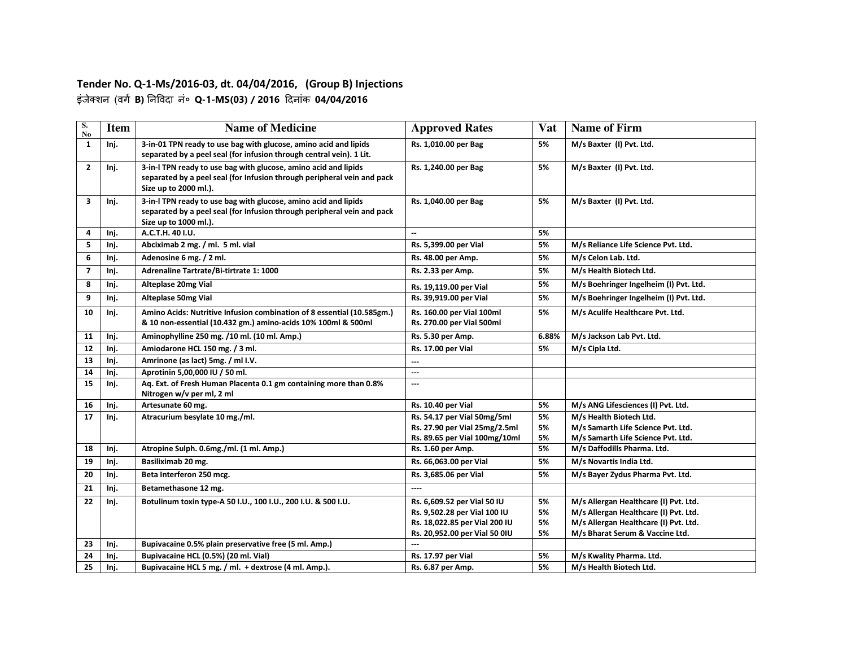#### **Tender No. Q-1-Ms/2016-03, dt. 04/04/2016, (Group B) Injections**  इंजेशन (वग **B)** नवदा नं० **Q-1-MS(03) / 2016** दनांक **04/04/2016**

| S.<br>N <sub>o</sub> | <b>Item</b> | <b>Name of Medicine</b>                                                                                                                                             | <b>Approved Rates</b>                                          | <b>Vat</b> | <b>Name of Firm</b>                                                      |
|----------------------|-------------|---------------------------------------------------------------------------------------------------------------------------------------------------------------------|----------------------------------------------------------------|------------|--------------------------------------------------------------------------|
| $\mathbf{1}$         | Inj.        | 3-in-01 TPN ready to use bag with glucose, amino acid and lipids<br>separated by a peel seal (for infusion through central vein). 1 Lit.                            | Rs. 1,010.00 per Bag                                           | 5%         | M/s Baxter (I) Pvt. Ltd.                                                 |
| $\overline{2}$       | Inj.        | 3-in-I TPN ready to use bag with glucose, amino acid and lipids<br>separated by a peel seal (for Infusion through peripheral vein and pack<br>Size up to 2000 ml.). | Rs. 1,240.00 per Bag                                           | 5%         | M/s Baxter (I) Pvt. Ltd.                                                 |
| 3                    | Inj.        | 3-in-I TPN ready to use bag with glucose, amino acid and lipids<br>separated by a peel seal (for Infusion through peripheral vein and pack<br>Size up to 1000 ml.). | Rs. 1,040.00 per Bag                                           | 5%         | M/s Baxter (I) Pvt. Ltd.                                                 |
| 4                    | Inj.        | A.C.T.H. 40 I.U.                                                                                                                                                    | $\overline{\phantom{a}}$                                       | 5%         |                                                                          |
| 5                    | Inj.        | Abciximab 2 mg. / ml. 5 ml. vial                                                                                                                                    | Rs. 5,399.00 per Vial                                          | 5%         | M/s Reliance Life Science Pvt. Ltd.                                      |
| 6                    | Inj.        | Adenosine 6 mg. / 2 ml.                                                                                                                                             | Rs. 48.00 per Amp.                                             | 5%         | M/s Celon Lab. Ltd.                                                      |
| $\overline{7}$       | Inj.        | Adrenaline Tartrate/Bi-tirtrate 1: 1000                                                                                                                             | Rs. 2.33 per Amp.                                              | 5%         | M/s Health Biotech Ltd.                                                  |
| 8                    | Inj.        | Alteplase 20mg Vial                                                                                                                                                 | Rs. 19,119.00 per Vial                                         | 5%         | M/s Boehringer Ingelheim (I) Pvt. Ltd.                                   |
| 9                    | Inj.        | <b>Alteplase 50mg Vial</b>                                                                                                                                          | Rs. 39,919.00 per Vial                                         | 5%         | M/s Boehringer Ingelheim (I) Pvt. Ltd.                                   |
| 10                   | Inj.        | Amino Acids: Nutritive Infusion combination of 8 essential (10.585gm.)<br>& 10 non-essential (10.432 gm.) amino-acids 10% 100ml & 500ml                             | Rs. 160.00 per Vial 100ml<br>Rs. 270.00 per Vial 500ml         | 5%         | M/s Aculife Healthcare Pvt. Ltd.                                         |
| 11                   | Inj.        | Aminophylline 250 mg. /10 ml. (10 ml. Amp.)                                                                                                                         | Rs. 5.30 per Amp.                                              | 6.88%      | M/s Jackson Lab Pvt. Ltd.                                                |
| 12                   | Inj.        | Amiodarone HCL 150 mg. / 3 ml.                                                                                                                                      | Rs. 17.00 per Vial                                             | 5%         | M/s Cipla Ltd.                                                           |
| 13                   | Inj.        | Amrinone (as lact) 5mg. / ml I.V.                                                                                                                                   | ---                                                            |            |                                                                          |
| 14                   | Inj.        | Aprotinin 5,00,000 IU / 50 ml.                                                                                                                                      | ---                                                            |            |                                                                          |
| 15                   | Inj.        | Aq. Ext. of Fresh Human Placenta 0.1 gm containing more than 0.8%<br>Nitrogen w/v per ml, 2 ml                                                                      | ---                                                            |            |                                                                          |
| 16                   | Inj.        | Artesunate 60 mg.                                                                                                                                                   | <b>Rs. 10.40 per Vial</b>                                      | 5%         | M/s ANG Lifesciences (I) Pvt. Ltd.                                       |
| 17                   | Inj.        | Atracurium besylate 10 mg./ml.                                                                                                                                      | Rs. 54.17 per Vial 50mg/5ml                                    | 5%         | M/s Health Biotech Ltd.                                                  |
|                      |             |                                                                                                                                                                     | Rs. 27.90 per Vial 25mg/2.5ml                                  | 5%         | M/s Samarth Life Science Pvt. Ltd.                                       |
| 18                   |             | Atropine Sulph. 0.6mg./ml. (1 ml. Amp.)                                                                                                                             | Rs. 89.65 per Vial 100mg/10ml                                  | 5%<br>5%   | M/s Samarth Life Science Pvt. Ltd.<br>M/s Daffodills Pharma. Ltd.        |
|                      | Inj.        |                                                                                                                                                                     | Rs. 1.60 per Amp.                                              |            |                                                                          |
| 19                   | Inj.        | Basiliximab 20 mg.                                                                                                                                                  | Rs. 66,063.00 per Vial                                         | 5%         | M/s Novartis India Ltd.                                                  |
| 20                   | Inj.        | Beta Interferon 250 mcg.                                                                                                                                            | Rs. 3,685.06 per Vial                                          | 5%         | M/s Bayer Zydus Pharma Pvt. Ltd.                                         |
| 21                   | Inj.        | Betamethasone 12 mg.                                                                                                                                                | ----                                                           |            |                                                                          |
| 22                   | Inj.        | Botulinum toxin type-A 50 I.U., 100 I.U., 200 I.U. & 500 I.U.                                                                                                       | Rs. 6,609.52 per Vial 50 IU                                    | 5%         | M/s Allergan Healthcare (I) Pvt. Ltd.                                    |
|                      |             |                                                                                                                                                                     | Rs. 9,502.28 per Vial 100 IU                                   | 5%         | M/s Allergan Healthcare (I) Pvt. Ltd.                                    |
|                      |             |                                                                                                                                                                     | Rs. 18,022.85 per Vial 200 IU<br>Rs. 20,952.00 per Vial 50 0IU | 5%<br>5%   | M/s Allergan Healthcare (I) Pvt. Ltd.<br>M/s Bharat Serum & Vaccine Ltd. |
| 23                   | Inj.        | Bupivacaine 0.5% plain preservative free (5 ml. Amp.)                                                                                                               | …                                                              |            |                                                                          |
| 24                   | Inj.        | Bupivacaine HCL (0.5%) (20 ml. Vial)                                                                                                                                | Rs. 17.97 per Vial                                             | 5%         | M/s Kwality Pharma. Ltd.                                                 |
| 25                   | Inj.        | Bupivacaine HCL 5 mg. / ml. + dextrose (4 ml. Amp.).                                                                                                                | Rs. 6.87 per Amp.                                              | 5%         | M/s Health Biotech Ltd.                                                  |
|                      |             |                                                                                                                                                                     |                                                                |            |                                                                          |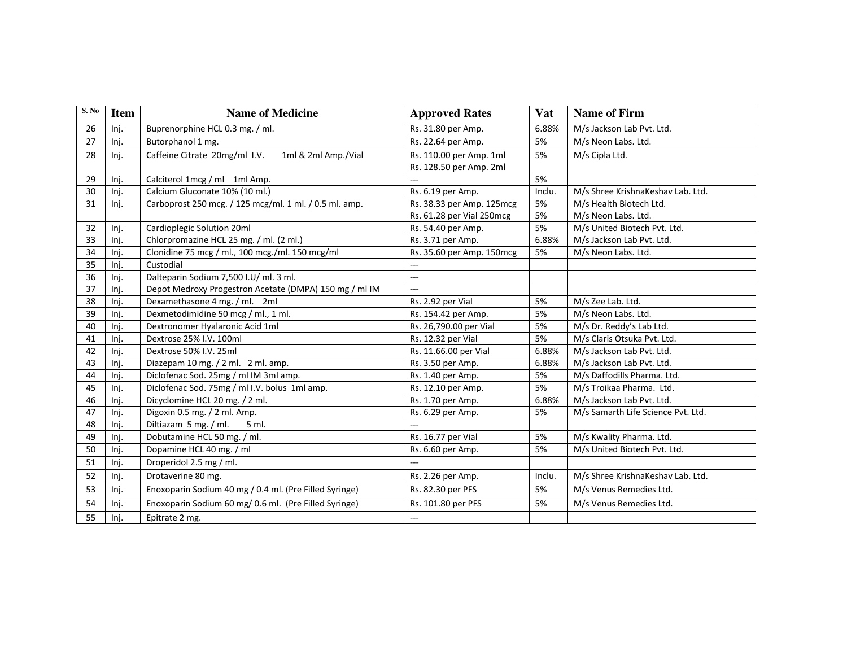| S. No | <b>Item</b> | <b>Name of Medicine</b>                                | <b>Approved Rates</b>     | Vat    | <b>Name of Firm</b>                |
|-------|-------------|--------------------------------------------------------|---------------------------|--------|------------------------------------|
| 26    | Inj.        | Buprenorphine HCL 0.3 mg. / ml.                        | Rs. 31.80 per Amp.        | 6.88%  | M/s Jackson Lab Pvt. Ltd.          |
| 27    | Inj.        | Butorphanol 1 mg.                                      | Rs. 22.64 per Amp.        | 5%     | M/s Neon Labs. Ltd.                |
| 28    | Inj.        | Caffeine Citrate 20mg/ml I.V.<br>1ml & 2ml Amp./Vial   | Rs. 110.00 per Amp. 1ml   | 5%     | M/s Cipla Ltd.                     |
|       |             |                                                        | Rs. 128.50 per Amp. 2ml   |        |                                    |
| 29    | Inj.        | Calciterol 1mcg / ml 1ml Amp.                          |                           | 5%     |                                    |
| 30    | Inj.        | Calcium Gluconate 10% (10 ml.)                         | Rs. 6.19 per Amp.         | Inclu. | M/s Shree KrishnaKeshav Lab. Ltd.  |
| 31    | Inj.        | Carboprost 250 mcg. / 125 mcg/ml. 1 ml. / 0.5 ml. amp. | Rs. 38.33 per Amp. 125mcg | 5%     | M/s Health Biotech Ltd.            |
|       |             |                                                        | Rs. 61.28 per Vial 250mcg | 5%     | M/s Neon Labs. Ltd.                |
| 32    | Inj.        | Cardioplegic Solution 20ml                             | Rs. 54.40 per Amp.        | 5%     | M/s United Biotech Pvt. Ltd.       |
| 33    | Inj.        | Chlorpromazine HCL 25 mg. / ml. (2 ml.)                | Rs. 3.71 per Amp.         | 6.88%  | M/s Jackson Lab Pvt. Ltd.          |
| 34    | Inj.        | Clonidine 75 mcg / ml., 100 mcg./ml. 150 mcg/ml        | Rs. 35.60 per Amp. 150mcg | 5%     | M/s Neon Labs. Ltd.                |
| 35    | Inj.        | Custodial                                              | $\overline{a}$            |        |                                    |
| 36    | Inj.        | Dalteparin Sodium 7,500 I.U/ ml. 3 ml.                 | ---                       |        |                                    |
| 37    | Inj.        | Depot Medroxy Progestron Acetate (DMPA) 150 mg / ml IM | $\overline{a}$            |        |                                    |
| 38    | Inj.        | Dexamethasone 4 mg. / ml. 2ml                          | Rs. 2.92 per Vial         | 5%     | M/s Zee Lab. Ltd.                  |
| 39    | Inj.        | Dexmetodimidine 50 mcg / ml., 1 ml.                    | Rs. 154.42 per Amp.       | 5%     | M/s Neon Labs. Ltd.                |
| 40    | Inj.        | Dextronomer Hyalaronic Acid 1ml                        | Rs. 26,790.00 per Vial    | 5%     | M/s Dr. Reddy's Lab Ltd.           |
| 41    | Inj.        | Dextrose 25% I.V. 100ml                                | Rs. 12.32 per Vial        | 5%     | M/s Claris Otsuka Pvt. Ltd.        |
| 42    | Inj.        | Dextrose 50% I.V. 25ml                                 | Rs. 11.66.00 per Vial     | 6.88%  | M/s Jackson Lab Pvt. Ltd.          |
| 43    | Inj.        | Diazepam 10 mg. / 2 ml. 2 ml. amp.                     | Rs. 3.50 per Amp.         | 6.88%  | M/s Jackson Lab Pvt. Ltd.          |
| 44    | Inj.        | Diclofenac Sod. 25mg / ml IM 3ml amp.                  | Rs. 1.40 per Amp.         | 5%     | M/s Daffodills Pharma. Ltd.        |
| 45    | Inj.        | Diclofenac Sod. 75mg / ml I.V. bolus 1ml amp.          | Rs. 12.10 per Amp.        | 5%     | M/s Troikaa Pharma. Ltd.           |
| 46    | Inj.        | Dicyclomine HCL 20 mg. / 2 ml.                         | Rs. 1.70 per Amp.         | 6.88%  | M/s Jackson Lab Pvt. Ltd.          |
| 47    | Inj.        | Digoxin 0.5 mg. / 2 ml. Amp.                           | Rs. 6.29 per Amp.         | 5%     | M/s Samarth Life Science Pvt. Ltd. |
| 48    | Inj.        | Diltiazam 5 mg. / ml.<br>5 ml.                         |                           |        |                                    |
| 49    | Inj.        | Dobutamine HCL 50 mg. / ml.                            | Rs. 16.77 per Vial        | 5%     | M/s Kwality Pharma. Ltd.           |
| 50    | Inj.        | Dopamine HCL 40 mg. / ml                               | Rs. 6.60 per Amp.         | 5%     | M/s United Biotech Pvt. Ltd.       |
| 51    | Inj.        | Droperidol 2.5 mg / ml.                                | alar.                     |        |                                    |
| 52    | Inj.        | Drotaverine 80 mg.                                     | Rs. 2.26 per Amp.         | Inclu. | M/s Shree KrishnaKeshav Lab. Ltd.  |
| 53    | Inj.        | Enoxoparin Sodium 40 mg / 0.4 ml. (Pre Filled Syringe) | Rs. 82.30 per PFS         | 5%     | M/s Venus Remedies Ltd.            |
| 54    | Inj.        | Enoxoparin Sodium 60 mg/ 0.6 ml. (Pre Filled Syringe)  | Rs. 101.80 per PFS        | 5%     | M/s Venus Remedies Ltd.            |
| 55    | Inj.        | Epitrate 2 mg.                                         | $---$                     |        |                                    |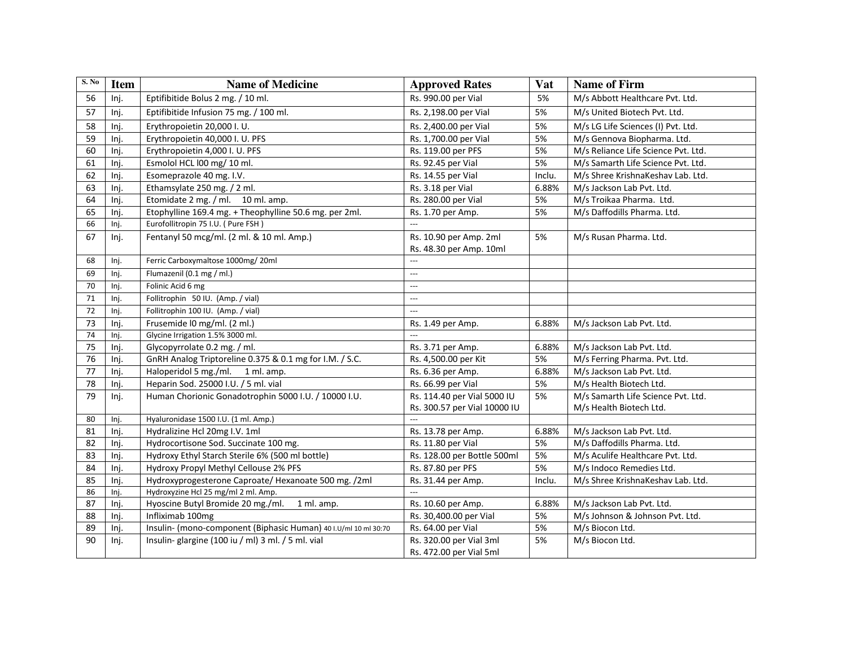| S. No | <b>Item</b> | <b>Name of Medicine</b>                                         | <b>Approved Rates</b>        | Vat    | <b>Name of Firm</b>                 |
|-------|-------------|-----------------------------------------------------------------|------------------------------|--------|-------------------------------------|
| 56    | Inj.        | Eptifibitide Bolus 2 mg. / 10 ml.                               | Rs. 990.00 per Vial          | 5%     | M/s Abbott Healthcare Pvt. Ltd.     |
| 57    | Inj.        | Eptifibitide Infusion 75 mg. / 100 ml.                          | Rs. 2,198.00 per Vial        | 5%     | M/s United Biotech Pvt. Ltd.        |
| 58    | Inj.        | Erythropoietin 20,000 I.U.                                      | Rs. 2,400.00 per Vial        | 5%     | M/s LG Life Sciences (I) Pvt. Ltd.  |
| 59    | Inj.        | Erythropoietin 40,000 I. U. PFS                                 | Rs. 1,700.00 per Vial        | 5%     | M/s Gennova Biopharma. Ltd.         |
| 60    | Inj.        | Erythropoietin 4,000 I. U. PFS                                  | Rs. 119.00 per PFS           | 5%     | M/s Reliance Life Science Pvt. Ltd. |
| 61    | Inj.        | Esmolol HCL l00 mg/ 10 ml.                                      | Rs. 92.45 per Vial           | 5%     | M/s Samarth Life Science Pvt. Ltd.  |
| 62    | Inj.        | Esomeprazole 40 mg. I.V.                                        | Rs. 14.55 per Vial           | Inclu. | M/s Shree KrishnaKeshav Lab. Ltd.   |
| 63    | Inj.        | Ethamsylate 250 mg. / 2 ml.                                     | Rs. 3.18 per Vial            | 6.88%  | M/s Jackson Lab Pvt. Ltd.           |
| 64    | Inj.        | Etomidate 2 mg. / ml. 10 ml. amp.                               | Rs. 280.00 per Vial          | 5%     | M/s Troikaa Pharma. Ltd.            |
| 65    | Inj.        | Etophylline 169.4 mg. + Theophylline 50.6 mg. per 2ml.          | Rs. 1.70 per Amp.            | 5%     | M/s Daffodills Pharma. Ltd.         |
| 66    | Inj.        | Eurofollitropin 75 I.U. (Pure FSH)                              | $\overline{a}$               |        |                                     |
| 67    | Inj.        | Fentanyl 50 mcg/ml. (2 ml. & 10 ml. Amp.)                       | Rs. 10.90 per Amp. 2ml       | 5%     | M/s Rusan Pharma. Ltd.              |
|       |             |                                                                 | Rs. 48.30 per Amp. 10ml      |        |                                     |
| 68    | Inj.        | Ferric Carboxymaltose 1000mg/20ml                               | $\cdots$                     |        |                                     |
| 69    | Inj.        | Flumazenil (0.1 mg / ml.)                                       | $\qquad \qquad -$            |        |                                     |
| 70    | Inj.        | Folinic Acid 6 mg                                               | $\cdots$                     |        |                                     |
| 71    | Inj.        | Follitrophin 50 IU. (Amp. / vial)                               | $\overline{a}$               |        |                                     |
| 72    | Inj.        | Follitrophin 100 IU. (Amp. / vial)                              | $\cdots$                     |        |                                     |
| 73    | Inj.        | Frusemide I0 mg/ml. (2 ml.)                                     | Rs. 1.49 per Amp.            | 6.88%  | M/s Jackson Lab Pvt. Ltd.           |
| 74    | Inj.        | Glycine Irrigation 1.5% 3000 ml.                                | $---$                        |        |                                     |
| 75    | Inj.        | Glycopyrrolate 0.2 mg. / ml.                                    | Rs. 3.71 per Amp.            | 6.88%  | M/s Jackson Lab Pvt. Ltd.           |
| 76    | Inj.        | GnRH Analog Triptoreline 0.375 & 0.1 mg for I.M. / S.C.         | Rs. 4,500.00 per Kit         | 5%     | M/s Ferring Pharma. Pvt. Ltd.       |
| 77    | Inj.        | Haloperidol 5 mg./ml.<br>1 ml. amp.                             | Rs. 6.36 per Amp.            | 6.88%  | M/s Jackson Lab Pvt. Ltd.           |
| 78    | Inj.        | Heparin Sod. 25000 I.U. / 5 ml. vial                            | Rs. 66.99 per Vial           | 5%     | M/s Health Biotech Ltd.             |
| 79    | Inj.        | Human Chorionic Gonadotrophin 5000 I.U. / 10000 I.U.            | Rs. 114.40 per Vial 5000 IU  | 5%     | M/s Samarth Life Science Pvt. Ltd.  |
|       |             |                                                                 | Rs. 300.57 per Vial 10000 IU |        | M/s Health Biotech Ltd.             |
| 80    | Inj.        | Hyaluronidase 1500 I.U. (1 ml. Amp.)                            | $\overline{a}$               |        |                                     |
| 81    | Inj.        | Hydralizine Hcl 20mg I.V. 1ml                                   | Rs. 13.78 per Amp.           | 6.88%  | M/s Jackson Lab Pvt. Ltd.           |
| 82    | Inj.        | Hydrocortisone Sod. Succinate 100 mg.                           | Rs. 11.80 per Vial           | 5%     | M/s Daffodills Pharma. Ltd.         |
| 83    | Inj.        | Hydroxy Ethyl Starch Sterile 6% (500 ml bottle)                 | Rs. 128.00 per Bottle 500ml  | 5%     | M/s Aculife Healthcare Pvt. Ltd.    |
| 84    | Inj.        | Hydroxy Propyl Methyl Cellouse 2% PFS                           | Rs. 87.80 per PFS            | 5%     | M/s Indoco Remedies Ltd.            |
| 85    | Inj.        | Hydroxyprogesterone Caproate/ Hexanoate 500 mg. /2ml            | Rs. 31.44 per Amp.           | Inclu. | M/s Shree KrishnaKeshav Lab. Ltd.   |
| 86    | Inj.        | Hydroxyzine Hcl 25 mg/ml 2 ml. Amp.                             |                              |        |                                     |
| 87    | Inj.        | Hyoscine Butyl Bromide 20 mg./ml.<br>1 ml. amp.                 | Rs. 10.60 per Amp.           | 6.88%  | M/s Jackson Lab Pvt. Ltd.           |
| 88    | Inj.        | Infliximab 100mg                                                | Rs. 30,400.00 per Vial       | 5%     | M/s Johnson & Johnson Pvt. Ltd.     |
| 89    | Inj.        | Insulin- (mono-component (Biphasic Human) 40 I.U/ml 10 ml 30:70 | Rs. 64.00 per Vial           | 5%     | M/s Biocon Ltd.                     |
| 90    | Inj.        | Insulin-glargine (100 iu / ml) 3 ml. / 5 ml. vial               | Rs. 320.00 per Vial 3ml      | 5%     | M/s Biocon Ltd.                     |
|       |             |                                                                 | Rs. 472.00 per Vial 5ml      |        |                                     |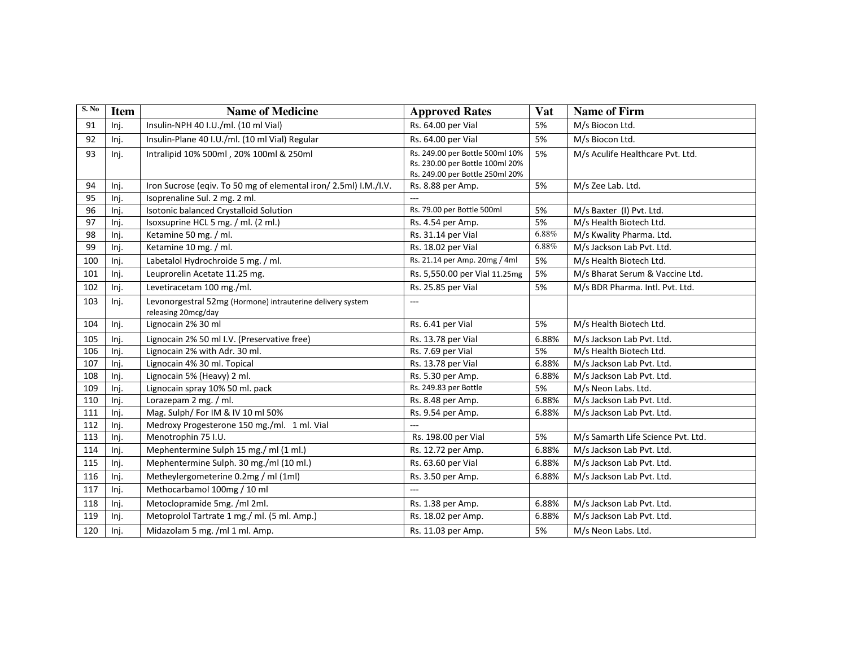| S. No | <b>Item</b> | <b>Name of Medicine</b>                                                           | <b>Approved Rates</b>                                                                                 | <b>Vat</b> | <b>Name of Firm</b>                |
|-------|-------------|-----------------------------------------------------------------------------------|-------------------------------------------------------------------------------------------------------|------------|------------------------------------|
| 91    | Inj.        | Insulin-NPH 40 I.U./ml. (10 ml Vial)                                              | Rs. 64.00 per Vial                                                                                    | 5%         | M/s Biocon Ltd.                    |
| 92    | Inj.        | Insulin-Plane 40 I.U./ml. (10 ml Vial) Regular                                    | Rs. 64.00 per Vial                                                                                    | 5%         | M/s Biocon Ltd.                    |
| 93    | Inj.        | Intralipid 10% 500ml, 20% 100ml & 250ml                                           | Rs. 249.00 per Bottle 500ml 10%<br>Rs. 230.00 per Bottle 100ml 20%<br>Rs. 249.00 per Bottle 250ml 20% | 5%         | M/s Aculife Healthcare Pvt. Ltd.   |
| 94    | Inj.        | Iron Sucrose (eqiv. To 50 mg of elemental iron/2.5ml) I.M./I.V.                   | Rs. 8.88 per Amp.                                                                                     | 5%         | M/s Zee Lab. Ltd.                  |
| 95    | Inj.        | Isoprenaline Sul. 2 mg. 2 ml.                                                     |                                                                                                       |            |                                    |
| 96    | Inj.        | Isotonic balanced Crystalloid Solution                                            | Rs. 79.00 per Bottle 500ml                                                                            | 5%         | M/s Baxter (I) Pvt. Ltd.           |
| 97    | Inj.        | Isoxsuprine HCL 5 mg. / ml. (2 ml.)                                               | Rs. 4.54 per Amp.                                                                                     | 5%         | M/s Health Biotech Ltd.            |
| 98    | Inj.        | Ketamine 50 mg. / ml.                                                             | Rs. 31.14 per Vial                                                                                    | 6.88%      | M/s Kwality Pharma. Ltd.           |
| 99    | Inj.        | Ketamine 10 mg. / ml.                                                             | Rs. 18.02 per Vial                                                                                    | 6.88%      | M/s Jackson Lab Pvt. Ltd.          |
| 100   | Inj.        | Labetalol Hydrochroide 5 mg. / ml.                                                | Rs. 21.14 per Amp. 20mg / 4ml                                                                         | 5%         | M/s Health Biotech Ltd.            |
| 101   | Inj.        | Leuprorelin Acetate 11.25 mg.                                                     | Rs. 5,550.00 per Vial 11.25mg                                                                         | 5%         | M/s Bharat Serum & Vaccine Ltd.    |
| 102   | Inj.        | Levetiracetam 100 mg./ml.                                                         | Rs. 25.85 per Vial                                                                                    | 5%         | M/s BDR Pharma. Intl. Pvt. Ltd.    |
| 103   | Inj.        | Levonorgestral 52mg (Hormone) intrauterine delivery system<br>releasing 20mcg/day | $\overline{a}$                                                                                        |            |                                    |
| 104   | Inj.        | Lignocain 2% 30 ml                                                                | Rs. 6.41 per Vial                                                                                     | 5%         | M/s Health Biotech Ltd.            |
| 105   | Inj.        | Lignocain 2% 50 ml I.V. (Preservative free)                                       | Rs. 13.78 per Vial                                                                                    | 6.88%      | M/s Jackson Lab Pvt. Ltd.          |
| 106   | Inj.        | Lignocain 2% with Adr. 30 ml.                                                     | Rs. 7.69 per Vial                                                                                     | 5%         | M/s Health Biotech Ltd.            |
| 107   | Inj.        | Lignocain 4% 30 ml. Topical                                                       | Rs. 13.78 per Vial                                                                                    | 6.88%      | M/s Jackson Lab Pvt. Ltd.          |
| 108   | Inj.        | Lignocain 5% (Heavy) 2 ml.                                                        | Rs. 5.30 per Amp.                                                                                     | 6.88%      | M/s Jackson Lab Pvt. Ltd.          |
| 109   | Inj.        | Lignocain spray 10% 50 ml. pack                                                   | Rs. 249.83 per Bottle                                                                                 | 5%         | M/s Neon Labs. Ltd.                |
| 110   | Inj.        | Lorazepam 2 mg. / ml.                                                             | Rs. 8.48 per Amp.                                                                                     | 6.88%      | M/s Jackson Lab Pvt. Ltd.          |
| 111   | Inj.        | Mag. Sulph/ For IM & IV 10 ml 50%                                                 | Rs. 9.54 per Amp.                                                                                     | 6.88%      | M/s Jackson Lab Pvt. Ltd.          |
| 112   | Inj.        | Medroxy Progesterone 150 mg./ml. 1 ml. Vial                                       | $\overline{a}$                                                                                        |            |                                    |
| 113   | Inj.        | Menotrophin 75 I.U.                                                               | Rs. 198.00 per Vial                                                                                   | 5%         | M/s Samarth Life Science Pvt. Ltd. |
| 114   | Inj.        | Mephentermine Sulph 15 mg./ ml (1 ml.)                                            | Rs. 12.72 per Amp.                                                                                    | 6.88%      | M/s Jackson Lab Pvt. Ltd.          |
| 115   | Inj.        | Mephentermine Sulph. 30 mg./ml (10 ml.)                                           | Rs. 63.60 per Vial                                                                                    | 6.88%      | M/s Jackson Lab Pvt. Ltd.          |
| 116   | Inj.        | Metheylergometerine 0.2mg / ml (1ml)                                              | Rs. 3.50 per Amp.                                                                                     | 6.88%      | M/s Jackson Lab Pvt. Ltd.          |
| 117   | Inj.        | Methocarbamol 100mg / 10 ml                                                       |                                                                                                       |            |                                    |
| 118   | Inj.        | Metoclopramide 5mg. /ml 2ml.                                                      | Rs. 1.38 per Amp.                                                                                     | 6.88%      | M/s Jackson Lab Pvt. Ltd.          |
| 119   | Inj.        | Metoprolol Tartrate 1 mg./ ml. (5 ml. Amp.)                                       | Rs. 18.02 per Amp.                                                                                    | 6.88%      | M/s Jackson Lab Pvt. Ltd.          |
| 120   | Inj.        | Midazolam 5 mg. /ml 1 ml. Amp.                                                    | Rs. 11.03 per Amp.                                                                                    | 5%         | M/s Neon Labs. Ltd.                |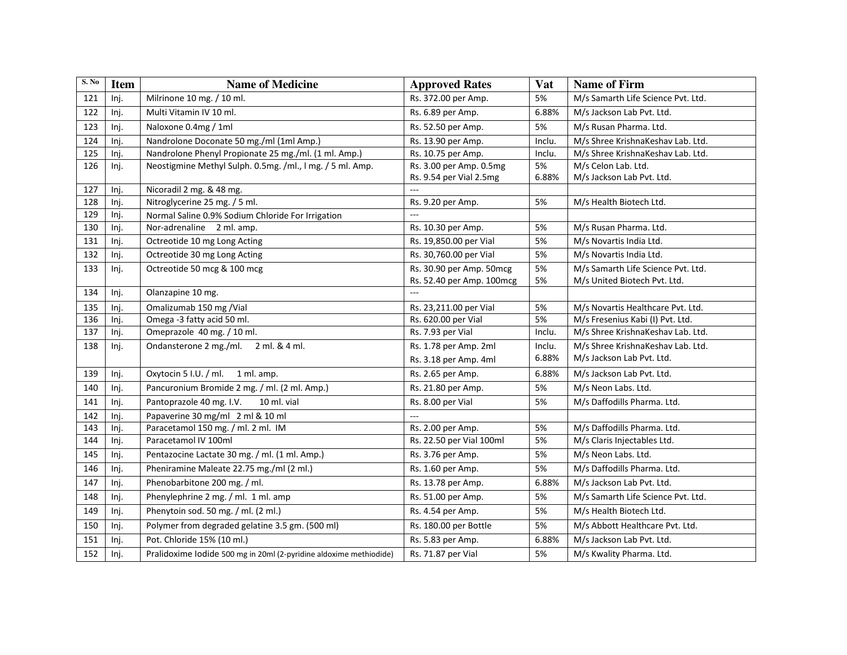| S. No | <b>Item</b> | <b>Name of Medicine</b>                                            | <b>Approved Rates</b>     | Vat    | <b>Name of Firm</b>                |
|-------|-------------|--------------------------------------------------------------------|---------------------------|--------|------------------------------------|
| 121   | Inj.        | Milrinone 10 mg. / 10 ml.                                          | Rs. 372.00 per Amp.       | 5%     | M/s Samarth Life Science Pvt. Ltd. |
| 122   | Inj.        | Multi Vitamin IV 10 ml.                                            | Rs. 6.89 per Amp.         | 6.88%  | M/s Jackson Lab Pvt. Ltd.          |
| 123   | Inj.        | Naloxone 0.4mg / 1ml                                               | Rs. 52.50 per Amp.        | 5%     | M/s Rusan Pharma. Ltd.             |
| 124   | Inj.        | Nandrolone Doconate 50 mg./ml (1ml Amp.)                           | Rs. 13.90 per Amp.        | Inclu. | M/s Shree KrishnaKeshav Lab. Ltd.  |
| 125   | Inj.        | Nandrolone Phenyl Propionate 25 mg./ml. (1 ml. Amp.)               | Rs. 10.75 per Amp.        | Inclu. | M/s Shree KrishnaKeshav Lab. Ltd.  |
| 126   | Inj.        | Neostigmine Methyl Sulph. 0.5mg. /ml., I mg. / 5 ml. Amp.          | Rs. 3.00 per Amp. 0.5mg   | 5%     | M/s Celon Lab. Ltd.                |
|       |             |                                                                    | Rs. 9.54 per Vial 2.5mg   | 6.88%  | M/s Jackson Lab Pvt. Ltd.          |
| 127   | Inj.        | Nicoradil 2 mg. & 48 mg.                                           |                           |        |                                    |
| 128   | Inj.        | Nitroglycerine 25 mg. / 5 ml.                                      | Rs. 9.20 per Amp.         | 5%     | M/s Health Biotech Ltd.            |
| 129   | Inj.        | Normal Saline 0.9% Sodium Chloride For Irrigation                  | $---$                     |        |                                    |
| 130   | Inj.        | Nor-adrenaline 2 ml. amp.                                          | Rs. 10.30 per Amp.        | 5%     | M/s Rusan Pharma. Ltd.             |
| 131   | Inj.        | Octreotide 10 mg Long Acting                                       | Rs. 19,850.00 per Vial    | 5%     | M/s Novartis India Ltd.            |
| 132   | Inj.        | Octreotide 30 mg Long Acting                                       | Rs. 30,760.00 per Vial    | 5%     | M/s Novartis India Ltd.            |
| 133   | Inj.        | Octreotide 50 mcg & 100 mcg                                        | Rs. 30.90 per Amp. 50mcg  | 5%     | M/s Samarth Life Science Pvt. Ltd. |
|       |             |                                                                    | Rs. 52.40 per Amp. 100mcg | 5%     | M/s United Biotech Pvt. Ltd.       |
| 134   | Inj.        | Olanzapine 10 mg.                                                  | $\frac{1}{2}$             |        |                                    |
| 135   | Inj.        | Omalizumab 150 mg /Vial                                            | Rs. 23,211.00 per Vial    | 5%     | M/s Novartis Healthcare Pvt. Ltd.  |
| 136   | Inj.        | Omega -3 fatty acid 50 ml.                                         | Rs. 620.00 per Vial       | 5%     | M/s Fresenius Kabi (I) Pvt. Ltd.   |
| 137   | Inj.        | Omeprazole 40 mg. / 10 ml.                                         | Rs. 7.93 per Vial         | Inclu. | M/s Shree KrishnaKeshav Lab. Ltd.  |
| 138   | Inj.        | Ondansterone 2 mg./ml. 2 ml. & 4 ml.                               | Rs. 1.78 per Amp. 2ml     | Inclu. | M/s Shree KrishnaKeshav Lab. Ltd.  |
|       |             |                                                                    | Rs. 3.18 per Amp. 4ml     | 6.88%  | M/s Jackson Lab Pvt. Ltd.          |
| 139   | Inj.        | Oxytocin 5 I.U. / ml.<br>1 ml. amp.                                | Rs. 2.65 per Amp.         | 6.88%  | M/s Jackson Lab Pvt. Ltd.          |
| 140   | Inj.        | Pancuronium Bromide 2 mg. / ml. (2 ml. Amp.)                       | Rs. 21.80 per Amp.        | 5%     | M/s Neon Labs. Ltd.                |
| 141   | Inj.        | Pantoprazole 40 mg. I.V.<br>10 ml. vial                            | Rs. 8.00 per Vial         | 5%     | M/s Daffodills Pharma. Ltd.        |
| 142   | Inj.        | Papaverine 30 mg/ml 2 ml & 10 ml                                   | $\overline{a}$            |        |                                    |
| 143   | Inj.        | Paracetamol 150 mg. / ml. 2 ml. IM                                 | Rs. 2.00 per Amp.         | 5%     | M/s Daffodills Pharma. Ltd.        |
| 144   | Inj.        | Paracetamol IV 100ml                                               | Rs. 22.50 per Vial 100ml  | 5%     | M/s Claris Injectables Ltd.        |
| 145   | Inj.        | Pentazocine Lactate 30 mg. / ml. (1 ml. Amp.)                      | Rs. 3.76 per Amp.         | 5%     | M/s Neon Labs. Ltd.                |
| 146   | Inj.        | Pheniramine Maleate 22.75 mg./ml (2 ml.)                           | Rs. 1.60 per Amp.         | 5%     | M/s Daffodills Pharma. Ltd.        |
| 147   | Inj.        | Phenobarbitone 200 mg. / ml.                                       | Rs. 13.78 per Amp.        | 6.88%  | M/s Jackson Lab Pvt. Ltd.          |
| 148   | Inj.        | Phenylephrine 2 mg. / ml. 1 ml. amp                                | Rs. 51.00 per Amp.        | 5%     | M/s Samarth Life Science Pvt. Ltd. |
| 149   | Inj.        | Phenytoin sod. 50 mg. / ml. (2 ml.)                                | Rs. 4.54 per Amp.         | 5%     | M/s Health Biotech Ltd.            |
| 150   | Inj.        | Polymer from degraded gelatine 3.5 gm. (500 ml)                    | Rs. 180.00 per Bottle     | 5%     | M/s Abbott Healthcare Pvt. Ltd.    |
| 151   | Inj.        | Pot. Chloride 15% (10 ml.)                                         | Rs. 5.83 per Amp.         | 6.88%  | M/s Jackson Lab Pvt. Ltd.          |
| 152   | Inj.        | Pralidoxime Iodide 500 mg in 20ml (2-pyridine aldoxime methiodide) | Rs. 71.87 per Vial        | 5%     | M/s Kwality Pharma. Ltd.           |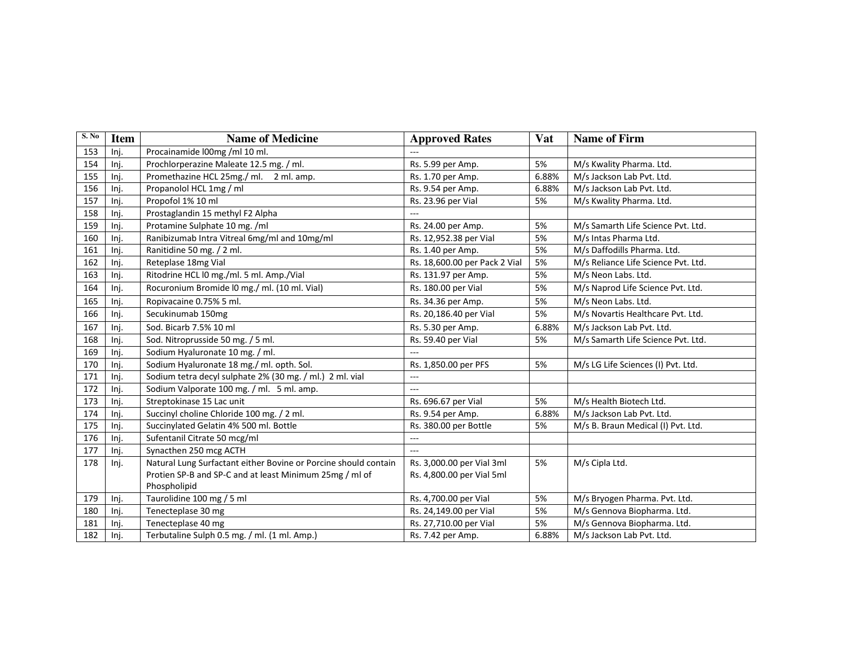| S. No | <b>Item</b> | <b>Name of Medicine</b>                                         | <b>Approved Rates</b>         | <b>Vat</b> | <b>Name of Firm</b>                 |
|-------|-------------|-----------------------------------------------------------------|-------------------------------|------------|-------------------------------------|
| 153   | Inj.        | Procainamide l00mg /ml 10 ml.                                   |                               |            |                                     |
| 154   | Inj.        | Prochlorperazine Maleate 12.5 mg. / ml.                         | Rs. 5.99 per Amp.             | 5%         | M/s Kwality Pharma. Ltd.            |
| 155   | Inj.        | Promethazine HCL 25mg./ ml. 2 ml. amp.                          | Rs. 1.70 per Amp.             | 6.88%      | M/s Jackson Lab Pvt. Ltd.           |
| 156   | Inj.        | Propanolol HCL 1mg / ml                                         | Rs. 9.54 per Amp.             | 6.88%      | M/s Jackson Lab Pvt. Ltd.           |
| 157   | Inj.        | Propofol 1% 10 ml                                               | Rs. 23.96 per Vial            | 5%         | M/s Kwality Pharma. Ltd.            |
| 158   | Inj.        | Prostaglandin 15 methyl F2 Alpha                                |                               |            |                                     |
| 159   | Inj.        | Protamine Sulphate 10 mg. /ml                                   | Rs. 24.00 per Amp.            | 5%         | M/s Samarth Life Science Pvt. Ltd.  |
| 160   | Inj.        | Ranibizumab Intra Vitreal 6mg/ml and 10mg/ml                    | Rs. 12,952.38 per Vial        | 5%         | M/s Intas Pharma Ltd.               |
| 161   | Inj.        | Ranitidine 50 mg. / 2 ml.                                       | Rs. 1.40 per Amp.             | 5%         | M/s Daffodills Pharma. Ltd.         |
| 162   | Inj.        | Reteplase 18mg Vial                                             | Rs. 18,600.00 per Pack 2 Vial | 5%         | M/s Reliance Life Science Pvt. Ltd. |
| 163   | Inj.        | Ritodrine HCL I0 mg./ml. 5 ml. Amp./Vial                        | Rs. 131.97 per Amp.           | 5%         | M/s Neon Labs. Ltd.                 |
| 164   | Inj.        | Rocuronium Bromide l0 mg./ ml. (10 ml. Vial)                    | Rs. 180.00 per Vial           | 5%         | M/s Naprod Life Science Pvt. Ltd.   |
| 165   | Inj.        | Ropivacaine 0.75% 5 ml.                                         | Rs. 34.36 per Amp.            | 5%         | M/s Neon Labs. Ltd.                 |
| 166   | Inj.        | Secukinumab 150mg                                               | Rs. 20,186.40 per Vial        | 5%         | M/s Novartis Healthcare Pvt. Ltd.   |
| 167   | Inj.        | Sod. Bicarb 7.5% 10 ml                                          | Rs. 5.30 per Amp.             | 6.88%      | M/s Jackson Lab Pvt. Ltd.           |
| 168   | Inj.        | Sod. Nitroprusside 50 mg. / 5 ml.                               | Rs. 59.40 per Vial            | 5%         | M/s Samarth Life Science Pvt. Ltd.  |
| 169   | Inj.        | Sodium Hyaluronate 10 mg. / ml.                                 | $---$                         |            |                                     |
| 170   | Inj.        | Sodium Hyaluronate 18 mg./ ml. opth. Sol.                       | Rs. 1,850.00 per PFS          | 5%         | M/s LG Life Sciences (I) Pvt. Ltd.  |
| 171   | Inj.        | Sodium tetra decyl sulphate 2% (30 mg. / ml.) 2 ml. vial        | $---$                         |            |                                     |
| 172   | Inj.        | Sodium Valporate 100 mg. / ml. 5 ml. amp.                       | $\overline{a}$                |            |                                     |
| 173   | Inj.        | Streptokinase 15 Lac unit                                       | Rs. 696.67 per Vial           | 5%         | M/s Health Biotech Ltd.             |
| 174   | Inj.        | Succinyl choline Chloride 100 mg. / 2 ml.                       | Rs. 9.54 per Amp.             | 6.88%      | M/s Jackson Lab Pvt. Ltd.           |
| 175   | Inj.        | Succinylated Gelatin 4% 500 ml. Bottle                          | Rs. 380.00 per Bottle         | 5%         | M/s B. Braun Medical (I) Pvt. Ltd.  |
| 176   | Inj.        | Sufentanil Citrate 50 mcg/ml                                    | ---                           |            |                                     |
| 177   | Inj.        | Synacthen 250 mcg ACTH                                          | $---$                         |            |                                     |
| 178   | Inj.        | Natural Lung Surfactant either Bovine or Porcine should contain | Rs. 3,000.00 per Vial 3ml     | 5%         | M/s Cipla Ltd.                      |
|       |             | Protien SP-B and SP-C and at least Minimum 25mg / ml of         | Rs. 4,800.00 per Vial 5ml     |            |                                     |
|       |             | Phospholipid                                                    |                               |            |                                     |
| 179   | Inj.        | Taurolidine 100 mg / 5 ml                                       | Rs. 4,700.00 per Vial         | 5%         | M/s Bryogen Pharma. Pvt. Ltd.       |
| 180   | Inj.        | Tenecteplase 30 mg                                              | Rs. 24,149.00 per Vial        | 5%         | M/s Gennova Biopharma. Ltd.         |
| 181   | Inj.        | Tenecteplase 40 mg                                              | Rs. 27,710.00 per Vial        | 5%         | M/s Gennova Biopharma. Ltd.         |
| 182   | Inj.        | Terbutaline Sulph 0.5 mg. / ml. (1 ml. Amp.)                    | Rs. 7.42 per Amp.             | 6.88%      | M/s Jackson Lab Pvt. Ltd.           |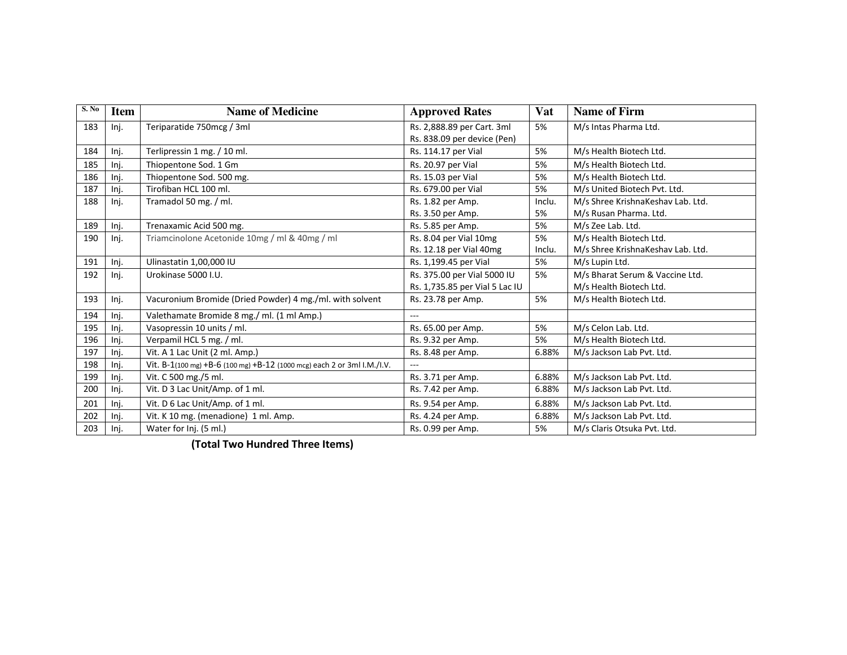| S. No | <b>Item</b> | <b>Name of Medicine</b>                                                 | <b>Approved Rates</b>          | Vat    | <b>Name of Firm</b>               |
|-------|-------------|-------------------------------------------------------------------------|--------------------------------|--------|-----------------------------------|
| 183   | Inj.        | Teriparatide 750mcg / 3ml                                               | Rs. 2,888.89 per Cart. 3ml     | 5%     | M/s Intas Pharma Ltd.             |
|       |             |                                                                         | Rs. 838.09 per device (Pen)    |        |                                   |
| 184   | Inj.        | Terlipressin 1 mg. / 10 ml.                                             | Rs. 114.17 per Vial            | 5%     | M/s Health Biotech Ltd.           |
| 185   | Inj.        | Thiopentone Sod. 1 Gm                                                   | Rs. 20.97 per Vial             | 5%     | M/s Health Biotech Ltd.           |
| 186   | Inj.        | Thiopentone Sod. 500 mg.                                                | Rs. 15.03 per Vial             | 5%     | M/s Health Biotech Ltd.           |
| 187   | Inj.        | Tirofiban HCL 100 ml.                                                   | Rs. 679.00 per Vial            | 5%     | M/s United Biotech Pvt. Ltd.      |
| 188   | Inj.        | Tramadol 50 mg. / ml.                                                   | Rs. 1.82 per Amp.              | Inclu. | M/s Shree KrishnaKeshav Lab. Ltd. |
|       |             |                                                                         | Rs. 3.50 per Amp.              | 5%     | M/s Rusan Pharma. Ltd.            |
| 189   | Inj.        | Trenaxamic Acid 500 mg.                                                 | Rs. 5.85 per Amp.              | 5%     | M/s Zee Lab. Ltd.                 |
| 190   | Inj.        | Triamcinolone Acetonide 10mg / ml & 40mg / ml                           | Rs. 8.04 per Vial 10mg         | 5%     | M/s Health Biotech Ltd.           |
|       |             |                                                                         | Rs. 12.18 per Vial 40mg        | Inclu. | M/s Shree KrishnaKeshav Lab. Ltd. |
| 191   | Inj.        | Ulinastatin 1,00,000 IU                                                 | Rs. 1,199.45 per Vial          | 5%     | M/s Lupin Ltd.                    |
| 192   | Inj.        | Urokinase 5000 I.U.                                                     | Rs. 375.00 per Vial 5000 IU    | 5%     | M/s Bharat Serum & Vaccine Ltd.   |
|       |             |                                                                         | Rs. 1,735.85 per Vial 5 Lac IU |        | M/s Health Biotech Ltd.           |
| 193   | Inj.        | Vacuronium Bromide (Dried Powder) 4 mg./ml. with solvent                | Rs. 23.78 per Amp.             | 5%     | M/s Health Biotech Ltd.           |
| 194   | Inj.        | Valethamate Bromide 8 mg./ ml. (1 ml Amp.)                              | $-$                            |        |                                   |
| 195   | Inj.        | Vasopressin 10 units / ml.                                              | Rs. 65.00 per Amp.             | 5%     | M/s Celon Lab. Ltd.               |
| 196   | Inj.        | Verpamil HCL 5 mg. / ml.                                                | Rs. 9.32 per Amp.              | 5%     | M/s Health Biotech Ltd.           |
| 197   | Inj.        | Vit. A 1 Lac Unit (2 ml. Amp.)                                          | Rs. 8.48 per Amp.              | 6.88%  | M/s Jackson Lab Pvt. Ltd.         |
| 198   | Inj.        | Vit. B-1(100 mg) +B-6 (100 mg) +B-12 (1000 mcg) each 2 or 3ml I.M./I.V. | $---$                          |        |                                   |
| 199   | Inj.        | Vit. C 500 mg./5 ml.                                                    | Rs. 3.71 per Amp.              | 6.88%  | M/s Jackson Lab Pvt. Ltd.         |
| 200   | Inj.        | Vit. D 3 Lac Unit/Amp. of 1 ml.                                         | Rs. 7.42 per Amp.              | 6.88%  | M/s Jackson Lab Pvt. Ltd.         |
| 201   | Inj.        | Vit. D 6 Lac Unit/Amp. of 1 ml.                                         | Rs. 9.54 per Amp.              | 6.88%  | M/s Jackson Lab Pvt. Ltd.         |
| 202   | Inj.        | Vit. K 10 mg. (menadione) 1 ml. Amp.                                    | Rs. 4.24 per Amp.              | 6.88%  | M/s Jackson Lab Pvt. Ltd.         |
| 203   | Inj.        | Water for Inj. (5 ml.)                                                  | Rs. 0.99 per Amp.              | 5%     | M/s Claris Otsuka Pvt. Ltd.       |

**(Total Two Hundred Three Items)**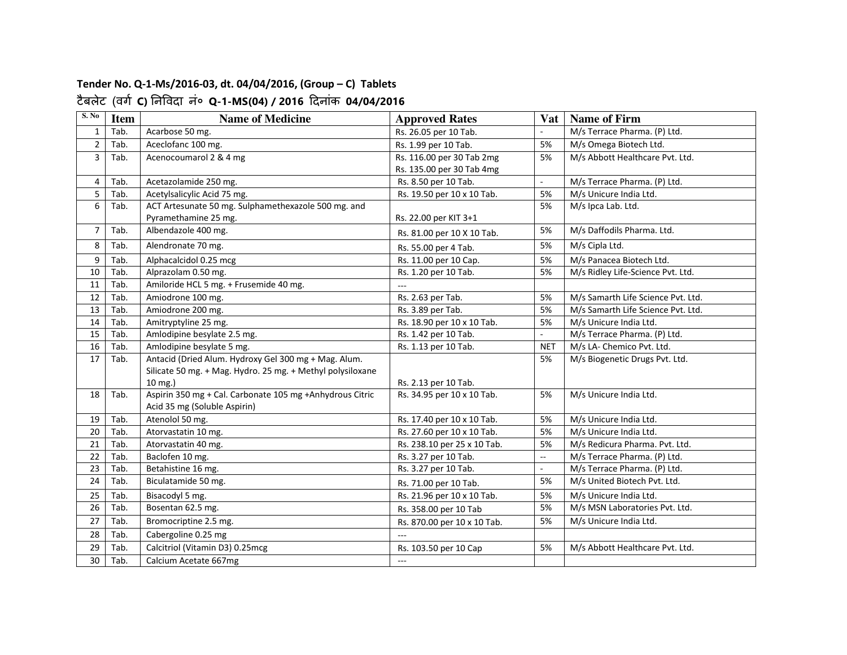#### **Tender No. Q-1-Ms/2016-03, dt. 04/04/2016, (Group – C) Tablets** टैबलेट (वग **C)** नवदा नं० **Q-1-MS(04) / 2016** दनांक **04/04/2016**

| S. No          | <b>Item</b> | <b>Name of Medicine</b>                                    | <b>Approved Rates</b>       |                | Vat   Name of Firm                 |
|----------------|-------------|------------------------------------------------------------|-----------------------------|----------------|------------------------------------|
| $\mathbf{1}$   | Tab.        | Acarbose 50 mg.                                            | Rs. 26.05 per 10 Tab.       |                | M/s Terrace Pharma. (P) Ltd.       |
| $\overline{2}$ | Tab.        | Aceclofanc 100 mg.                                         | Rs. 1.99 per 10 Tab.        | 5%             | M/s Omega Biotech Ltd.             |
| 3              | Tab.        | Acenocoumarol 2 & 4 mg                                     | Rs. 116.00 per 30 Tab 2mg   | 5%             | M/s Abbott Healthcare Pvt. Ltd.    |
|                |             |                                                            | Rs. 135.00 per 30 Tab 4mg   |                |                                    |
| $\overline{4}$ | Tab.        | Acetazolamide 250 mg.                                      | Rs. 8.50 per 10 Tab.        | $\sim$         | M/s Terrace Pharma. (P) Ltd.       |
| 5              | Tab.        | Acetylsalicylic Acid 75 mg.                                | Rs. 19.50 per 10 x 10 Tab.  | 5%             | M/s Unicure India Ltd.             |
| 6              | Tab.        | ACT Artesunate 50 mg. Sulphamethexazole 500 mg. and        |                             | 5%             | M/s Ipca Lab. Ltd.                 |
|                |             | Pyramethamine 25 mg.                                       | Rs. 22.00 per KIT 3+1       |                |                                    |
| 7              | Tab.        | Albendazole 400 mg.                                        | Rs. 81.00 per 10 X 10 Tab.  | 5%             | M/s Daffodils Pharma. Ltd.         |
| 8              | Tab.        | Alendronate 70 mg.                                         | Rs. 55.00 per 4 Tab.        | 5%             | M/s Cipla Ltd.                     |
| 9              | Tab.        | Alphacalcidol 0.25 mcg                                     | Rs. 11.00 per 10 Cap.       | 5%             | M/s Panacea Biotech Ltd.           |
| 10             | Tab.        | Alprazolam 0.50 mg.                                        | Rs. 1.20 per 10 Tab.        | 5%             | M/s Ridley Life-Science Pvt. Ltd.  |
| 11             | Tab.        | Amiloride HCL 5 mg. + Frusemide 40 mg.                     | $---$                       |                |                                    |
| 12             | Tab.        | Amiodrone 100 mg.                                          | Rs. 2.63 per Tab.           | 5%             | M/s Samarth Life Science Pvt. Ltd. |
| 13             | Tab.        | Amiodrone 200 mg.                                          | Rs. 3.89 per Tab.           | 5%             | M/s Samarth Life Science Pvt. Ltd. |
| 14             | Tab.        | Amitryptyline 25 mg.                                       | Rs. 18.90 per 10 x 10 Tab.  | 5%             | M/s Unicure India Ltd.             |
| 15             | Tab.        | Amlodipine besylate 2.5 mg.                                | Rs. 1.42 per 10 Tab.        | ä,             | M/s Terrace Pharma. (P) Ltd.       |
| 16             | Tab.        | Amlodipine besylate 5 mg.                                  | Rs. 1.13 per 10 Tab.        | <b>NET</b>     | M/s LA- Chemico Pvt. Ltd.          |
| 17             | Tab.        | Antacid (Dried Alum. Hydroxy Gel 300 mg + Mag. Alum.       |                             | 5%             | M/s Biogenetic Drugs Pvt. Ltd.     |
|                |             | Silicate 50 mg. + Mag. Hydro. 25 mg. + Methyl polysiloxane |                             |                |                                    |
|                |             | 10 mg.)                                                    | Rs. 2.13 per 10 Tab.        |                |                                    |
| 18             | Tab.        | Aspirin 350 mg + Cal. Carbonate 105 mg + Anhydrous Citric  | Rs. 34.95 per 10 x 10 Tab.  | 5%             | M/s Unicure India Ltd.             |
|                |             | Acid 35 mg (Soluble Aspirin)                               |                             |                |                                    |
| 19             | Tab.        | Atenolol 50 mg.                                            | Rs. 17.40 per 10 x 10 Tab.  | 5%             | M/s Unicure India Ltd.             |
| 20             | Tab.        | Atorvastatin 10 mg.                                        | Rs. 27.60 per 10 x 10 Tab.  | 5%             | M/s Unicure India Ltd.             |
| 21             | Tab.        | Atorvastatin 40 mg.                                        | Rs. 238.10 per 25 x 10 Tab. | 5%             | M/s Redicura Pharma. Pvt. Ltd.     |
| 22             | Tab.        | Baclofen 10 mg.                                            | Rs. 3.27 per 10 Tab.        | $\overline{a}$ | M/s Terrace Pharma. (P) Ltd.       |
| 23             | Tab.        | Betahistine 16 mg.                                         | Rs. 3.27 per 10 Tab.        | $\blacksquare$ | M/s Terrace Pharma. (P) Ltd.       |
| 24             | Tab.        | Biculatamide 50 mg.                                        | Rs. 71.00 per 10 Tab.       | 5%             | M/s United Biotech Pvt. Ltd.       |
| 25             | Tab.        | Bisacodyl 5 mg.                                            | Rs. 21.96 per 10 x 10 Tab.  | 5%             | M/s Unicure India Ltd.             |
| 26             | Tab.        | Bosentan 62.5 mg.                                          | Rs. 358.00 per 10 Tab       | 5%             | M/s MSN Laboratories Pvt. Ltd.     |
| 27             | Tab.        | Bromocriptine 2.5 mg.                                      | Rs. 870.00 per 10 x 10 Tab. | 5%             | M/s Unicure India Ltd.             |
| 28             | Tab.        | Cabergoline 0.25 mg                                        |                             |                |                                    |
| 29             | Tab.        | Calcitriol (Vitamin D3) 0.25mcg                            | Rs. 103.50 per 10 Cap       | 5%             | M/s Abbott Healthcare Pvt. Ltd.    |
| 30             | Tab.        | Calcium Acetate 667mg                                      | ---                         |                |                                    |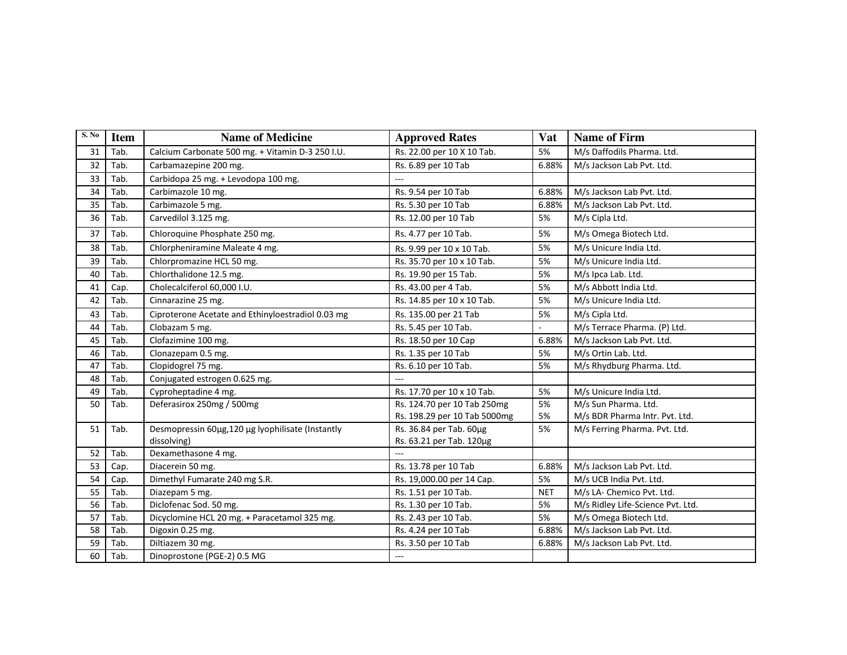| S. No | <b>Item</b> | <b>Name of Medicine</b>                           | <b>Approved Rates</b>        | Vat        | <b>Name of Firm</b>               |
|-------|-------------|---------------------------------------------------|------------------------------|------------|-----------------------------------|
| 31    | Tab.        | Calcium Carbonate 500 mg. + Vitamin D-3 250 I.U.  | Rs. 22.00 per 10 X 10 Tab.   | 5%         | M/s Daffodils Pharma. Ltd.        |
| 32    | Tab.        | Carbamazepine 200 mg.                             | Rs. 6.89 per 10 Tab          | 6.88%      | M/s Jackson Lab Pvt. Ltd.         |
| 33    | Tab.        | Carbidopa 25 mg. + Levodopa 100 mg.               |                              |            |                                   |
| 34    | Tab.        | Carbimazole 10 mg.                                | Rs. 9.54 per 10 Tab          | 6.88%      | M/s Jackson Lab Pvt. Ltd.         |
| 35    | Tab.        | Carbimazole 5 mg.                                 | Rs. 5.30 per 10 Tab          | 6.88%      | M/s Jackson Lab Pvt. Ltd.         |
| 36    | Tab.        | Carvedilol 3.125 mg.                              | Rs. 12.00 per 10 Tab         | 5%         | M/s Cipla Ltd.                    |
| 37    | Tab.        | Chloroquine Phosphate 250 mg.                     | Rs. 4.77 per 10 Tab.         | 5%         | M/s Omega Biotech Ltd.            |
| 38    | Tab.        | Chlorpheniramine Maleate 4 mg.                    | Rs. 9.99 per 10 x 10 Tab.    | 5%         | M/s Unicure India Ltd.            |
| 39    | Tab.        | Chlorpromazine HCL 50 mg.                         | Rs. 35.70 per 10 x 10 Tab.   | 5%         | M/s Unicure India Ltd.            |
| 40    | Tab.        | Chlorthalidone 12.5 mg.                           | Rs. 19.90 per 15 Tab.        | 5%         | M/s Ipca Lab. Ltd.                |
| 41    | Cap.        | Cholecalciferol 60,000 I.U.                       | Rs. 43.00 per 4 Tab.         | 5%         | M/s Abbott India Ltd.             |
| 42    | Tab.        | Cinnarazine 25 mg.                                | Rs. 14.85 per 10 x 10 Tab.   | 5%         | M/s Unicure India Ltd.            |
| 43    | Tab.        | Ciproterone Acetate and Ethinyloestradiol 0.03 mg | Rs. 135.00 per 21 Tab        | 5%         | M/s Cipla Ltd.                    |
| 44    | Tab.        | Clobazam 5 mg.                                    | Rs. 5.45 per 10 Tab.         | ä,         | M/s Terrace Pharma. (P) Ltd.      |
| 45    | Tab.        | Clofazimine 100 mg.                               | Rs. 18.50 per 10 Cap         | 6.88%      | M/s Jackson Lab Pvt. Ltd.         |
| 46    | Tab.        | Clonazepam 0.5 mg.                                | Rs. 1.35 per 10 Tab          | 5%         | M/s Ortin Lab. Ltd.               |
| 47    | Tab.        | Clopidogrel 75 mg.                                | Rs. 6.10 per 10 Tab.         | 5%         | M/s Rhydburg Pharma. Ltd.         |
| 48    | Tab.        | Conjugated estrogen 0.625 mg.                     |                              |            |                                   |
| 49    | Tab.        | Cyproheptadine 4 mg.                              | Rs. 17.70 per 10 x 10 Tab.   | 5%         | M/s Unicure India Ltd.            |
| 50    | Tab.        | Deferasirox 250mg / 500mg                         | Rs. 124.70 per 10 Tab 250mg  | 5%         | M/s Sun Pharma. Ltd.              |
|       |             |                                                   | Rs. 198.29 per 10 Tab 5000mg | 5%         | M/s BDR Pharma Intr. Pvt. Ltd.    |
| 51    | Tab.        | Desmopressin 60µg,120 µg lyophilisate (Instantly  | Rs. 36.84 per Tab. 60µg      | 5%         | M/s Ferring Pharma. Pvt. Ltd.     |
|       |             | dissolving)                                       | Rs. 63.21 per Tab. 120µg     |            |                                   |
| 52    | Tab.        | Dexamethasone 4 mg.                               |                              |            |                                   |
| 53    | Cap.        | Diacerein 50 mg.                                  | Rs. 13.78 per 10 Tab         | 6.88%      | M/s Jackson Lab Pvt. Ltd.         |
| 54    | Cap.        | Dimethyl Fumarate 240 mg S.R.                     | Rs. 19,000.00 per 14 Cap.    | 5%         | M/s UCB India Pvt. Ltd.           |
| 55    | Tab.        | Diazepam 5 mg.                                    | Rs. 1.51 per 10 Tab.         | <b>NET</b> | M/s LA- Chemico Pvt. Ltd.         |
| 56    | Tab.        | Diclofenac Sod. 50 mg.                            | Rs. 1.30 per 10 Tab.         | 5%         | M/s Ridley Life-Science Pvt. Ltd. |
| 57    | Tab.        | Dicyclomine HCL 20 mg. + Paracetamol 325 mg.      | Rs. 2.43 per 10 Tab.         | 5%         | M/s Omega Biotech Ltd.            |
| 58    | Tab.        | Digoxin 0.25 mg.                                  | Rs. 4.24 per 10 Tab          | 6.88%      | M/s Jackson Lab Pvt. Ltd.         |
| 59    | Tab.        | Diltiazem 30 mg.                                  | Rs. 3.50 per 10 Tab          | 6.88%      | M/s Jackson Lab Pvt. Ltd.         |
| 60    | Tab.        | Dinoprostone (PGE-2) 0.5 MG                       | ---                          |            |                                   |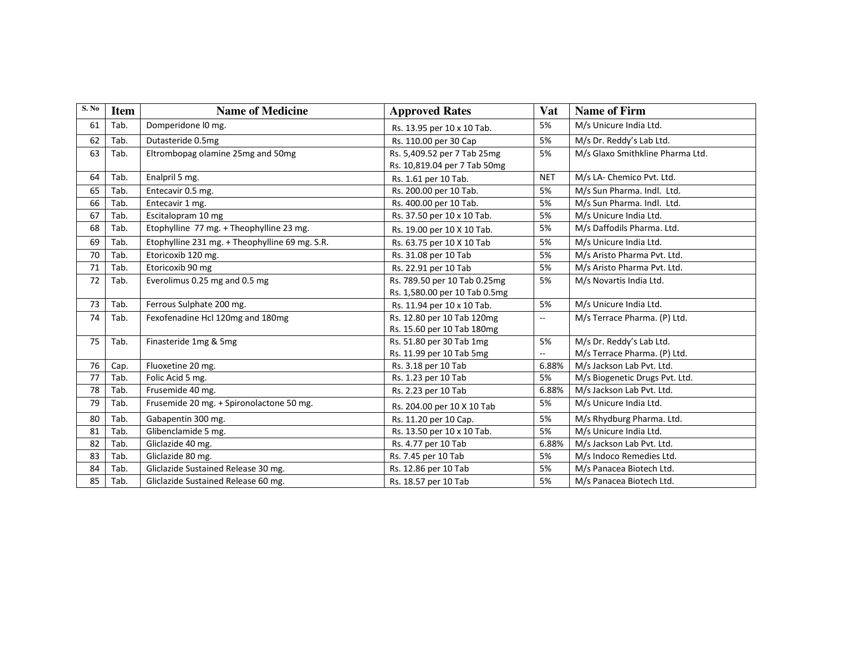| S. No | <b>Item</b> | <b>Name of Medicine</b>                        | <b>Approved Rates</b>                                         | Vat                            | <b>Name of Firm</b>                                      |
|-------|-------------|------------------------------------------------|---------------------------------------------------------------|--------------------------------|----------------------------------------------------------|
| 61    | Tab.        | Domperidone I0 mg.                             | Rs. 13.95 per 10 x 10 Tab.                                    | 5%                             | M/s Unicure India Ltd.                                   |
| 62    | Tab.        | Dutasteride 0.5mg                              | Rs. 110.00 per 30 Cap                                         | 5%                             | M/s Dr. Reddy's Lab Ltd.                                 |
| 63    | Tab.        | Eltrombopag olamine 25mg and 50mg              | Rs. 5,409.52 per 7 Tab 25mg<br>Rs. 10,819.04 per 7 Tab 50mg   | 5%                             | M/s Glaxo Smithkline Pharma Ltd.                         |
| 64    | Tab.        | Enalpril 5 mg.                                 | Rs. 1.61 per 10 Tab.                                          | <b>NET</b>                     | M/s LA- Chemico Pvt. Ltd.                                |
| 65    | Tab.        | Entecavir 0.5 mg.                              | Rs. 200.00 per 10 Tab.                                        | 5%                             | M/s Sun Pharma. Indl. Ltd.                               |
| 66    | Tab.        | Entecavir 1 mg.                                | Rs. 400.00 per 10 Tab.                                        | 5%                             | M/s Sun Pharma, Indl. Ltd.                               |
| 67    | Tab.        | Escitalopram 10 mg                             | Rs. 37.50 per 10 x 10 Tab.                                    | 5%                             | M/s Unicure India Ltd.                                   |
| 68    | Tab.        | Etophylline 77 mg. + Theophylline 23 mg.       | Rs. 19.00 per 10 X 10 Tab.                                    | 5%                             | M/s Daffodils Pharma. Ltd.                               |
| 69    | Tab.        | Etophylline 231 mg. + Theophylline 69 mg. S.R. | Rs. 63.75 per 10 X 10 Tab                                     | 5%                             | M/s Unicure India Ltd.                                   |
| 70    | Tab.        | Etoricoxib 120 mg.                             | Rs. 31.08 per 10 Tab                                          | 5%                             | M/s Aristo Pharma Pvt. Ltd.                              |
| 71    | Tab.        | Etoricoxib 90 mg                               | Rs. 22.91 per 10 Tab                                          | 5%                             | M/s Aristo Pharma Pvt. Ltd.                              |
| 72    | Tab.        | Everolimus 0.25 mg and 0.5 mg                  | Rs. 789.50 per 10 Tab 0.25mg<br>Rs. 1,580.00 per 10 Tab 0.5mg | 5%                             | M/s Novartis India Ltd.                                  |
| 73    | Tab.        | Ferrous Sulphate 200 mg.                       | Rs. 11.94 per 10 x 10 Tab.                                    | 5%                             | M/s Unicure India Ltd.                                   |
| 74    | Tab.        | Fexofenadine Hcl 120mg and 180mg               | Rs. 12.80 per 10 Tab 120mg<br>Rs. 15.60 per 10 Tab 180mg      | $\overline{\phantom{a}}$       | M/s Terrace Pharma. (P) Ltd.                             |
| 75    | Tab.        | Finasteride 1mg & 5mg                          | Rs. 51.80 per 30 Tab 1mg<br>Rs. 11.99 per 10 Tab 5mg          | 5%<br>$\overline{\phantom{a}}$ | M/s Dr. Reddy's Lab Ltd.<br>M/s Terrace Pharma. (P) Ltd. |
| 76    | Cap.        | Fluoxetine 20 mg.                              | Rs. 3.18 per 10 Tab                                           | 6.88%                          | M/s Jackson Lab Pvt. Ltd.                                |
| 77    | Tab.        | Folic Acid 5 mg.                               | Rs. 1.23 per 10 Tab                                           | 5%                             | M/s Biogenetic Drugs Pvt. Ltd.                           |
| 78    | Tab.        | Frusemide 40 mg.                               | Rs. 2.23 per 10 Tab                                           | 6.88%                          | M/s Jackson Lab Pvt. Ltd.                                |
| 79    | Tab.        | Frusemide 20 mg. + Spironolactone 50 mg.       | Rs. 204.00 per 10 X 10 Tab                                    | 5%                             | M/s Unicure India Ltd.                                   |
| 80    | Tab.        | Gabapentin 300 mg.                             | Rs. 11.20 per 10 Cap.                                         | 5%                             | M/s Rhydburg Pharma. Ltd.                                |
| 81    | Tab.        | Glibenclamide 5 mg.                            | Rs. 13.50 per 10 x 10 Tab.                                    | 5%                             | M/s Unicure India Ltd.                                   |
| 82    | Tab.        | Gliclazide 40 mg.                              | Rs. 4.77 per 10 Tab                                           | 6.88%                          | M/s Jackson Lab Pvt. Ltd.                                |
| 83    | Tab.        | Gliclazide 80 mg.                              | Rs. 7.45 per 10 Tab                                           | 5%                             | M/s Indoco Remedies Ltd.                                 |
| 84    | Tab.        | Gliclazide Sustained Release 30 mg.            | Rs. 12.86 per 10 Tab                                          | 5%                             | M/s Panacea Biotech Ltd.                                 |
| 85    | Tab.        | Gliclazide Sustained Release 60 mg.            | Rs. 18.57 per 10 Tab                                          | 5%                             | M/s Panacea Biotech Ltd.                                 |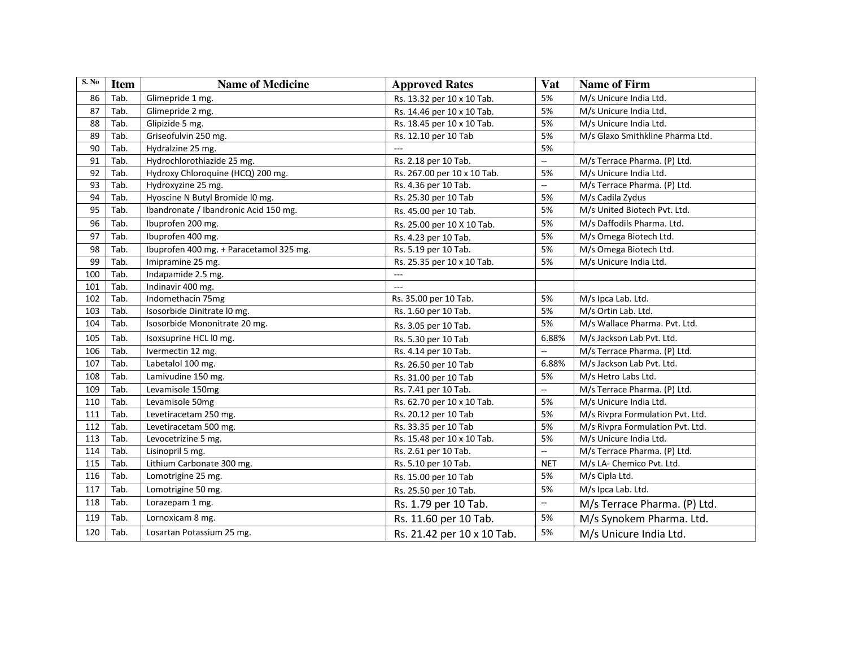| S. No | <b>Item</b> | <b>Name of Medicine</b>                 | <b>Approved Rates</b>       | Vat                 | <b>Name of Firm</b>              |
|-------|-------------|-----------------------------------------|-----------------------------|---------------------|----------------------------------|
| 86    | Tab.        | Glimepride 1 mg.                        | Rs. 13.32 per 10 x 10 Tab.  | 5%                  | M/s Unicure India Ltd.           |
| 87    | Tab.        | Glimepride 2 mg.                        | Rs. 14.46 per 10 x 10 Tab.  | 5%                  | M/s Unicure India Ltd.           |
| 88    | Tab.        | Glipizide 5 mg.                         | Rs. 18.45 per 10 x 10 Tab.  | 5%                  | M/s Unicure India Ltd.           |
| 89    | Tab.        | Griseofulvin 250 mg.                    | Rs. 12.10 per 10 Tab        | 5%                  | M/s Glaxo Smithkline Pharma Ltd. |
| 90    | Tab.        | Hydralzine 25 mg.                       |                             | 5%                  |                                  |
| 91    | Tab.        | Hydrochlorothiazide 25 mg.              | Rs. 2.18 per 10 Tab.        | $\mathbb{Z}^2$      | M/s Terrace Pharma. (P) Ltd.     |
| 92    | Tab.        | Hydroxy Chloroquine (HCQ) 200 mg.       | Rs. 267.00 per 10 x 10 Tab. | 5%                  | M/s Unicure India Ltd.           |
| 93    | Tab.        | Hydroxyzine 25 mg.                      | Rs. 4.36 per 10 Tab.        | ц.                  | M/s Terrace Pharma. (P) Ltd.     |
| 94    | Tab.        | Hyoscine N Butyl Bromide IO mg.         | Rs. 25.30 per 10 Tab        | 5%                  | M/s Cadila Zydus                 |
| 95    | Tab.        | Ibandronate / Ibandronic Acid 150 mg.   | Rs. 45.00 per 10 Tab.       | 5%                  | M/s United Biotech Pvt. Ltd.     |
| 96    | Tab.        | Ibuprofen 200 mg.                       | Rs. 25.00 per 10 X 10 Tab.  | 5%                  | M/s Daffodils Pharma. Ltd.       |
| 97    | Tab.        | Ibuprofen 400 mg.                       | Rs. 4.23 per 10 Tab.        | 5%                  | M/s Omega Biotech Ltd.           |
| 98    | Tab.        | Ibuprofen 400 mg. + Paracetamol 325 mg. | Rs. 5.19 per 10 Tab.        | 5%                  | M/s Omega Biotech Ltd.           |
| 99    | Tab.        | Imipramine 25 mg.                       | Rs. 25.35 per 10 x 10 Tab.  | 5%                  | M/s Unicure India Ltd.           |
| 100   | Tab.        | Indapamide 2.5 mg.                      | $\hspace{0.05cm} \ldots$    |                     |                                  |
| 101   | Tab.        | Indinavir 400 mg.                       | $\overline{a}$              |                     |                                  |
| 102   | Tab.        | Indomethacin 75mg                       | Rs. 35.00 per 10 Tab.       | 5%                  | M/s Ipca Lab. Ltd.               |
| 103   | Tab.        | Isosorbide Dinitrate I0 mg.             | Rs. 1.60 per 10 Tab.        | 5%                  | M/s Ortin Lab. Ltd.              |
| 104   | Tab.        | Isosorbide Mononitrate 20 mg.           | Rs. 3.05 per 10 Tab.        | 5%                  | M/s Wallace Pharma. Pvt. Ltd.    |
| 105   | Tab.        | Isoxsuprine HCL I0 mg.                  | Rs. 5.30 per 10 Tab         | 6.88%               | M/s Jackson Lab Pvt. Ltd.        |
| 106   | Tab.        | Ivermectin 12 mg.                       | Rs. 4.14 per 10 Tab.        | Ξ.                  | M/s Terrace Pharma. (P) Ltd.     |
| 107   | Tab.        | Labetalol 100 mg.                       | Rs. 26.50 per 10 Tab        | 6.88%               | M/s Jackson Lab Pvt. Ltd.        |
| 108   | Tab.        | Lamivudine 150 mg.                      | Rs. 31.00 per 10 Tab        | 5%                  | M/s Hetro Labs Ltd.              |
| 109   | Tab.        | Levamisole 150mg                        | Rs. 7.41 per 10 Tab.        | $\bar{\phantom{a}}$ | M/s Terrace Pharma. (P) Ltd.     |
| 110   | Tab.        | Levamisole 50mg                         | Rs. 62.70 per 10 x 10 Tab.  | 5%                  | M/s Unicure India Ltd.           |
| 111   | Tab.        | Levetiracetam 250 mg.                   | Rs. 20.12 per 10 Tab        | 5%                  | M/s Rivpra Formulation Pvt. Ltd. |
| 112   | Tab.        | Levetiracetam 500 mg.                   | Rs. 33.35 per 10 Tab        | 5%                  | M/s Rivpra Formulation Pvt. Ltd. |
| 113   | Tab.        | Levocetrizine 5 mg.                     | Rs. 15.48 per 10 x 10 Tab.  | 5%                  | M/s Unicure India Ltd.           |
| 114   | Tab.        | Lisinopril 5 mg.                        | Rs. 2.61 per 10 Tab.        | ц.                  | M/s Terrace Pharma. (P) Ltd.     |
| 115   | Tab.        | Lithium Carbonate 300 mg.               | Rs. 5.10 per 10 Tab.        | <b>NET</b>          | M/s LA- Chemico Pvt. Ltd.        |
| 116   | Tab.        | Lomotrigine 25 mg.                      | Rs. 15.00 per 10 Tab        | 5%                  | M/s Cipla Ltd.                   |
| 117   | Tab.        | Lomotrigine 50 mg.                      | Rs. 25.50 per 10 Tab.       | 5%                  | M/s Ipca Lab. Ltd.               |
| 118   | Tab.        | Lorazepam 1 mg.                         | Rs. 1.79 per 10 Tab.        | $\mathbb{Z}^2$      | M/s Terrace Pharma. (P) Ltd.     |
| 119   | Tab.        | Lornoxicam 8 mg.                        | Rs. 11.60 per 10 Tab.       | 5%                  | M/s Synokem Pharma. Ltd.         |
| 120   | Tab.        | Losartan Potassium 25 mg.               | Rs. 21.42 per 10 x 10 Tab.  | 5%                  | M/s Unicure India Ltd.           |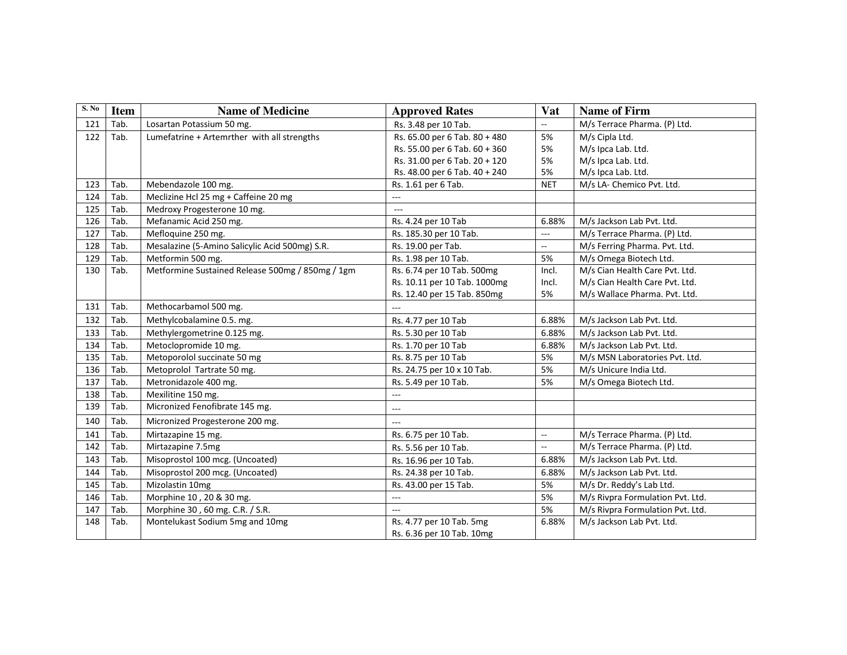| S. No |             |                                                  |                               |                          |                                  |
|-------|-------------|--------------------------------------------------|-------------------------------|--------------------------|----------------------------------|
|       | <b>Item</b> | <b>Name of Medicine</b>                          | <b>Approved Rates</b>         | Vat                      | <b>Name of Firm</b>              |
| 121   | Tab.        | Losartan Potassium 50 mg.                        | Rs. 3.48 per 10 Tab.          | $\overline{a}$           | M/s Terrace Pharma. (P) Ltd.     |
| 122   | Tab.        | Lumefatrine + Artemrther with all strengths      | Rs. 65.00 per 6 Tab. 80 + 480 | 5%                       | M/s Cipla Ltd.                   |
|       |             |                                                  | Rs. 55.00 per 6 Tab. 60 + 360 | 5%                       | M/s Ipca Lab. Ltd.               |
|       |             |                                                  | Rs. 31.00 per 6 Tab. 20 + 120 | 5%                       | M/s Ipca Lab. Ltd.               |
|       |             |                                                  | Rs. 48.00 per 6 Tab. 40 + 240 | 5%                       | M/s Ipca Lab. Ltd.               |
| 123   | Tab.        | Mebendazole 100 mg.                              | Rs. 1.61 per 6 Tab.           | <b>NET</b>               | M/s LA- Chemico Pvt. Ltd.        |
| 124   | Tab.        | Meclizine Hcl 25 mg + Caffeine 20 mg             | $---$                         |                          |                                  |
| 125   | Tab.        | Medroxy Progesterone 10 mg.                      | $\sim$ $\sim$                 |                          |                                  |
| 126   | Tab.        | Mefanamic Acid 250 mg.                           | Rs. 4.24 per 10 Tab           | 6.88%                    | M/s Jackson Lab Pvt. Ltd.        |
| 127   | Tab.        | Mefloquine 250 mg.                               | Rs. 185.30 per 10 Tab.        | $\overline{a}$           | M/s Terrace Pharma. (P) Ltd.     |
| 128   | Tab.        | Mesalazine (5-Amino Salicylic Acid 500mg) S.R.   | Rs. 19.00 per Tab.            | ω.                       | M/s Ferring Pharma. Pvt. Ltd.    |
| 129   | Tab.        | Metformin 500 mg.                                | Rs. 1.98 per 10 Tab.          | 5%                       | M/s Omega Biotech Ltd.           |
| 130   | Tab.        | Metformine Sustained Release 500mg / 850mg / 1gm | Rs. 6.74 per 10 Tab. 500mg    | Incl.                    | M/s Cian Health Care Pvt. Ltd.   |
|       |             |                                                  | Rs. 10.11 per 10 Tab. 1000mg  | Incl.                    | M/s Cian Health Care Pvt. Ltd.   |
|       |             |                                                  | Rs. 12.40 per 15 Tab. 850mg   | 5%                       | M/s Wallace Pharma. Pvt. Ltd.    |
| 131   | Tab.        | Methocarbamol 500 mg.                            | ---                           |                          |                                  |
| 132   | Tab.        | Methylcobalamine 0.5. mg.                        | Rs. 4.77 per 10 Tab           | 6.88%                    | M/s Jackson Lab Pvt. Ltd.        |
| 133   | Tab.        | Methylergometrine 0.125 mg.                      | Rs. 5.30 per 10 Tab           | 6.88%                    | M/s Jackson Lab Pvt. Ltd.        |
| 134   | Tab.        | Metoclopromide 10 mg.                            | Rs. 1.70 per 10 Tab           | 6.88%                    | M/s Jackson Lab Pvt. Ltd.        |
| 135   | Tab.        | Metoporolol succinate 50 mg                      | Rs. 8.75 per 10 Tab           | 5%                       | M/s MSN Laboratories Pvt. Ltd.   |
| 136   | Tab.        | Metoprolol Tartrate 50 mg.                       | Rs. 24.75 per 10 x 10 Tab.    | 5%                       | M/s Unicure India Ltd.           |
| 137   | Tab.        | Metronidazole 400 mg.                            | Rs. 5.49 per 10 Tab.          | 5%                       | M/s Omega Biotech Ltd.           |
| 138   | Tab.        | Mexilitine 150 mg.                               | ---                           |                          |                                  |
| 139   | Tab.        | Micronized Fenofibrate 145 mg.                   | $\overline{a}$                |                          |                                  |
| 140   | Tab.        | Micronized Progesterone 200 mg.                  | ---                           |                          |                                  |
| 141   | Tab.        | Mirtazapine 15 mg.                               | Rs. 6.75 per 10 Tab.          | цц.                      | M/s Terrace Pharma. (P) Ltd.     |
| 142   | Tab.        | Mirtazapine 7.5mg                                | Rs. 5.56 per 10 Tab.          | $\overline{\phantom{a}}$ | M/s Terrace Pharma. (P) Ltd.     |
| 143   | Tab.        | Misoprostol 100 mcg. (Uncoated)                  | Rs. 16.96 per 10 Tab.         | 6.88%                    | M/s Jackson Lab Pvt. Ltd.        |
| 144   | Tab.        | Misoprostol 200 mcg. (Uncoated)                  | Rs. 24.38 per 10 Tab.         | 6.88%                    | M/s Jackson Lab Pvt. Ltd.        |
| 145   | Tab.        | Mizolastin 10mg                                  | Rs. 43.00 per 15 Tab.         | 5%                       | M/s Dr. Reddy's Lab Ltd.         |
| 146   | Tab.        | Morphine 10, 20 & 30 mg.                         | ---                           | 5%                       | M/s Rivpra Formulation Pvt. Ltd. |
| 147   | Tab.        | Morphine 30, 60 mg. C.R. / S.R.                  | $---$                         | 5%                       | M/s Rivpra Formulation Pvt. Ltd. |
| 148   | Tab.        | Montelukast Sodium 5mg and 10mg                  | Rs. 4.77 per 10 Tab. 5mg      | 6.88%                    | M/s Jackson Lab Pvt. Ltd.        |
|       |             |                                                  | Rs. 6.36 per 10 Tab. 10mg     |                          |                                  |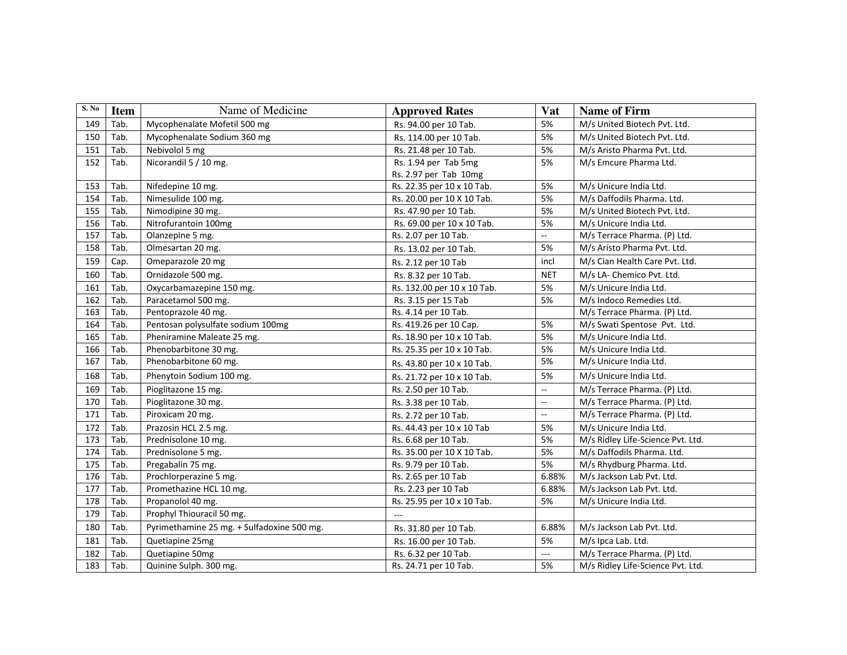| S. No | <b>Item</b> | Name of Medicine                           | <b>Approved Rates</b>       | <b>Vat</b>               | <b>Name of Firm</b>               |
|-------|-------------|--------------------------------------------|-----------------------------|--------------------------|-----------------------------------|
| 149   |             |                                            |                             |                          |                                   |
|       | Tab.        | Mycophenalate Mofetil 500 mg               | Rs. 94.00 per 10 Tab.       | 5%                       | M/s United Biotech Pvt. Ltd.      |
| 150   | Tab.        | Mycophenalate Sodium 360 mg                | Rs. 114.00 per 10 Tab.      | 5%                       | M/s United Biotech Pvt. Ltd.      |
| 151   | Tab.        | Nebivolol 5 mg                             | Rs. 21.48 per 10 Tab.       | 5%                       | M/s Aristo Pharma Pvt. Ltd.       |
| 152   | Tab.        | Nicorandil 5 / 10 mg.                      | Rs. 1.94 per Tab 5mg        | 5%                       | M/s Emcure Pharma Ltd.            |
|       |             |                                            | Rs. 2.97 per Tab 10mg       |                          |                                   |
| 153   | Tab.        | Nifedepine 10 mg.                          | Rs. 22.35 per 10 x 10 Tab.  | 5%                       | M/s Unicure India Ltd.            |
| 154   | Tab.        | Nimesulide 100 mg.                         | Rs. 20.00 per 10 X 10 Tab.  | 5%                       | M/s Daffodils Pharma. Ltd.        |
| 155   | Tab.        | Nimodipine 30 mg.                          | Rs. 47.90 per 10 Tab.       | 5%                       | M/s United Biotech Pvt. Ltd.      |
| 156   | Tab.        | Nitrofurantoin 100mg                       | Rs. 69.00 per 10 x 10 Tab.  | 5%                       | M/s Unicure India Ltd.            |
| 157   | Tab.        | Olanzepine 5 mg.                           | Rs. 2.07 per 10 Tab.        | н.                       | M/s Terrace Pharma. (P) Ltd.      |
| 158   | Tab.        | Olmesartan 20 mg.                          | Rs. 13.02 per 10 Tab.       | 5%                       | M/s Aristo Pharma Pvt. Ltd.       |
| 159   | Cap.        | Omeparazole 20 mg                          | Rs. 2.12 per 10 Tab         | incl                     | M/s Cian Health Care Pvt. Ltd.    |
| 160   | Tab.        | Ornidazole 500 mg.                         | Rs. 8.32 per 10 Tab.        | <b>NET</b>               | M/s LA- Chemico Pvt. Ltd.         |
| 161   | Tab.        | Oxycarbamazepine 150 mg.                   | Rs. 132.00 per 10 x 10 Tab. | 5%                       | M/s Unicure India Ltd.            |
| 162   | Tab.        | Paracetamol 500 mg.                        | Rs. 3.15 per 15 Tab         | 5%                       | M/s Indoco Remedies Ltd.          |
| 163   | Tab.        | Pentoprazole 40 mg.                        | Rs. 4.14 per 10 Tab.        |                          | M/s Terrace Pharma. (P) Ltd.      |
| 164   | Tab.        | Pentosan polysulfate sodium 100mg          | Rs. 419.26 per 10 Cap.      | 5%                       | M/s Swati Spentose Pvt. Ltd.      |
| 165   | Tab.        | Pheniramine Maleate 25 mg.                 | Rs. 18.90 per 10 x 10 Tab.  | 5%                       | M/s Unicure India Ltd.            |
| 166   | Tab.        | Phenobarbitone 30 mg.                      | Rs. 25.35 per 10 x 10 Tab.  | 5%                       | M/s Unicure India Ltd.            |
| 167   | Tab.        | Phenobarbitone 60 mg.                      | Rs. 43.80 per 10 x 10 Tab.  | 5%                       | M/s Unicure India Ltd.            |
| 168   | Tab.        | Phenytoin Sodium 100 mg.                   | Rs. 21.72 per 10 x 10 Tab.  | 5%                       | M/s Unicure India Ltd.            |
| 169   | Tab.        | Pioglitazone 15 mg.                        | Rs. 2.50 per 10 Tab.        | $\overline{\phantom{a}}$ | M/s Terrace Pharma. (P) Ltd.      |
| 170   | Tab.        | Pioglitazone 30 mg.                        | Rs. 3.38 per 10 Tab.        | ω.                       | M/s Terrace Pharma. (P) Ltd.      |
| 171   | Tab.        | Piroxicam 20 mg.                           | Rs. 2.72 per 10 Tab.        | $\overline{\phantom{a}}$ | M/s Terrace Pharma. (P) Ltd.      |
| 172   | Tab.        | Prazosin HCL 2.5 mg.                       | Rs. 44.43 per 10 x 10 Tab   | 5%                       | M/s Unicure India Ltd.            |
| 173   | Tab.        | Prednisolone 10 mg.                        | Rs. 6.68 per 10 Tab.        | 5%                       | M/s Ridley Life-Science Pvt. Ltd. |
| 174   | Tab.        | Prednisolone 5 mg.                         | Rs. 35.00 per 10 X 10 Tab.  | 5%                       | M/s Daffodils Pharma. Ltd.        |
| 175   | Tab.        | Pregabalin 75 mg.                          | Rs. 9.79 per 10 Tab.        | 5%                       | M/s Rhydburg Pharma. Ltd.         |
| 176   | Tab.        | Prochlorperazine 5 mg.                     | Rs. 2.65 per 10 Tab         | 6.88%                    | M/s Jackson Lab Pvt. Ltd.         |
| 177   | Tab.        | Promethazine HCL 10 mg.                    | Rs. 2.23 per 10 Tab         | 6.88%                    | M/s Jackson Lab Pvt. Ltd.         |
| 178   | Tab.        | Propanolol 40 mg.                          | Rs. 25.95 per 10 x 10 Tab.  | 5%                       | M/s Unicure India Ltd.            |
| 179   | Tab.        | Prophyl Thiouracil 50 mg.                  | $\overline{\phantom{a}}$    |                          |                                   |
| 180   | Tab.        | Pyrimethamine 25 mg. + Sulfadoxine 500 mg. | Rs. 31.80 per 10 Tab.       | 6.88%                    | M/s Jackson Lab Pvt. Ltd.         |
| 181   | Tab.        | Quetiapine 25mg                            | Rs. 16.00 per 10 Tab.       | 5%                       | M/s Ipca Lab. Ltd.                |
| 182   | Tab.        | Quetiapine 50mg                            | Rs. 6.32 per 10 Tab.        | $\overline{a}$           | M/s Terrace Pharma. (P) Ltd.      |
| 183   | Tab.        | Quinine Sulph. 300 mg.                     | Rs. 24.71 per 10 Tab.       | 5%                       | M/s Ridley Life-Science Pvt. Ltd. |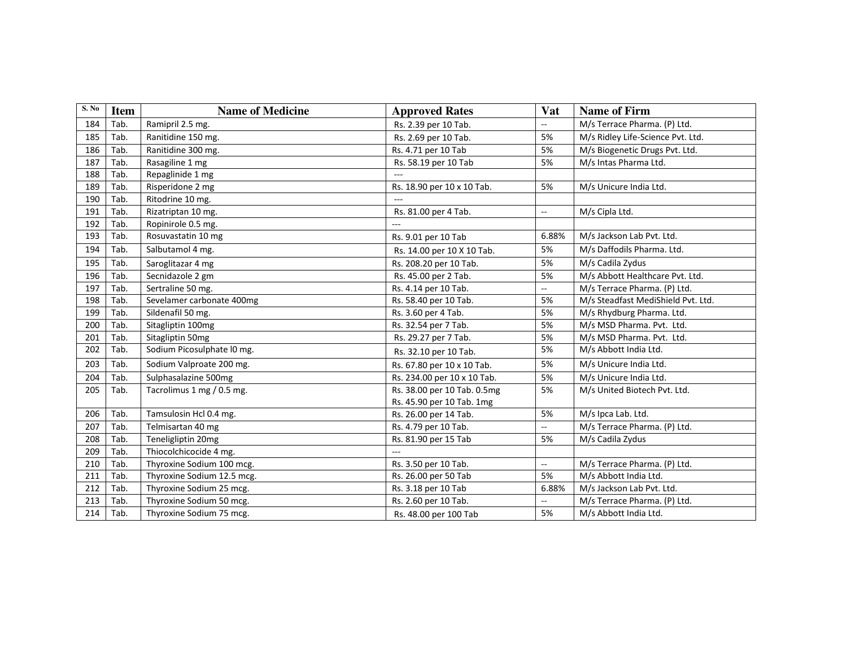| S. No | <b>Item</b> | <b>Name of Medicine</b>    | <b>Approved Rates</b>       | <b>Vat</b>               | <b>Name of Firm</b>                |
|-------|-------------|----------------------------|-----------------------------|--------------------------|------------------------------------|
| 184   | Tab.        | Ramipril 2.5 mg.           | Rs. 2.39 per 10 Tab.        | $\overline{\phantom{a}}$ | M/s Terrace Pharma. (P) Ltd.       |
| 185   | Tab.        | Ranitidine 150 mg.         | Rs. 2.69 per 10 Tab.        | 5%                       | M/s Ridley Life-Science Pvt. Ltd.  |
| 186   | Tab.        | Ranitidine 300 mg.         | Rs. 4.71 per 10 Tab         | 5%                       | M/s Biogenetic Drugs Pvt. Ltd.     |
| 187   | Tab.        | Rasagiline 1 mg            | Rs. 58.19 per 10 Tab        | 5%                       | M/s Intas Pharma Ltd.              |
| 188   | Tab.        | Repaglinide 1 mg           |                             |                          |                                    |
| 189   | Tab.        | Risperidone 2 mg           | Rs. 18.90 per 10 x 10 Tab.  | 5%                       | M/s Unicure India Ltd.             |
| 190   | Tab.        | Ritodrine 10 mg.           | $\sim$                      |                          |                                    |
| 191   | Tab.        | Rizatriptan 10 mg.         | Rs. 81.00 per 4 Tab.        | $\overline{\phantom{a}}$ | M/s Cipla Ltd.                     |
| 192   | Tab.        | Ropinirole 0.5 mg.         |                             |                          |                                    |
| 193   | Tab.        | Rosuvastatin 10 mg         | Rs. 9.01 per 10 Tab         | 6.88%                    | M/s Jackson Lab Pvt. Ltd.          |
| 194   | Tab.        | Salbutamol 4 mg.           | Rs. 14.00 per 10 X 10 Tab.  | 5%                       | M/s Daffodils Pharma. Ltd.         |
| 195   | Tab.        | Saroglitazar 4 mg          | Rs. 208.20 per 10 Tab.      | 5%                       | M/s Cadila Zydus                   |
| 196   | Tab.        | Secnidazole 2 gm           | Rs. 45.00 per 2 Tab.        | 5%                       | M/s Abbott Healthcare Pvt. Ltd.    |
| 197   | Tab.        | Sertraline 50 mg.          | Rs. 4.14 per 10 Tab.        | $\overline{a}$           | M/s Terrace Pharma. (P) Ltd.       |
| 198   | Tab.        | Sevelamer carbonate 400mg  | Rs. 58.40 per 10 Tab.       | 5%                       | M/s Steadfast MediShield Pvt. Ltd. |
| 199   | Tab.        | Sildenafil 50 mg.          | Rs. 3.60 per 4 Tab.         | 5%                       | M/s Rhydburg Pharma. Ltd.          |
| 200   | Tab.        | Sitagliptin 100mg          | Rs. 32.54 per 7 Tab.        | 5%                       | M/s MSD Pharma. Pvt. Ltd.          |
| 201   | Tab.        | Sitagliptin 50mg           | Rs. 29.27 per 7 Tab.        | 5%                       | M/s MSD Pharma. Pvt. Ltd.          |
| 202   | Tab.        | Sodium Picosulphate I0 mg. | Rs. 32.10 per 10 Tab.       | 5%                       | M/s Abbott India Ltd.              |
| 203   | Tab.        | Sodium Valproate 200 mg.   | Rs. 67.80 per 10 x 10 Tab.  | 5%                       | M/s Unicure India Ltd.             |
| 204   | Tab.        | Sulphasalazine 500mg       | Rs. 234.00 per 10 x 10 Tab. | 5%                       | M/s Unicure India Ltd.             |
| 205   | Tab.        | Tacrolimus 1 mg / 0.5 mg.  | Rs. 38.00 per 10 Tab. 0.5mg | 5%                       | M/s United Biotech Pvt. Ltd.       |
|       |             |                            | Rs. 45.90 per 10 Tab. 1mg   |                          |                                    |
| 206   | Tab.        | Tamsulosin Hcl 0.4 mg.     | Rs. 26.00 per 14 Tab.       | 5%                       | M/s Ipca Lab. Ltd.                 |
| 207   | Tab.        | Telmisartan 40 mg          | Rs. 4.79 per 10 Tab.        | $\overline{\phantom{a}}$ | M/s Terrace Pharma. (P) Ltd.       |
| 208   | Tab.        | Teneligliptin 20mg         | Rs. 81.90 per 15 Tab        | 5%                       | M/s Cadila Zydus                   |
| 209   | Tab.        | Thiocolchicocide 4 mg.     | $\overline{a}$              |                          |                                    |
| 210   | Tab.        | Thyroxine Sodium 100 mcg.  | Rs. 3.50 per 10 Tab.        | $\overline{\phantom{a}}$ | M/s Terrace Pharma. (P) Ltd.       |
| 211   | Tab.        | Thyroxine Sodium 12.5 mcg. | Rs. 26.00 per 50 Tab        | 5%                       | M/s Abbott India Ltd.              |
| 212   | Tab.        | Thyroxine Sodium 25 mcg.   | Rs. 3.18 per 10 Tab         | 6.88%                    | M/s Jackson Lab Pvt. Ltd.          |
| 213   | Tab.        | Thyroxine Sodium 50 mcg.   | Rs. 2.60 per 10 Tab.        | Ξ.                       | M/s Terrace Pharma. (P) Ltd.       |
| 214   | Tab.        | Thyroxine Sodium 75 mcg.   | Rs. 48.00 per 100 Tab       | 5%                       | M/s Abbott India Ltd.              |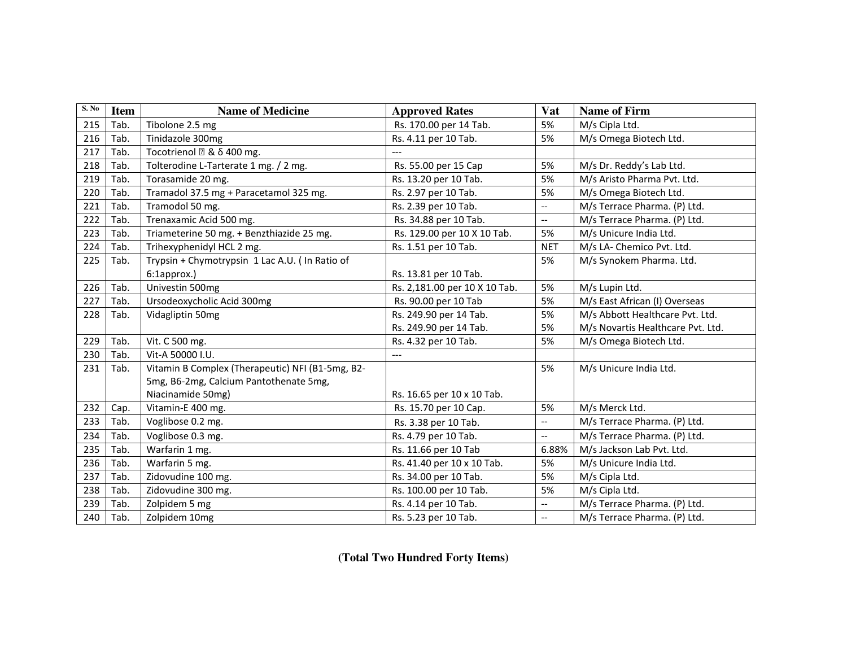| S. No | <b>Item</b> | <b>Name of Medicine</b>                          | <b>Approved Rates</b>         | Vat                      | <b>Name of Firm</b>               |
|-------|-------------|--------------------------------------------------|-------------------------------|--------------------------|-----------------------------------|
| 215   | Tab.        | Tibolone 2.5 mg                                  | Rs. 170.00 per 14 Tab.        | 5%                       | M/s Cipla Ltd.                    |
| 216   | Tab.        | Tinidazole 300mg                                 | Rs. 4.11 per 10 Tab.          | 5%                       | M/s Omega Biotech Ltd.            |
| 217   | Tab.        | & δ 400 mg.<br>Tocotrienol                       | $---$                         |                          |                                   |
| 218   | Tab.        | Tolterodine L-Tarterate 1 mg. / 2 mg.            | Rs. 55.00 per 15 Cap          | 5%                       | M/s Dr. Reddy's Lab Ltd.          |
| 219   | Tab.        | Torasamide 20 mg.                                | Rs. 13.20 per 10 Tab.         | 5%                       | M/s Aristo Pharma Pvt. Ltd.       |
| 220   | Tab.        | Tramadol 37.5 mg + Paracetamol 325 mg.           | Rs. 2.97 per 10 Tab.          | 5%                       | M/s Omega Biotech Ltd.            |
| 221   | Tab.        | Tramodol 50 mg.                                  | Rs. 2.39 per 10 Tab.          | $\overline{\phantom{a}}$ | M/s Terrace Pharma. (P) Ltd.      |
| 222   | Tab.        | Trenaxamic Acid 500 mg.                          | Rs. 34.88 per 10 Tab.         | $\overline{\phantom{a}}$ | M/s Terrace Pharma. (P) Ltd.      |
| 223   | Tab.        | Triameterine 50 mg. + Benzthiazide 25 mg.        | Rs. 129.00 per 10 X 10 Tab.   | 5%                       | M/s Unicure India Ltd.            |
| 224   | Tab.        | Trihexyphenidyl HCL 2 mg.                        | Rs. 1.51 per 10 Tab.          | <b>NET</b>               | M/s LA- Chemico Pvt. Ltd.         |
| 225   | Tab.        | Trypsin + Chymotrypsin 1 Lac A.U. (In Ratio of   |                               | 5%                       | M/s Synokem Pharma. Ltd.          |
|       |             | 6:1approx.)                                      | Rs. 13.81 per 10 Tab.         |                          |                                   |
| 226   | Tab.        | Univestin 500mg                                  | Rs. 2,181.00 per 10 X 10 Tab. | 5%                       | M/s Lupin Ltd.                    |
| 227   | Tab.        | Ursodeoxycholic Acid 300mg                       | Rs. 90.00 per 10 Tab          | 5%                       | M/s East African (I) Overseas     |
| 228   | Tab.        | Vidagliptin 50mg                                 | Rs. 249.90 per 14 Tab.        | 5%                       | M/s Abbott Healthcare Pvt. Ltd.   |
|       |             |                                                  | Rs. 249.90 per 14 Tab.        | 5%                       | M/s Novartis Healthcare Pvt. Ltd. |
| 229   | Tab.        | Vit. C 500 mg.                                   | Rs. 4.32 per 10 Tab.          | 5%                       | M/s Omega Biotech Ltd.            |
| 230   | Tab.        | Vit-A 50000 I.U.                                 | ---                           |                          |                                   |
| 231   | Tab.        | Vitamin B Complex (Therapeutic) NFI (B1-5mg, B2- |                               | 5%                       | M/s Unicure India Ltd.            |
|       |             | 5mg, B6-2mg, Calcium Pantothenate 5mg,           |                               |                          |                                   |
|       |             | Niacinamide 50mg)                                | Rs. 16.65 per 10 x 10 Tab.    |                          |                                   |
| 232   | Cap.        | Vitamin-E 400 mg.                                | Rs. 15.70 per 10 Cap.         | 5%                       | M/s Merck Ltd.                    |
| 233   | Tab.        | Voglibose 0.2 mg.                                | Rs. 3.38 per 10 Tab.          | ΞĒ,                      | M/s Terrace Pharma. (P) Ltd.      |
| 234   | Tab.        | Voglibose 0.3 mg.                                | Rs. 4.79 per 10 Tab.          | $-$                      | M/s Terrace Pharma. (P) Ltd.      |
| 235   | Tab.        | Warfarin 1 mg.                                   | Rs. 11.66 per 10 Tab          | 6.88%                    | M/s Jackson Lab Pvt. Ltd.         |
| 236   | Tab.        | Warfarin 5 mg.                                   | Rs. 41.40 per 10 x 10 Tab.    | 5%                       | M/s Unicure India Ltd.            |
| 237   | Tab.        | Zidovudine 100 mg.                               | Rs. 34.00 per 10 Tab.         | 5%                       | M/s Cipla Ltd.                    |
| 238   | Tab.        | Zidovudine 300 mg.                               | Rs. 100.00 per 10 Tab.        | 5%                       | M/s Cipla Ltd.                    |
| 239   | Tab.        | Zolpidem 5 mg                                    | Rs. 4.14 per 10 Tab.          | $-$                      | M/s Terrace Pharma. (P) Ltd.      |
| 240   | Tab.        | Zolpidem 10mg                                    | Rs. 5.23 per 10 Tab.          | $\overline{\phantom{a}}$ | M/s Terrace Pharma. (P) Ltd.      |

**(Total Two Hundred Forty Items)**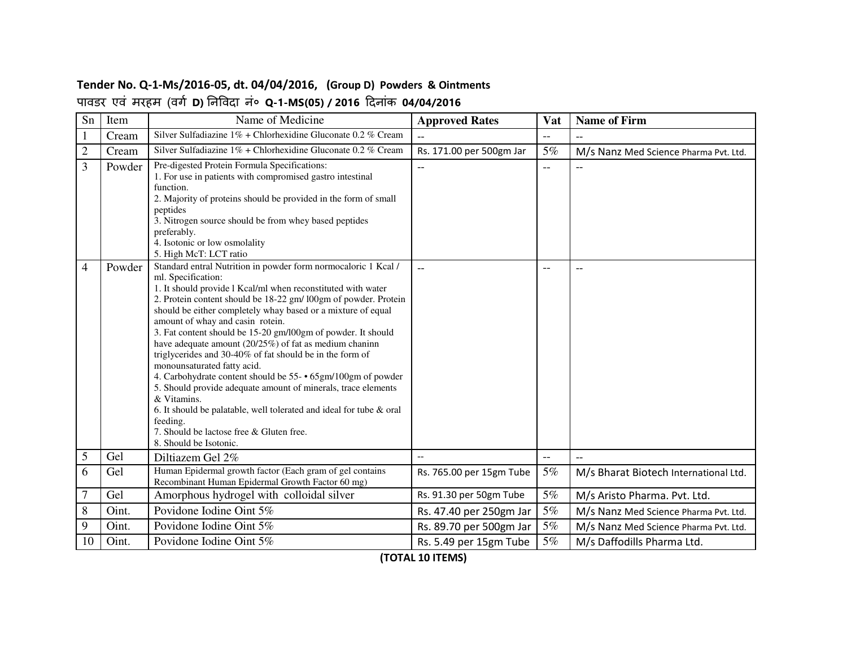#### **Tender No. Q-1-Ms/2016-05, dt. 04/04/2016, (Group D) Powders & Ointments** पावडर एवं मरहम (वग **D)** नवदा नं० **Q-1-MS(05) / 2016** दनांक **04/04/2016**

| Sn             | Item   | Name of Medicine                                                                                                                                                                                                                                                                                                                                                                                                                                                                                                                                                                                                                                                                                                                                                                                                                                          | <b>Approved Rates</b>    | Vat                      | <b>Name of Firm</b>                   |
|----------------|--------|-----------------------------------------------------------------------------------------------------------------------------------------------------------------------------------------------------------------------------------------------------------------------------------------------------------------------------------------------------------------------------------------------------------------------------------------------------------------------------------------------------------------------------------------------------------------------------------------------------------------------------------------------------------------------------------------------------------------------------------------------------------------------------------------------------------------------------------------------------------|--------------------------|--------------------------|---------------------------------------|
| 1              | Cream  | Silver Sulfadiazine 1% + Chlorhexidine Gluconate 0.2 % Cream                                                                                                                                                                                                                                                                                                                                                                                                                                                                                                                                                                                                                                                                                                                                                                                              |                          | $-$                      |                                       |
| $\mathbf{2}$   | Cream  | Silver Sulfadiazine 1% + Chlorhexidine Gluconate 0.2 % Cream                                                                                                                                                                                                                                                                                                                                                                                                                                                                                                                                                                                                                                                                                                                                                                                              | Rs. 171.00 per 500gm Jar | 5%                       | M/s Nanz Med Science Pharma Pvt. Ltd. |
| 3              | Powder | Pre-digested Protein Formula Specifications:<br>1. For use in patients with compromised gastro intestinal<br>function.<br>2. Majority of proteins should be provided in the form of small<br>peptides<br>3. Nitrogen source should be from whey based peptides<br>preferably.<br>4. Isotonic or low osmolality<br>5. High McT: LCT ratio                                                                                                                                                                                                                                                                                                                                                                                                                                                                                                                  |                          | $\overline{\phantom{a}}$ |                                       |
| 4              | Powder | Standard entral Nutrition in powder form normocaloric 1 Kcal /<br>ml. Specification:<br>1. It should provide l Kcal/ml when reconstituted with water<br>2. Protein content should be 18-22 gm/ l00gm of powder. Protein<br>should be either completely whay based or a mixture of equal<br>amount of whay and casin rotein.<br>3. Fat content should be 15-20 gm/l00gm of powder. It should<br>have adequate amount (20/25%) of fat as medium chaninn<br>triglycerides and 30-40% of fat should be in the form of<br>monounsaturated fatty acid.<br>4. Carbohydrate content should be 55- • 65gm/100gm of powder<br>5. Should provide adequate amount of minerals, trace elements<br>& Vitamins.<br>6. It should be palatable, well tolerated and ideal for tube & oral<br>feeding.<br>7. Should be lactose free & Gluten free.<br>8. Should be Isotonic. | $-$                      | $\overline{\phantom{m}}$ | $-$                                   |
| 5              | Gel    | Diltiazem Gel 2%                                                                                                                                                                                                                                                                                                                                                                                                                                                                                                                                                                                                                                                                                                                                                                                                                                          | $\overline{\phantom{a}}$ | $\overline{\phantom{a}}$ | $\overline{\phantom{0}}$              |
| 6              | Gel    | Human Epidermal growth factor (Each gram of gel contains<br>Recombinant Human Epidermal Growth Factor 60 mg)                                                                                                                                                                                                                                                                                                                                                                                                                                                                                                                                                                                                                                                                                                                                              | Rs. 765.00 per 15gm Tube | 5%                       | M/s Bharat Biotech International Ltd. |
| $\overline{7}$ | Gel    | Amorphous hydrogel with colloidal silver                                                                                                                                                                                                                                                                                                                                                                                                                                                                                                                                                                                                                                                                                                                                                                                                                  | Rs. 91.30 per 50gm Tube  | 5%                       | M/s Aristo Pharma. Pvt. Ltd.          |
| 8              | Oint.  | Povidone Iodine Oint 5%                                                                                                                                                                                                                                                                                                                                                                                                                                                                                                                                                                                                                                                                                                                                                                                                                                   | Rs. 47.40 per 250gm Jar  | $5\%$                    | M/s Nanz Med Science Pharma Pvt. Ltd. |
| 9              | Oint.  | Povidone Iodine Oint 5%                                                                                                                                                                                                                                                                                                                                                                                                                                                                                                                                                                                                                                                                                                                                                                                                                                   | Rs. 89.70 per 500gm Jar  | 5%                       | M/s Nanz Med Science Pharma Pvt. Ltd. |
| 10             | Oint.  | Povidone Iodine Oint 5%                                                                                                                                                                                                                                                                                                                                                                                                                                                                                                                                                                                                                                                                                                                                                                                                                                   | Rs. 5.49 per 15gm Tube   | 5%                       | M/s Daffodills Pharma Ltd.            |

**(TOTAL 10 ITEMS)**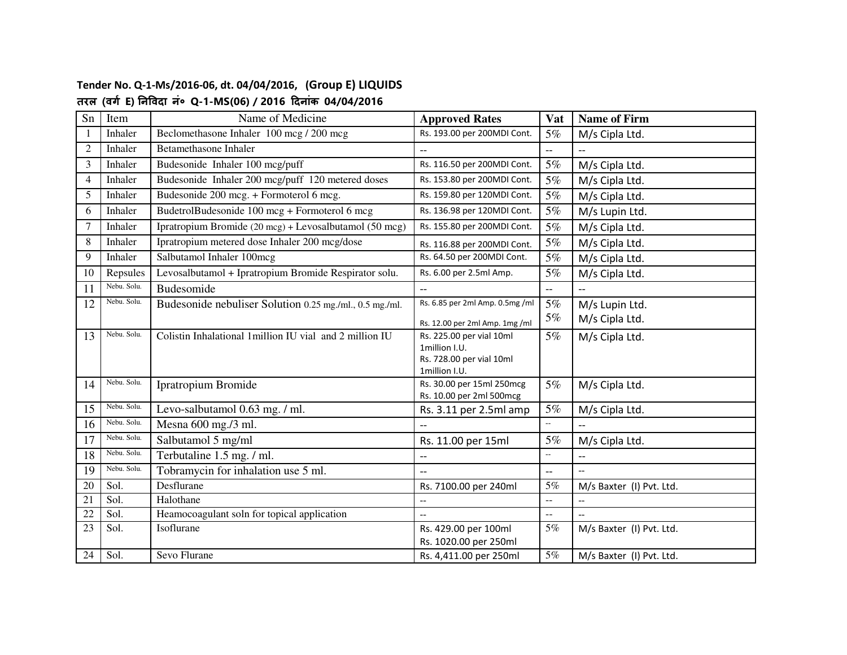# **Tender No. Q-1-Ms/2016-06, dt. 04/04/2016, (Group E) LIQUIDS**

## **तरल (वग E) नवदा नं० Q-1-MS(06) / 2016 दनांक 04/04/2016**

| Sn             | Item        | Name of Medicine                                        | <b>Approved Rates</b>                               | Vat                                           | <b>Name of Firm</b>                                 |
|----------------|-------------|---------------------------------------------------------|-----------------------------------------------------|-----------------------------------------------|-----------------------------------------------------|
| $\overline{1}$ | Inhaler     | Beclomethasone Inhaler 100 mcg / 200 mcg                | Rs. 193.00 per 200MDI Cont.                         | 5%                                            | M/s Cipla Ltd.                                      |
| $\overline{2}$ | Inhaler     | <b>Betamethasone Inhaler</b>                            | $\overline{\phantom{0}}$                            | $\overline{\phantom{a}}$                      | $\overline{\phantom{0}}$                            |
| 3              | Inhaler     | Budesonide Inhaler 100 mcg/puff                         | Rs. 116.50 per 200MDI Cont.                         | 5%                                            | M/s Cipla Ltd.                                      |
| $\overline{4}$ | Inhaler     | Budesonide Inhaler 200 mcg/puff 120 metered doses       | Rs. 153.80 per 200MDI Cont.                         | 5%                                            | M/s Cipla Ltd.                                      |
| 5              | Inhaler     | Budesonide 200 mcg. + Formoterol 6 mcg.                 | Rs. 159.80 per 120MDI Cont.                         | 5%                                            | M/s Cipla Ltd.                                      |
| 6              | Inhaler     | BudetrolBudesonide 100 mcg + Formoterol 6 mcg           | Rs. 136.98 per 120MDI Cont.                         | 5%                                            | M/s Lupin Ltd.                                      |
| 7              | Inhaler     | Ipratropium Bromide (20 mcg) + Levosalbutamol (50 mcg)  | Rs. 155.80 per 200MDI Cont.                         | 5%                                            | M/s Cipla Ltd.                                      |
| 8              | Inhaler     | Ipratropium metered dose Inhaler 200 mcg/dose           | Rs. 116.88 per 200MDI Cont.                         | 5%                                            | M/s Cipla Ltd.                                      |
| 9              | Inhaler     | Salbutamol Inhaler 100mcg                               | Rs. 64.50 per 200MDI Cont.                          | 5%                                            | M/s Cipla Ltd.                                      |
| 10             | Repsules    | Levosalbutamol + Ipratropium Bromide Respirator solu.   | Rs. 6.00 per 2.5ml Amp.                             | 5%                                            | M/s Cipla Ltd.                                      |
| 11             | Nebu. Solu. | <b>Budesomide</b>                                       | $\overline{a}$                                      | $\overline{\phantom{a}}$                      |                                                     |
| 12             | Nebu. Solu. | Budesonide nebuliser Solution 0.25 mg./ml., 0.5 mg./ml. | Rs. 6.85 per 2ml Amp. 0.5mg /ml                     | 5%                                            | M/s Lupin Ltd.                                      |
|                |             |                                                         | Rs. 12.00 per 2ml Amp. 1mg /ml                      | 5%                                            | M/s Cipla Ltd.                                      |
| 13             | Nebu. Solu. | Colistin Inhalational 1million IU vial and 2 million IU | Rs. 225.00 per vial 10ml                            | 5%                                            | M/s Cipla Ltd.                                      |
|                |             |                                                         | 1million I.U.                                       |                                               |                                                     |
|                |             |                                                         | Rs. 728.00 per vial 10ml<br>1million I.U.           |                                               |                                                     |
| 14             | Nebu. Solu. | Ipratropium Bromide                                     | Rs. 30.00 per 15ml 250mcg                           | 5%                                            | M/s Cipla Ltd.                                      |
|                |             |                                                         | Rs. 10.00 per 2ml 500mcg                            |                                               |                                                     |
| 15             | Nebu. Solu. | Levo-salbutamol 0.63 mg. / ml.                          | Rs. 3.11 per 2.5ml amp                              | $5\%$                                         | M/s Cipla Ltd.                                      |
| 16             | Nebu. Solu. | Mesna 600 mg./3 ml.                                     | $\overline{a}$                                      | $\mathbb{L}^{\mathbb{L}}$                     |                                                     |
| 17             | Nebu. Solu. | Salbutamol 5 mg/ml                                      | Rs. 11.00 per 15ml                                  | 5%                                            | M/s Cipla Ltd.                                      |
| 18             | Nebu. Solu. | Terbutaline 1.5 mg. / ml.                               | $-$                                                 | $\mathbb{L}^{\mathbb{L}}$                     |                                                     |
| 19             | Nebu. Solu. | Tobramycin for inhalation use 5 ml.                     |                                                     | $\overline{a}$                                |                                                     |
| 20             | Sol.        | Desflurane                                              | Rs. 7100.00 per 240ml                               | 5%                                            | M/s Baxter (I) Pvt. Ltd.                            |
| 21             | Sol.        | Halothane                                               | $\hspace{0.05cm} -\hspace{0.05cm} -\hspace{0.05cm}$ | $\mathcal{L} = \mathcal{L}$                   | $\hspace{0.05cm} -\hspace{0.05cm} -\hspace{0.05cm}$ |
| 22             | Sol.        | Heamocoagulant soln for topical application             |                                                     | $\mathord{\hspace{1pt}\text{--}\hspace{1pt}}$ |                                                     |
| 23             | Sol.        | Isoflurane                                              | Rs. 429.00 per 100ml                                | $5\%$                                         | M/s Baxter (I) Pvt. Ltd.                            |
|                |             |                                                         | Rs. 1020.00 per 250ml                               |                                               |                                                     |
| 24             | Sol.        | Sevo Flurane                                            | Rs. 4,411.00 per 250ml                              | 5%                                            | M/s Baxter (I) Pvt. Ltd.                            |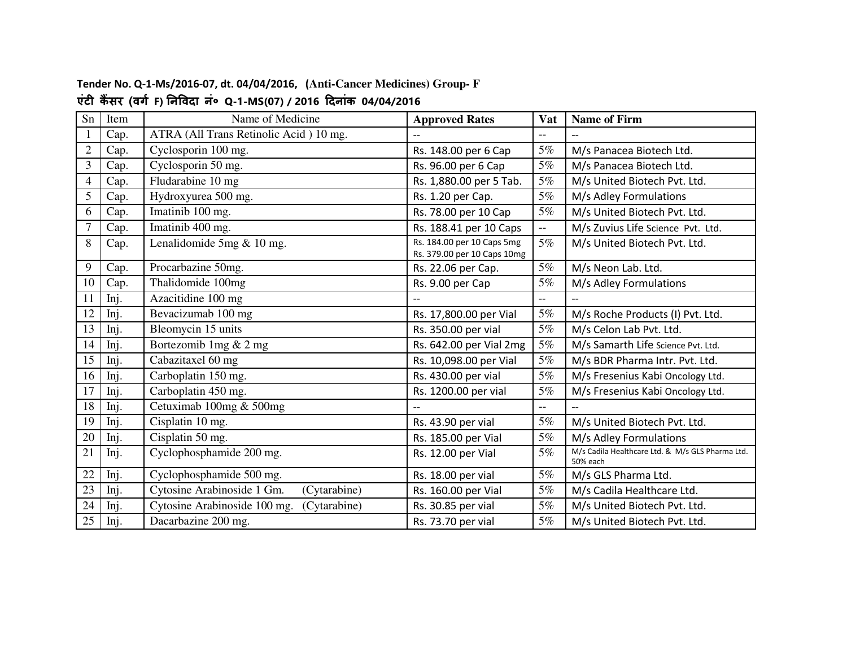### **Tender No. Q-1-Ms/2016-07, dt. 04/04/2016, (Anti-Cancer Medicines) Group- F एंट क सर (वग F) नवदा नं० Q-1-MS(07) / 2016 दनांक 04/04/2016**

| Sn             | Item | Name of Medicine                             | <b>Approved Rates</b>                                     | Vat                      | <b>Name of Firm</b>                                          |
|----------------|------|----------------------------------------------|-----------------------------------------------------------|--------------------------|--------------------------------------------------------------|
| 1              | Cap. | ATRA (All Trans Retinolic Acid) 10 mg.       |                                                           | $-$                      |                                                              |
| $\overline{2}$ | Cap. | Cyclosporin 100 mg.                          | Rs. 148.00 per 6 Cap                                      | 5%                       | M/s Panacea Biotech Ltd.                                     |
| 3              | Cap. | Cyclosporin 50 mg.                           | Rs. 96.00 per 6 Cap                                       | $5\%$                    | M/s Panacea Biotech Ltd.                                     |
| 4              | Cap. | Fludarabine 10 mg                            | Rs. 1,880.00 per 5 Tab.                                   | 5%                       | M/s United Biotech Pvt. Ltd.                                 |
| 5              | Cap. | Hydroxyurea 500 mg.                          | Rs. 1.20 per Cap.                                         | 5%                       | M/s Adley Formulations                                       |
| 6              | Cap. | Imatinib 100 mg.                             | Rs. 78.00 per 10 Cap                                      | $5\%$                    | M/s United Biotech Pvt. Ltd.                                 |
| 7              | Cap. | Imatinib 400 mg.                             | Rs. 188.41 per 10 Caps                                    | $\overline{\phantom{a}}$ | M/s Zuvius Life Science Pvt. Ltd.                            |
| 8              | Cap. | Lenalidomide $5mg & 10$ mg.                  | Rs. 184.00 per 10 Caps 5mg<br>Rs. 379.00 per 10 Caps 10mg | 5%                       | M/s United Biotech Pvt. Ltd.                                 |
| 9              | Cap. | Procarbazine 50mg.                           | Rs. 22.06 per Cap.                                        | 5%                       | M/s Neon Lab. Ltd.                                           |
| 10             | Cap. | Thalidomide 100mg                            | Rs. 9.00 per Cap                                          | 5%                       | M/s Adley Formulations                                       |
| 11             | Inj. | Azacitidine 100 mg                           |                                                           | $- -$                    |                                                              |
| 12             | Inj. | Bevacizumab 100 mg                           | Rs. 17,800.00 per Vial                                    | 5%                       | M/s Roche Products (I) Pvt. Ltd.                             |
| 13             | Inj. | Bleomycin 15 units                           | Rs. 350.00 per vial                                       | 5%                       | M/s Celon Lab Pvt. Ltd.                                      |
| 14             | Inj. | Bortezomib 1mg & 2 mg                        | Rs. 642.00 per Vial 2mg                                   | 5%                       | M/s Samarth Life Science Pvt. Ltd.                           |
| 15             | Inj. | Cabazitaxel 60 mg                            | Rs. 10,098.00 per Vial                                    | 5%                       | M/s BDR Pharma Intr. Pvt. Ltd.                               |
| 16             | Inj. | Carboplatin 150 mg.                          | Rs. 430.00 per vial                                       | $5\%$                    | M/s Fresenius Kabi Oncology Ltd.                             |
| 17             | Inj. | Carboplatin 450 mg.                          | Rs. 1200.00 per vial                                      | 5%                       | M/s Fresenius Kabi Oncology Ltd.                             |
| 18             | Inj. | Cetuximab 100mg & 500mg                      |                                                           | --                       |                                                              |
| 19             | Inj. | Cisplatin 10 mg.                             | Rs. 43.90 per vial                                        | 5%                       | M/s United Biotech Pvt. Ltd.                                 |
| 20             | Inj. | Cisplatin 50 mg.                             | Rs. 185.00 per Vial                                       | 5%                       | M/s Adley Formulations                                       |
| 21             | Inj. | Cyclophosphamide 200 mg.                     | Rs. 12.00 per Vial                                        | 5%                       | M/s Cadila Healthcare Ltd. & M/s GLS Pharma Ltd.<br>50% each |
| 22             | Inj. | Cyclophosphamide 500 mg.                     | Rs. 18.00 per vial                                        | 5%                       | M/s GLS Pharma Ltd.                                          |
| 23             | Inj. | Cytosine Arabinoside 1 Gm.<br>(Cytarabine)   | Rs. 160.00 per Vial                                       | 5%                       | M/s Cadila Healthcare Ltd.                                   |
| 24             | Inj. | Cytosine Arabinoside 100 mg.<br>(Cytarabine) | Rs. 30.85 per vial                                        | 5%                       | M/s United Biotech Pvt. Ltd.                                 |
| 25             | Inj. | Dacarbazine 200 mg.                          | Rs. 73.70 per vial                                        | 5%                       | M/s United Biotech Pvt. Ltd.                                 |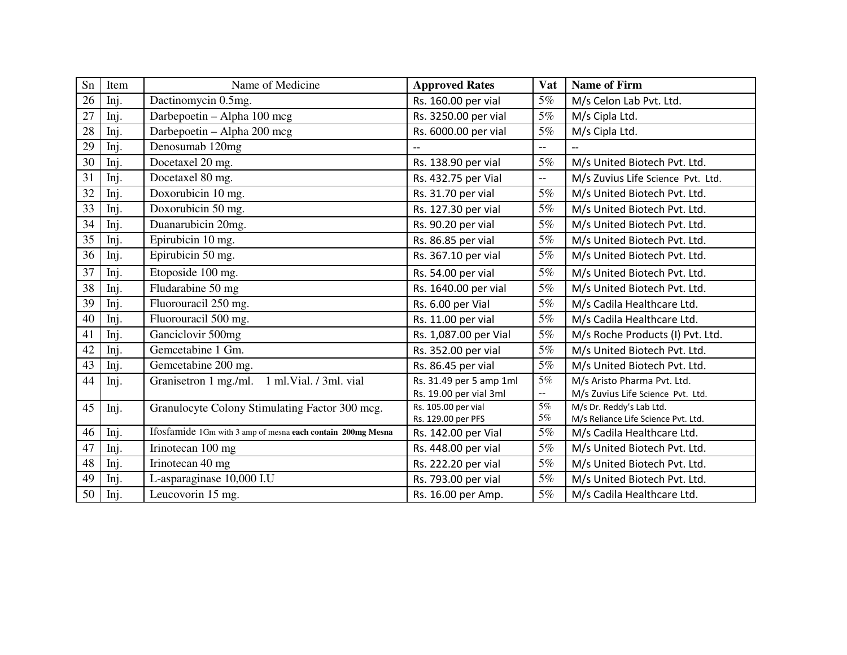| Sn | Item | Name of Medicine                                            | <b>Approved Rates</b>                     | Vat            | <b>Name of Firm</b>                                             |
|----|------|-------------------------------------------------------------|-------------------------------------------|----------------|-----------------------------------------------------------------|
| 26 | Inj. | Dactinomycin 0.5mg.                                         | Rs. 160.00 per vial                       | 5%             | M/s Celon Lab Pvt. Ltd.                                         |
| 27 | Inj. | Darbepoetin - Alpha 100 mcg                                 | Rs. 3250.00 per vial                      | 5%             | M/s Cipla Ltd.                                                  |
| 28 | Inj. | Darbepoetin - Alpha 200 mcg                                 | Rs. 6000.00 per vial                      | 5%             | M/s Cipla Ltd.                                                  |
| 29 | Inj. | Denosumab 120mg                                             | $\overline{\phantom{a}}$                  | $\overline{a}$ |                                                                 |
| 30 | Inj. | Docetaxel 20 mg.                                            | Rs. 138.90 per vial                       | 5%             | M/s United Biotech Pvt. Ltd.                                    |
| 31 | Inj. | Docetaxel 80 mg.                                            | Rs. 432.75 per Vial                       | $-$            | M/s Zuvius Life Science Pvt. Ltd.                               |
| 32 | Inj. | Doxorubicin 10 mg.                                          | Rs. 31.70 per vial                        | 5%             | M/s United Biotech Pvt. Ltd.                                    |
| 33 | Inj. | Doxorubicin 50 mg.                                          | Rs. 127.30 per vial                       | 5%             | M/s United Biotech Pvt. Ltd.                                    |
| 34 | Inj. | Duanarubicin 20mg.                                          | Rs. 90.20 per vial                        | 5%             | M/s United Biotech Pvt. Ltd.                                    |
| 35 | Inj. | Epirubicin 10 mg.                                           | Rs. 86.85 per vial                        | $5\%$          | M/s United Biotech Pvt. Ltd.                                    |
| 36 | Inj. | Epirubicin 50 mg.                                           | Rs. 367.10 per vial                       | 5%             | M/s United Biotech Pvt. Ltd.                                    |
| 37 | Inj. | Etoposide 100 mg.                                           | Rs. 54.00 per vial                        | $5\%$          | M/s United Biotech Pvt. Ltd.                                    |
| 38 | Inj. | Fludarabine 50 mg                                           | Rs. 1640.00 per vial                      | 5%             | M/s United Biotech Pvt. Ltd.                                    |
| 39 | Inj. | Fluorouracil 250 mg.                                        | Rs. 6.00 per Vial                         | 5%             | M/s Cadila Healthcare Ltd.                                      |
| 40 | Inj. | Fluorouracil 500 mg.                                        | Rs. 11.00 per vial                        | 5%             | M/s Cadila Healthcare Ltd.                                      |
| 41 | Inj. | Ganciclovir 500mg                                           | Rs. 1,087.00 per Vial                     | 5%             | M/s Roche Products (I) Pvt. Ltd.                                |
| 42 | Inj. | Gemcetabine 1 Gm.                                           | Rs. 352.00 per vial                       | $5\%$          | M/s United Biotech Pvt. Ltd.                                    |
| 43 | Inj. | Gemcetabine 200 mg.                                         | Rs. 86.45 per vial                        | 5%             | M/s United Biotech Pvt. Ltd.                                    |
| 44 | Inj. | 1 ml.Vial. / 3ml. vial<br>Granisetron 1 mg./ml.             | Rs. 31.49 per 5 amp 1ml                   | 5%             | M/s Aristo Pharma Pvt. Ltd.                                     |
|    |      |                                                             | Rs. 19.00 per vial 3ml                    | $\sim$ $-$     | M/s Zuvius Life Science Pvt. Ltd.                               |
| 45 | Inj. | Granulocyte Colony Stimulating Factor 300 mcg.              | Rs. 105.00 per vial<br>Rs. 129.00 per PFS | $5\%$<br>5%    | M/s Dr. Reddy's Lab Ltd.<br>M/s Reliance Life Science Pvt. Ltd. |
| 46 | Inj. | Ifosfamide 1Gm with 3 amp of mesna each contain 200mg Mesna | Rs. 142.00 per Vial                       | 5%             | M/s Cadila Healthcare Ltd.                                      |
| 47 | Inj. | Irinotecan 100 mg                                           | Rs. 448.00 per vial                       | 5%             | M/s United Biotech Pvt. Ltd.                                    |
| 48 | Inj. | Irinotecan 40 mg                                            | Rs. 222.20 per vial                       | 5%             | M/s United Biotech Pvt. Ltd.                                    |
| 49 | Inj. | L-asparaginase 10,000 I.U                                   | Rs. 793.00 per vial                       | 5%             | M/s United Biotech Pvt. Ltd.                                    |
| 50 | Inj. | Leucovorin 15 mg.                                           | Rs. 16.00 per Amp.                        | 5%             | M/s Cadila Healthcare Ltd.                                      |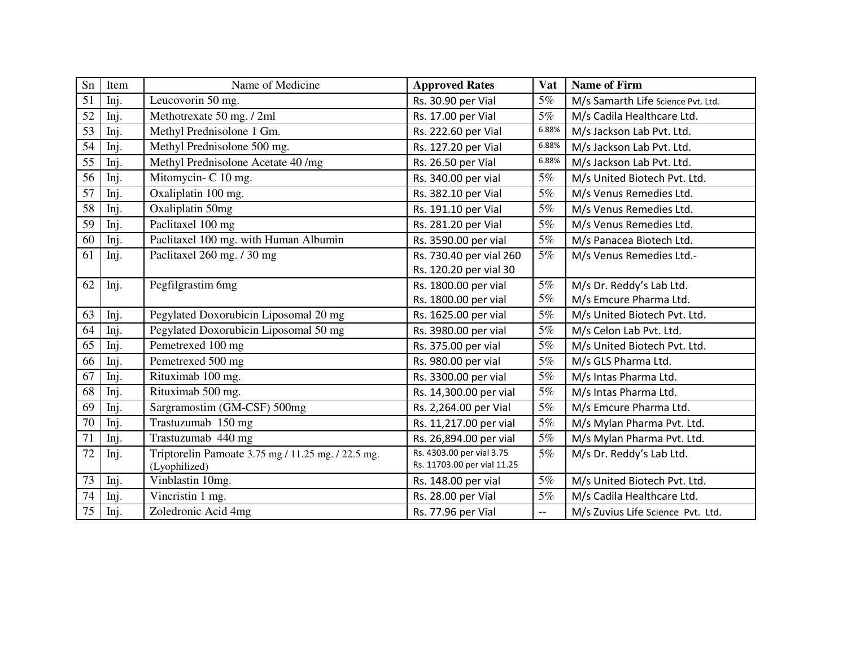| Sn | Item | Name of Medicine                                   | <b>Approved Rates</b>       | Vat   | <b>Name of Firm</b>                |
|----|------|----------------------------------------------------|-----------------------------|-------|------------------------------------|
| 51 | Inj. | Leucovorin 50 mg.                                  | Rs. 30.90 per Vial          | $5\%$ | M/s Samarth Life Science Pvt. Ltd. |
| 52 | Inj. | Methotrexate 50 mg. / 2ml                          | Rs. 17.00 per Vial          | 5%    | M/s Cadila Healthcare Ltd.         |
| 53 | Inj. | Methyl Prednisolone 1 Gm.                          | Rs. 222.60 per Vial         | 6.88% | M/s Jackson Lab Pvt. Ltd.          |
| 54 | Inj. | Methyl Prednisolone 500 mg.                        | Rs. 127.20 per Vial         | 6.88% | M/s Jackson Lab Pvt. Ltd.          |
| 55 | Inj. | Methyl Prednisolone Acetate 40 /mg                 | Rs. 26.50 per Vial          | 6.88% | M/s Jackson Lab Pvt. Ltd.          |
| 56 | Inj. | Mitomycin- C 10 mg.                                | Rs. 340.00 per vial         | 5%    | M/s United Biotech Pvt. Ltd.       |
| 57 | Inj. | Oxaliplatin 100 mg.                                | Rs. 382.10 per Vial         | 5%    | M/s Venus Remedies Ltd.            |
| 58 | Inj. | Oxaliplatin 50mg                                   | Rs. 191.10 per Vial         | 5%    | M/s Venus Remedies Ltd.            |
| 59 | Inj. | Paclitaxel 100 mg                                  | Rs. 281.20 per Vial         | 5%    | M/s Venus Remedies Ltd.            |
| 60 | Inj. | Paclitaxel 100 mg. with Human Albumin              | Rs. 3590.00 per vial        | 5%    | M/s Panacea Biotech Ltd.           |
| 61 | Inj. | Paclitaxel 260 mg. / 30 mg                         | Rs. 730.40 per vial 260     | 5%    | M/s Venus Remedies Ltd.-           |
|    |      |                                                    | Rs. 120.20 per vial 30      |       |                                    |
| 62 | Inj. | Pegfilgrastim 6mg                                  | Rs. 1800.00 per vial        | 5%    | M/s Dr. Reddy's Lab Ltd.           |
|    |      |                                                    | Rs. 1800.00 per vial        | 5%    | M/s Emcure Pharma Ltd.             |
| 63 | Inj. | Pegylated Doxorubicin Liposomal 20 mg              | Rs. 1625.00 per vial        | 5%    | M/s United Biotech Pvt. Ltd.       |
| 64 | Inj. | Pegylated Doxorubicin Liposomal 50 mg              | Rs. 3980.00 per vial        | 5%    | M/s Celon Lab Pvt. Ltd.            |
| 65 | Inj. | Pemetrexed 100 mg                                  | Rs. 375.00 per vial         | 5%    | M/s United Biotech Pvt. Ltd.       |
| 66 | Inj. | Pemetrexed 500 mg                                  | Rs. 980.00 per vial         | $5\%$ | M/s GLS Pharma Ltd.                |
| 67 | Inj. | Rituximab 100 mg.                                  | Rs. 3300.00 per vial        | 5%    | M/s Intas Pharma Ltd.              |
| 68 | Inj. | Rituximab 500 mg.                                  | Rs. 14,300.00 per vial      | $5\%$ | M/s Intas Pharma Ltd.              |
| 69 | Inj. | Sargramostim (GM-CSF) 500mg                        | Rs. 2,264.00 per Vial       | $5\%$ | M/s Emcure Pharma Ltd.             |
| 70 | Inj. | Trastuzumab 150 mg                                 | Rs. 11,217.00 per vial      | 5%    | M/s Mylan Pharma Pvt. Ltd.         |
| 71 | Inj. | Trastuzumab 440 mg                                 | Rs. 26,894.00 per vial      | $5\%$ | M/s Mylan Pharma Pvt. Ltd.         |
| 72 | Inj. | Triptorelin Pamoate 3.75 mg / 11.25 mg. / 22.5 mg. | Rs. 4303.00 per vial 3.75   | 5%    | M/s Dr. Reddy's Lab Ltd.           |
|    |      | (Lyophilized)                                      | Rs. 11703.00 per vial 11.25 |       |                                    |
| 73 | Inj. | Vinblastin 10mg.                                   | Rs. 148.00 per vial         | $5\%$ | M/s United Biotech Pvt. Ltd.       |
| 74 | Inj. | $\overline{\text{V}}$ incristin 1 mg.              | Rs. 28.00 per Vial          | 5%    | M/s Cadila Healthcare Ltd.         |
| 75 | Inj. | Zoledronic Acid 4mg                                | Rs. 77.96 per Vial          | --    | M/s Zuvius Life Science Pvt. Ltd.  |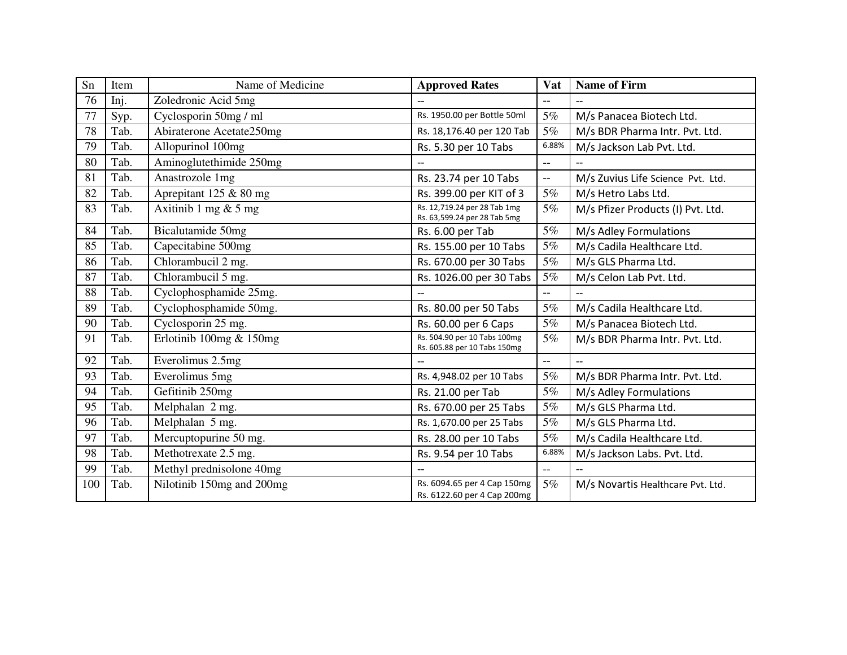| Sn  | Item | Name of Medicine          | <b>Approved Rates</b>                                        | Vat                      | <b>Name of Firm</b>               |
|-----|------|---------------------------|--------------------------------------------------------------|--------------------------|-----------------------------------|
| 76  | Inj. | Zoledronic Acid 5mg       | $-$                                                          | $-$                      |                                   |
| 77  | Syp. | Cyclosporin 50mg / ml     | Rs. 1950.00 per Bottle 50ml                                  | 5%                       | M/s Panacea Biotech Ltd.          |
| 78  | Tab. | Abiraterone Acetate250mg  | Rs. 18,176.40 per 120 Tab                                    | 5%                       | M/s BDR Pharma Intr. Pvt. Ltd.    |
| 79  | Tab. | Allopurinol 100mg         | Rs. 5.30 per 10 Tabs                                         | 6.88%                    | M/s Jackson Lab Pvt. Ltd.         |
| 80  | Tab. | Aminoglutethimide 250mg   |                                                              | $-$                      |                                   |
| 81  | Tab. | Anastrozole 1mg           | Rs. 23.74 per 10 Tabs                                        | $-$                      | M/s Zuvius Life Science Pvt. Ltd. |
| 82  | Tab. | Aprepitant 125 & 80 mg    | Rs. 399.00 per KIT of 3                                      | $5\%$                    | M/s Hetro Labs Ltd.               |
| 83  | Tab. | Axitinib 1 mg $& 5$ mg    | Rs. 12,719.24 per 28 Tab 1mg<br>Rs. 63,599.24 per 28 Tab 5mg | 5%                       | M/s Pfizer Products (I) Pvt. Ltd. |
| 84  | Tab. | Bicalutamide 50mg         | Rs. 6.00 per Tab                                             | $5\%$                    | M/s Adley Formulations            |
| 85  | Tab. | Capecitabine 500mg        | Rs. 155.00 per 10 Tabs                                       | 5%                       | M/s Cadila Healthcare Ltd.        |
| 86  | Tab. | Chlorambucil 2 mg.        | Rs. 670.00 per 30 Tabs                                       | 5%                       | M/s GLS Pharma Ltd.               |
| 87  | Tab. | Chlorambucil 5 mg.        | Rs. 1026.00 per 30 Tabs                                      | 5%                       | M/s Celon Lab Pvt. Ltd.           |
| 88  | Tab. | Cyclophosphamide 25mg.    | $\overline{\phantom{a}}$                                     | $-$                      | $\overline{\phantom{a}}$          |
| 89  | Tab. | Cyclophosphamide 50mg.    | Rs. 80.00 per 50 Tabs                                        | 5%                       | M/s Cadila Healthcare Ltd.        |
| 90  | Tab. | Cyclosporin 25 mg.        | Rs. 60.00 per 6 Caps                                         | $5\%$                    | M/s Panacea Biotech Ltd.          |
| 91  | Tab. | Erlotinib 100mg & 150mg   | Rs. 504.90 per 10 Tabs 100mg<br>Rs. 605.88 per 10 Tabs 150mg | 5%                       | M/s BDR Pharma Intr. Pvt. Ltd.    |
| 92  | Tab. | Everolimus 2.5mg          | $- -$                                                        | $--$                     | $\overline{a}$                    |
| 93  | Tab. | Everolimus 5mg            | Rs. 4,948.02 per 10 Tabs                                     | 5%                       | M/s BDR Pharma Intr. Pvt. Ltd.    |
| 94  | Tab. | Gefitinib 250mg           | Rs. 21.00 per Tab                                            | 5%                       | M/s Adley Formulations            |
| 95  | Tab. | Melphalan 2 mg.           | Rs. 670.00 per 25 Tabs                                       | 5%                       | M/s GLS Pharma Ltd.               |
| 96  | Tab. | Melphalan 5 mg.           | Rs. 1,670.00 per 25 Tabs                                     | 5%                       | M/s GLS Pharma Ltd.               |
| 97  | Tab. | Mercuptopurine 50 mg.     | Rs. 28.00 per 10 Tabs                                        | 5%                       | M/s Cadila Healthcare Ltd.        |
| 98  | Tab. | Methotrexate 2.5 mg.      | Rs. 9.54 per 10 Tabs                                         | 6.88%                    | M/s Jackson Labs. Pvt. Ltd.       |
| 99  | Tab. | Methyl prednisolone 40mg  | $-$                                                          | $\overline{\phantom{m}}$ |                                   |
| 100 | Tab. | Nilotinib 150mg and 200mg | Rs. 6094.65 per 4 Cap 150mg<br>Rs. 6122.60 per 4 Cap 200mg   | 5%                       | M/s Novartis Healthcare Pvt. Ltd. |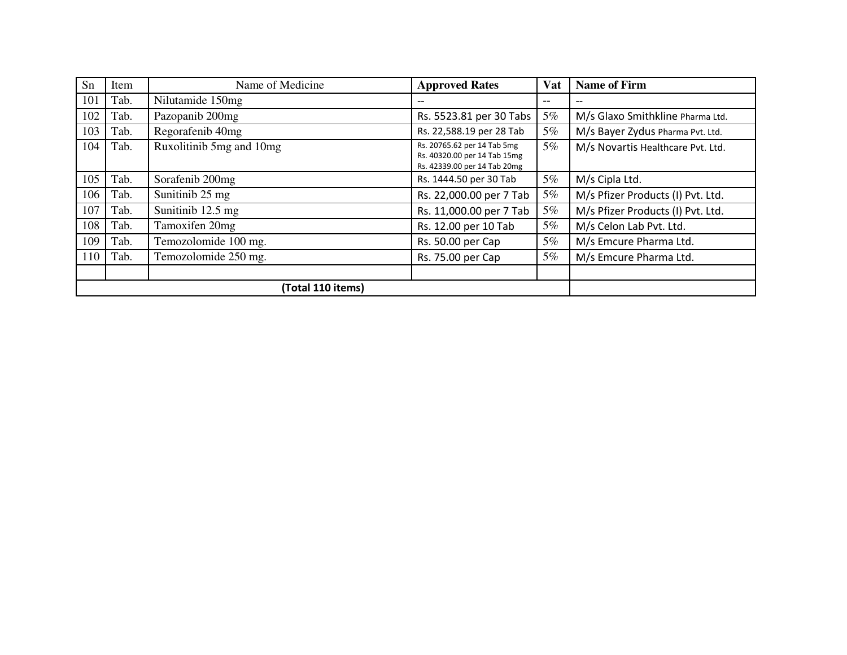| Sn  | Item | Name of Medicine         | <b>Approved Rates</b>                                                                       | Vat   | <b>Name of Firm</b>               |
|-----|------|--------------------------|---------------------------------------------------------------------------------------------|-------|-----------------------------------|
| 101 | Tab. | Nilutamide 150mg         | $- -$                                                                                       | $- -$ | $\qquad \qquad -$                 |
| 102 | Tab. | Pazopanib 200mg          | Rs. 5523.81 per 30 Tabs                                                                     | 5%    | M/s Glaxo Smithkline Pharma Ltd.  |
| 103 | Tab. | Regorafenib 40mg         | Rs. 22,588.19 per 28 Tab                                                                    | 5%    | M/s Bayer Zydus Pharma Pvt. Ltd.  |
| 104 | Tab. | Ruxolitinib 5mg and 10mg | Rs. 20765.62 per 14 Tab 5mg<br>Rs. 40320.00 per 14 Tab 15mg<br>Rs. 42339.00 per 14 Tab 20mg | 5%    | M/s Novartis Healthcare Pvt. Ltd. |
| 105 | Tab. | Sorafenib 200mg          | Rs. 1444.50 per 30 Tab                                                                      | 5%    | M/s Cipla Ltd.                    |
| 106 | Tab. | Sunitinib 25 mg          | Rs. 22,000.00 per 7 Tab                                                                     | 5%    | M/s Pfizer Products (I) Pvt. Ltd. |
| 107 | Tab. | Sunitinib 12.5 mg        | Rs. 11,000.00 per 7 Tab                                                                     | 5%    | M/s Pfizer Products (I) Pvt. Ltd. |
| 108 | Tab. | Tamoxifen 20mg           | Rs. 12.00 per 10 Tab                                                                        | 5%    | M/s Celon Lab Pvt. Ltd.           |
| 109 | Tab. | Temozolomide 100 mg.     | Rs. 50.00 per Cap                                                                           | 5%    | M/s Emcure Pharma Ltd.            |
| 110 | Tab. | Temozolomide 250 mg.     | Rs. 75.00 per Cap                                                                           | 5%    | M/s Emcure Pharma Ltd.            |
|     |      |                          |                                                                                             |       |                                   |
|     |      | (Total 110 items)        |                                                                                             |       |                                   |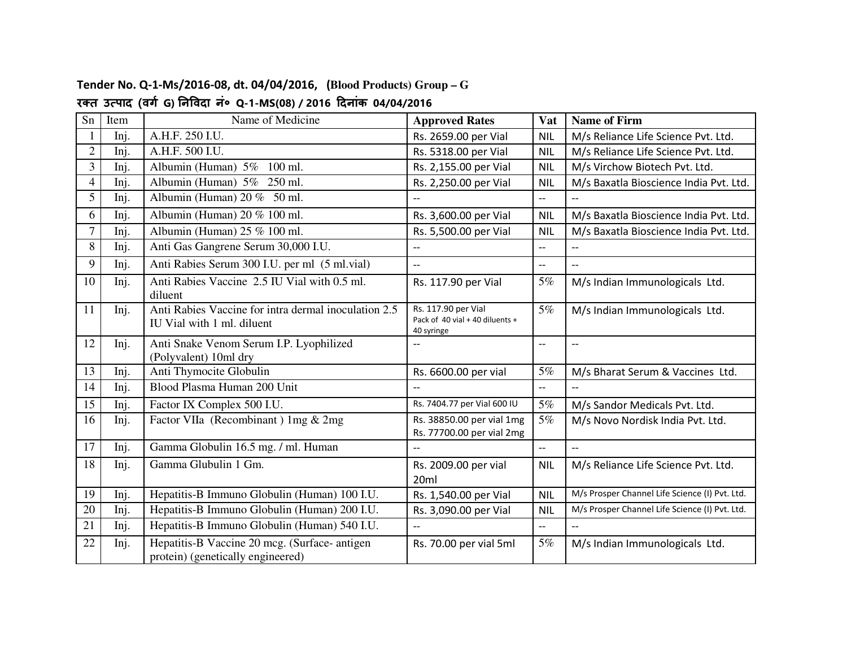| Sn             | Item | Name of Medicine                                                                   | <b>Approved Rates</b>                                                | Vat                      | <b>Name of Firm</b>                            |
|----------------|------|------------------------------------------------------------------------------------|----------------------------------------------------------------------|--------------------------|------------------------------------------------|
|                | Inj. | A.H.F. 250 I.U.                                                                    | Rs. 2659.00 per Vial                                                 | <b>NIL</b>               | M/s Reliance Life Science Pvt. Ltd.            |
| $\overline{2}$ | Inj. | A.H.F. 500 I.U.                                                                    | Rs. 5318.00 per Vial                                                 | <b>NIL</b>               | M/s Reliance Life Science Pvt. Ltd.            |
| 3              | Inj. | Albumin (Human) 5% 100 ml.                                                         | Rs. 2,155.00 per Vial                                                | <b>NIL</b>               | M/s Virchow Biotech Pvt. Ltd.                  |
| 4              | Inj. | Albumin (Human) 5% 250 ml.                                                         | Rs. 2,250.00 per Vial                                                | <b>NIL</b>               | M/s Baxatla Bioscience India Pvt. Ltd.         |
| 5              | Inj. | Albumin (Human) $20\%$ 50 ml.                                                      | $\overline{\phantom{a}}$                                             | $\overline{a}$           | $\overline{a}$                                 |
| 6              | Inj. | Albumin (Human) 20 % 100 ml.                                                       | Rs. 3,600.00 per Vial                                                | <b>NIL</b>               | M/s Baxatla Bioscience India Pvt. Ltd.         |
| $\overline{7}$ | Inj. | Albumin (Human) $25\%$ 100 ml.                                                     | Rs. 5,500.00 per Vial                                                | <b>NIL</b>               | M/s Baxatla Bioscience India Pvt. Ltd.         |
| 8              | Inj. | Anti Gas Gangrene Serum 30,000 I.U.                                                | $\overline{a}$                                                       | $\overline{a}$           |                                                |
| 9              | Inj. | Anti Rabies Serum 300 I.U. per ml (5 ml. vial)                                     | $\overline{\phantom{a}}$                                             | --                       | $\overline{a}$                                 |
| 10             | Inj. | Anti Rabies Vaccine 2.5 IU Vial with 0.5 ml.<br>diluent                            | Rs. 117.90 per Vial                                                  | 5%                       | M/s Indian Immunologicals Ltd.                 |
| 11             | Inj. | Anti Rabies Vaccine for intra dermal inoculation 2.5<br>IU Vial with 1 ml. diluent | Rs. 117.90 per Vial<br>Pack of 40 vial + 40 diluents +<br>40 syringe | 5%                       | M/s Indian Immunologicals Ltd.                 |
| 12             | Inj. | Anti Snake Venom Serum I.P. Lyophilized<br>(Polyvalent) 10ml dry                   | $\overline{a}$                                                       | $-$                      | --                                             |
| 13             | Inj. | Anti Thymocite Globulin                                                            | Rs. 6600.00 per vial                                                 | 5%                       | M/s Bharat Serum & Vaccines Ltd.               |
| 14             | Inj. | Blood Plasma Human 200 Unit                                                        | $-$                                                                  | $-$                      |                                                |
| 15             | Inj. | Factor IX Complex 500 I.U.                                                         | Rs. 7404.77 per Vial 600 IU                                          | 5%                       | M/s Sandor Medicals Pvt. Ltd.                  |
| 16             | Inj. | Factor VIIa (Recombinant) 1mg & 2mg                                                | Rs. 38850.00 per vial 1mg<br>Rs. 77700.00 per vial 2mg               | 5%                       | M/s Novo Nordisk India Pvt. Ltd.               |
| 17             | Inj. | Gamma Globulin 16.5 mg. / ml. Human                                                | $\overline{\phantom{a}}$                                             | --                       | $\overline{a}$                                 |
| 18             | Inj. | Gamma Glubulin 1 Gm.                                                               | Rs. 2009.00 per vial<br>20 <sub>ml</sub>                             | <b>NIL</b>               | M/s Reliance Life Science Pvt. Ltd.            |
| 19             | Inj. | Hepatitis-B Immuno Globulin (Human) 100 I.U.                                       | Rs. 1,540.00 per Vial                                                | <b>NIL</b>               | M/s Prosper Channel Life Science (I) Pvt. Ltd. |
| 20             | Inj. | Hepatitis-B Immuno Globulin (Human) 200 I.U.                                       | Rs. 3,090.00 per Vial                                                | <b>NIL</b>               | M/s Prosper Channel Life Science (I) Pvt. Ltd. |
| 21             | Inj. | Hepatitis-B Immuno Globulin (Human) 540 I.U.                                       | $-$                                                                  | $\overline{\phantom{a}}$ | $\overline{a}$                                 |
| 22             | Inj. | Hepatitis-B Vaccine 20 mcg. (Surface- antigen<br>protein) (genetically engineered) | Rs. 70.00 per vial 5ml                                               | 5%                       | M/s Indian Immunologicals Ltd.                 |

#### **Tender No. Q-1-Ms/2016-08, dt. 04/04/2016, (Blood Products) Group – G र
त उपाद (वग G) नवदा नं० Q-1-MS(08) / 2016 दनांक 04/04/2016**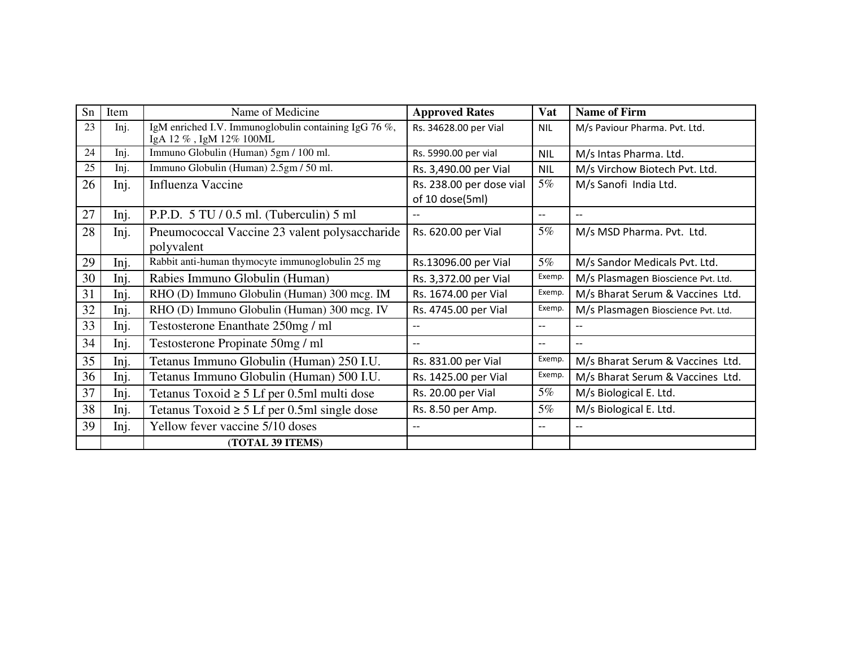| Sn | Item | Name of Medicine                                                                | <b>Approved Rates</b>                       | <b>Vat</b> | <b>Name of Firm</b>                |
|----|------|---------------------------------------------------------------------------------|---------------------------------------------|------------|------------------------------------|
| 23 | Inj. | IgM enriched I.V. Immunoglobulin containing IgG 76 %,<br>IgA 12%, IgM 12% 100ML | Rs. 34628.00 per Vial                       | <b>NIL</b> | M/s Paviour Pharma. Pvt. Ltd.      |
| 24 | Inj. | Immuno Globulin (Human) 5gm / 100 ml.                                           | Rs. 5990.00 per vial                        | <b>NIL</b> | M/s Intas Pharma. Ltd.             |
| 25 | Inj. | Immuno Globulin (Human) 2.5gm / 50 ml.                                          | Rs. 3,490.00 per Vial                       | <b>NIL</b> | M/s Virchow Biotech Pvt. Ltd.      |
| 26 | Inj. | Influenza Vaccine                                                               | Rs. 238.00 per dose vial<br>of 10 dose(5ml) | 5%         | M/s Sanofi India Ltd.              |
| 27 | Inj. | P.P.D. 5 TU / 0.5 ml. (Tuberculin) 5 ml                                         | $\overline{a}$                              | --         | $-$                                |
| 28 | Inj. | Pneumococcal Vaccine 23 valent polysaccharide<br>polyvalent                     | Rs. 620.00 per Vial                         | 5%         | M/s MSD Pharma. Pvt. Ltd.          |
| 29 | Inj. | Rabbit anti-human thymocyte immunoglobulin 25 mg                                | Rs.13096.00 per Vial                        | 5%         | M/s Sandor Medicals Pvt. Ltd.      |
| 30 | Inj. | Rabies Immuno Globulin (Human)                                                  | Rs. 3,372.00 per Vial                       | Exemp.     | M/s Plasmagen Bioscience Pvt. Ltd. |
| 31 | Inj. | RHO (D) Immuno Globulin (Human) 300 mcg. IM                                     | Rs. 1674.00 per Vial                        | Exemp.     | M/s Bharat Serum & Vaccines Ltd.   |
| 32 | Inj. | RHO (D) Immuno Globulin (Human) 300 mcg. IV                                     | Rs. 4745.00 per Vial                        | Exemp.     | M/s Plasmagen Bioscience Pvt. Ltd. |
| 33 | Inj. | Testosterone Enanthate 250mg / ml                                               | $\overline{\phantom{a}}$                    | $- -$      | $-$                                |
| 34 | Inj. | Testosterone Propinate 50mg / ml                                                | $-$                                         | --         | $-$                                |
| 35 | Inj. | Tetanus Immuno Globulin (Human) 250 I.U.                                        | Rs. 831.00 per Vial                         | Exemp.     | M/s Bharat Serum & Vaccines Ltd.   |
| 36 | Inj. | Tetanus Immuno Globulin (Human) 500 I.U.                                        | Rs. 1425.00 per Vial                        | Exemp.     | M/s Bharat Serum & Vaccines Ltd.   |
| 37 | Inj. | Tetanus Toxoid $\geq 5$ Lf per 0.5ml multi dose                                 | Rs. 20.00 per Vial                          | 5%         | M/s Biological E. Ltd.             |
| 38 | Inj. | Tetanus Toxoid $\geq 5$ Lf per 0.5ml single dose                                | Rs. 8.50 per Amp.                           | 5%         | M/s Biological E. Ltd.             |
| 39 | Inj. | Yellow fever vaccine 5/10 doses                                                 | $-$                                         | --         |                                    |
|    |      | (TOTAL 39 ITEMS)                                                                |                                             |            |                                    |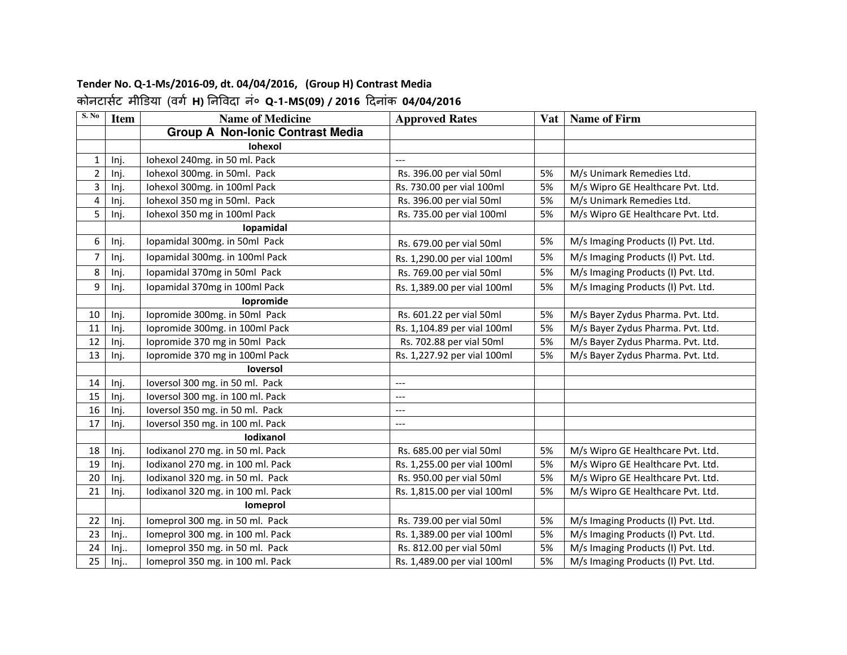# **Tender No. Q-1-Ms/2016-09, dt. 04/04/2016, (Group H) Contrast Media**

| S. No                   | <b>Item</b> | <b>Name of Medicine</b>                 | <b>Approved Rates</b>       | <b>Vat</b> | <b>Name of Firm</b>                |
|-------------------------|-------------|-----------------------------------------|-----------------------------|------------|------------------------------------|
|                         |             | <b>Group A Non-Ionic Contrast Media</b> |                             |            |                                    |
|                         |             | <b>Iohexol</b>                          |                             |            |                                    |
| 1                       | Inj.        | Iohexol 240mg. in 50 ml. Pack           |                             |            |                                    |
| $\overline{2}$          | Inj.        | Iohexol 300mg. in 50ml. Pack            | Rs. 396.00 per vial 50ml    | 5%         | M/s Unimark Remedies Ltd.          |
| $\overline{3}$          | Inj.        | Iohexol 300mg. in 100ml Pack            | Rs. 730.00 per vial 100ml   | 5%         | M/s Wipro GE Healthcare Pvt. Ltd.  |
| $\overline{\mathbf{4}}$ | Inj.        | Iohexol 350 mg in 50ml. Pack            | Rs. 396.00 per vial 50ml    | 5%         | M/s Unimark Remedies Ltd.          |
| 5                       | Inj.        | Iohexol 350 mg in 100ml Pack            | Rs. 735.00 per vial 100ml   | 5%         | M/s Wipro GE Healthcare Pvt. Ltd.  |
|                         |             | Iopamidal                               |                             |            |                                    |
| 6                       | Inj.        | Iopamidal 300mg. in 50ml Pack           | Rs. 679.00 per vial 50ml    | 5%         | M/s Imaging Products (I) Pvt. Ltd. |
| $\overline{7}$          | Inj.        | Iopamidal 300mg. in 100ml Pack          | Rs. 1,290.00 per vial 100ml | 5%         | M/s Imaging Products (I) Pvt. Ltd. |
| 8                       | Inj.        | Iopamidal 370mg in 50ml Pack            | Rs. 769.00 per vial 50ml    | 5%         | M/s Imaging Products (I) Pvt. Ltd. |
| 9                       | Inj.        | Iopamidal 370mg in 100ml Pack           | Rs. 1,389.00 per vial 100ml | 5%         | M/s Imaging Products (I) Pvt. Ltd. |
|                         |             | lopromide                               |                             |            |                                    |
| 10                      | Inj.        | Iopromide 300mg. in 50ml Pack           | Rs. 601.22 per vial 50ml    | 5%         | M/s Bayer Zydus Pharma. Pvt. Ltd.  |
| $11\,$                  | Inj.        | Iopromide 300mg. in 100ml Pack          | Rs. 1,104.89 per vial 100ml | 5%         | M/s Bayer Zydus Pharma. Pvt. Ltd.  |
| 12                      | Inj.        | lopromide 370 mg in 50ml Pack           | Rs. 702.88 per vial 50ml    | 5%         | M/s Bayer Zydus Pharma. Pvt. Ltd.  |
| 13                      | Inj.        | lopromide 370 mg in 100ml Pack          | Rs. 1,227.92 per vial 100ml | 5%         | M/s Bayer Zydus Pharma. Pvt. Ltd.  |
|                         |             | loversol                                |                             |            |                                    |
| 14                      | Inj.        | loversol 300 mg. in 50 ml. Pack         | $---$                       |            |                                    |
| 15                      | Inj.        | loversol 300 mg. in 100 ml. Pack        | $---$                       |            |                                    |
| 16                      | Inj.        | loversol 350 mg. in 50 ml. Pack         | $---$                       |            |                                    |
| 17                      | Inj.        | loversol 350 mg. in 100 ml. Pack        | $\qquad \qquad - -$         |            |                                    |
|                         |             | <b>lodixanol</b>                        |                             |            |                                    |
| 18                      | Inj.        | Iodixanol 270 mg. in 50 ml. Pack        | Rs. 685.00 per vial 50ml    | 5%         | M/s Wipro GE Healthcare Pvt. Ltd.  |
| 19                      | Inj.        | Iodixanol 270 mg. in 100 ml. Pack       | Rs. 1,255.00 per vial 100ml | 5%         | M/s Wipro GE Healthcare Pvt. Ltd.  |
| 20                      | Inj.        | lodixanol 320 mg. in 50 ml. Pack        | Rs. 950.00 per vial 50ml    | 5%         | M/s Wipro GE Healthcare Pvt. Ltd.  |
| 21                      | Inj.        | Iodixanol 320 mg. in 100 ml. Pack       | Rs. 1,815.00 per vial 100ml | 5%         | M/s Wipro GE Healthcare Pvt. Ltd.  |
|                         |             | <b>lomeprol</b>                         |                             |            |                                    |
| 22                      | Inj.        | Iomeprol 300 mg. in 50 ml. Pack         | Rs. 739.00 per vial 50ml    | 5%         | M/s Imaging Products (I) Pvt. Ltd. |
| 23                      | Inj         | Iomeprol 300 mg. in 100 ml. Pack        | Rs. 1,389.00 per vial 100ml | 5%         | M/s Imaging Products (I) Pvt. Ltd. |
| 24                      | Inj         | Iomeprol 350 mg. in 50 ml. Pack         | Rs. 812.00 per vial 50ml    | 5%         | M/s Imaging Products (I) Pvt. Ltd. |
| 25                      | Inj         | Iomeprol 350 mg. in 100 ml. Pack        | Rs. 1,489.00 per vial 100ml | 5%         | M/s Imaging Products (I) Pvt. Ltd. |

### कोनटासट मी!डया (वग **H)** नवदा नं० **Q-1-MS(09) / 2016** दनांक **04/04/2016**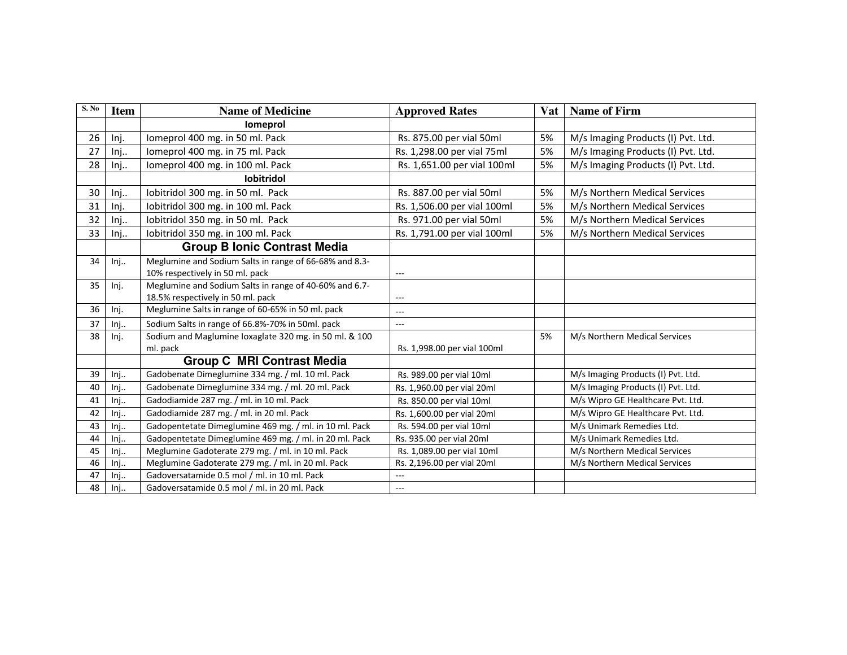| S. No | <b>Item</b> | <b>Name of Medicine</b>                                | <b>Approved Rates</b>       | <b>Vat</b> | <b>Name of Firm</b>                |
|-------|-------------|--------------------------------------------------------|-----------------------------|------------|------------------------------------|
|       |             | Iomeprol                                               |                             |            |                                    |
| 26    | Inj.        | Iomeprol 400 mg. in 50 ml. Pack                        | Rs. 875.00 per vial 50ml    | 5%         | M/s Imaging Products (I) Pvt. Ltd. |
| 27    | Inj.        | Iomeprol 400 mg. in 75 ml. Pack                        | Rs. 1,298.00 per vial 75ml  | 5%         | M/s Imaging Products (I) Pvt. Ltd. |
| 28    | Inj         | Iomeprol 400 mg. in 100 ml. Pack                       | Rs. 1,651.00 per vial 100ml | 5%         | M/s Imaging Products (I) Pvt. Ltd. |
|       |             | <b>lobitridol</b>                                      |                             |            |                                    |
| 30    | Inj         | Iobitridol 300 mg. in 50 ml. Pack                      | Rs. 887.00 per vial 50ml    | 5%         | M/s Northern Medical Services      |
| 31    | Inj.        | lobitridol 300 mg. in 100 ml. Pack                     | Rs. 1,506.00 per vial 100ml | 5%         | M/s Northern Medical Services      |
| 32    | Inj         | Iobitridol 350 mg. in 50 ml. Pack                      | Rs. 971.00 per vial 50ml    | 5%         | M/s Northern Medical Services      |
| 33    | Inj         | Iobitridol 350 mg. in 100 ml. Pack                     | Rs. 1,791.00 per vial 100ml | 5%         | M/s Northern Medical Services      |
|       |             | <b>Group B Ionic Contrast Media</b>                    |                             |            |                                    |
| 34    | Inj         | Meglumine and Sodium Salts in range of 66-68% and 8.3- |                             |            |                                    |
|       |             | 10% respectively in 50 ml. pack                        | $---$                       |            |                                    |
| 35    | Inj.        | Meglumine and Sodium Salts in range of 40-60% and 6.7- |                             |            |                                    |
|       |             | 18.5% respectively in 50 ml. pack                      | ---                         |            |                                    |
| 36    | Inj.        | Meglumine Salts in range of 60-65% in 50 ml. pack      | $---$                       |            |                                    |
| 37    | Inj         | Sodium Salts in range of 66.8%-70% in 50ml. pack       | $\cdots$                    |            |                                    |
| 38    | Inj.        | Sodium and Maglumine loxaglate 320 mg. in 50 ml. & 100 |                             | 5%         | M/s Northern Medical Services      |
|       |             | ml. pack                                               | Rs. 1,998.00 per vial 100ml |            |                                    |
|       |             | <b>Group C MRI Contrast Media</b>                      |                             |            |                                    |
| 39    | Inj         | Gadobenate Dimeglumine 334 mg. / ml. 10 ml. Pack       | Rs. 989.00 per vial 10ml    |            | M/s Imaging Products (I) Pvt. Ltd. |
| 40    | Inj         | Gadobenate Dimeglumine 334 mg. / ml. 20 ml. Pack       | Rs. 1,960.00 per vial 20ml  |            | M/s Imaging Products (I) Pvt. Ltd. |
| 41    | Inj         | Gadodiamide 287 mg. / ml. in 10 ml. Pack               | Rs. 850.00 per vial 10ml    |            | M/s Wipro GE Healthcare Pvt. Ltd.  |
| 42    | Inj         | Gadodiamide 287 mg. / ml. in 20 ml. Pack               | Rs. 1,600.00 per vial 20ml  |            | M/s Wipro GE Healthcare Pvt. Ltd.  |
| 43    | Inj         | Gadopentetate Dimeglumine 469 mg. / ml. in 10 ml. Pack | Rs. 594.00 per vial 10ml    |            | M/s Unimark Remedies Ltd.          |
| 44    | Inj         | Gadopentetate Dimeglumine 469 mg. / ml. in 20 ml. Pack | Rs. 935.00 per vial 20ml    |            | M/s Unimark Remedies Ltd.          |
| 45    | Inj         | Meglumine Gadoterate 279 mg. / ml. in 10 ml. Pack      | Rs. 1,089.00 per vial 10ml  |            | M/s Northern Medical Services      |
| 46    | Inj         | Meglumine Gadoterate 279 mg. / ml. in 20 ml. Pack      | Rs. 2,196.00 per vial 20ml  |            | M/s Northern Medical Services      |
| 47    | Inj         | Gadoversatamide 0.5 mol / ml. in 10 ml. Pack           | ---                         |            |                                    |
| 48    | Inj         | Gadoversatamide 0.5 mol / ml. in 20 ml. Pack           | ---                         |            |                                    |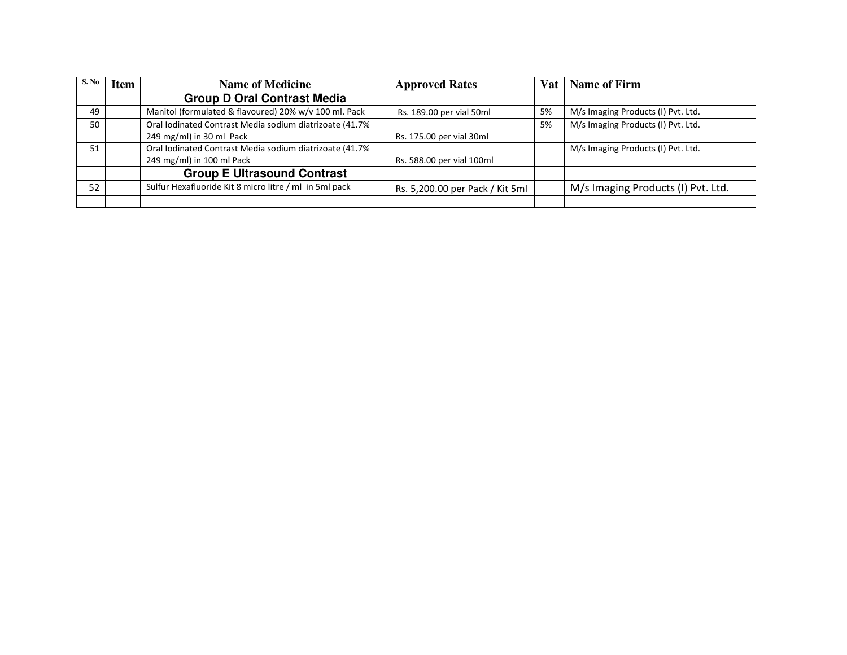| S. No | <b>Item</b> | <b>Name of Medicine</b>                                 | <b>Approved Rates</b>           | Vat | <b>Name of Firm</b>                |
|-------|-------------|---------------------------------------------------------|---------------------------------|-----|------------------------------------|
|       |             | <b>Group D Oral Contrast Media</b>                      |                                 |     |                                    |
| 49    |             | Manitol (formulated & flavoured) 20% w/v 100 ml. Pack   | Rs. 189.00 per vial 50ml        | 5%  | M/s Imaging Products (I) Pvt. Ltd. |
| 50    |             | Oral Iodinated Contrast Media sodium diatrizoate (41.7% |                                 | 5%  | M/s Imaging Products (I) Pvt. Ltd. |
|       |             | 249 mg/ml) in 30 ml Pack                                | Rs. 175.00 per vial 30ml        |     |                                    |
| 51    |             | Oral Iodinated Contrast Media sodium diatrizoate (41.7% |                                 |     | M/s Imaging Products (I) Pvt. Ltd. |
|       |             | 249 mg/ml) in 100 ml Pack                               | Rs. 588.00 per vial 100ml       |     |                                    |
|       |             | <b>Group E Ultrasound Contrast</b>                      |                                 |     |                                    |
| 52    |             | Sulfur Hexafluoride Kit 8 micro litre / ml in 5ml pack  | Rs. 5,200.00 per Pack / Kit 5ml |     | M/s Imaging Products (I) Pvt. Ltd. |
|       |             |                                                         |                                 |     |                                    |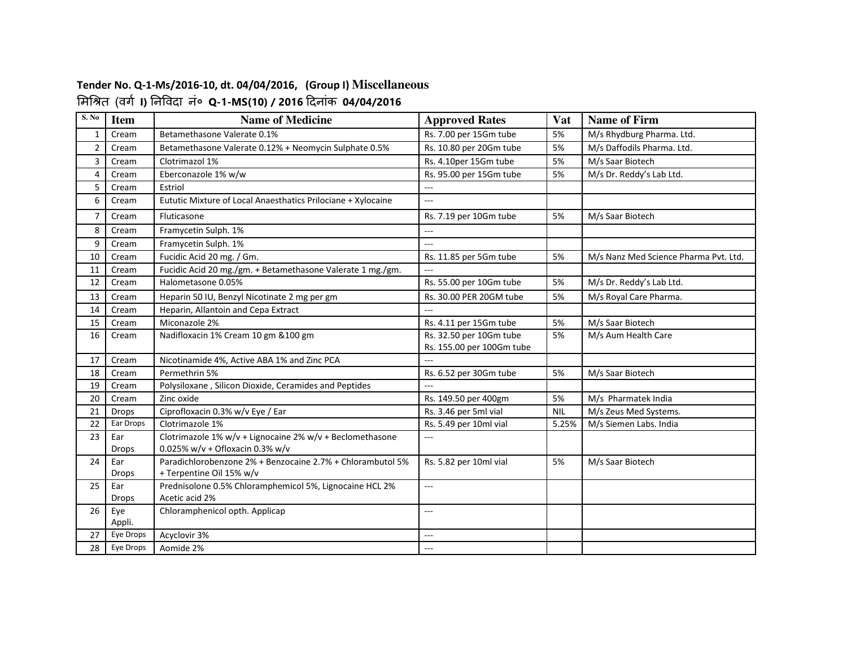#### **Tender No. Q-1-Ms/2016-10, dt. 04/04/2016, (Group I) Miscellaneous** #म\$%त (वग **I)** नवदा नं० **Q-1-MS(10) / 2016** दनांक **04/04/2016**

| S. No                   | <b>Item</b>         | <b>Name of Medicine</b>                                                   | <b>Approved Rates</b>     | Vat        | <b>Name of Firm</b>                   |
|-------------------------|---------------------|---------------------------------------------------------------------------|---------------------------|------------|---------------------------------------|
| $\mathbf{1}$            | Cream               | Betamethasone Valerate 0.1%                                               | Rs. 7.00 per 15Gm tube    | 5%         | M/s Rhydburg Pharma. Ltd.             |
| $\overline{2}$          | Cream               | Betamethasone Valerate 0.12% + Neomycin Sulphate 0.5%                     | Rs. 10.80 per 20Gm tube   | 5%         | M/s Daffodils Pharma. Ltd.            |
| $\overline{3}$          | Cream               | Clotrimazol 1%                                                            | Rs. 4.10per 15Gm tube     | 5%         | M/s Saar Biotech                      |
| $\overline{\mathbf{4}}$ | Cream               | Eberconazole 1% w/w                                                       | Rs. 95.00 per 15Gm tube   | 5%         | M/s Dr. Reddy's Lab Ltd.              |
| 5                       | Cream               | Estriol                                                                   | ---                       |            |                                       |
| 6                       | Cream               | Eututic Mixture of Local Anaesthatics Prilociane + Xylocaine              | $---$                     |            |                                       |
| $\overline{7}$          | Cream               | Fluticasone                                                               | Rs. 7.19 per 10Gm tube    | 5%         | M/s Saar Biotech                      |
| 8                       | Cream               | Framycetin Sulph. 1%                                                      | ---                       |            |                                       |
| 9                       | Cream               | Framycetin Sulph. 1%                                                      | ---                       |            |                                       |
| 10                      | Cream               | Fucidic Acid 20 mg. / Gm.                                                 | Rs. 11.85 per 5Gm tube    | 5%         | M/s Nanz Med Science Pharma Pvt. Ltd. |
| 11                      | Cream               | Fucidic Acid 20 mg./gm. + Betamethasone Valerate 1 mg./gm.                | $\overline{a}$            |            |                                       |
| 12                      | Cream               | Halometasone 0.05%                                                        | Rs. 55.00 per 10Gm tube   | 5%         | M/s Dr. Reddy's Lab Ltd.              |
| 13                      | Cream               | Heparin 50 IU, Benzyl Nicotinate 2 mg per gm                              | Rs. 30.00 PER 20GM tube   | 5%         | M/s Royal Care Pharma.                |
| 14                      | Cream               | Heparin, Allantoin and Cepa Extract                                       |                           |            |                                       |
| 15                      | Cream               | Miconazole 2%                                                             | Rs. 4.11 per 15Gm tube    | 5%         | M/s Saar Biotech                      |
| 16                      | Cream               | Nadifloxacin 1% Cream 10 gm & 100 gm                                      | Rs. 32.50 per 10Gm tube   | 5%         | M/s Aum Health Care                   |
|                         |                     |                                                                           | Rs. 155.00 per 100Gm tube |            |                                       |
| 17                      | Cream               | Nicotinamide 4%, Active ABA 1% and Zinc PCA                               | $-$                       |            |                                       |
| 18                      | Cream               | Permethrin 5%                                                             | Rs. 6.52 per 30Gm tube    | 5%         | M/s Saar Biotech                      |
| 19                      | Cream               | Polysiloxane, Silicon Dioxide, Ceramides and Peptides                     | ---                       |            |                                       |
| 20                      | Cream               | Zinc oxide                                                                | Rs. 149.50 per 400gm      | 5%         | M/s Pharmatek India                   |
| 21                      | <b>Drops</b>        | Ciprofloxacin 0.3% w/v Eye / Ear                                          | Rs. 3.46 per 5ml vial     | <b>NIL</b> | M/s Zeus Med Systems.                 |
| 22                      | Ear Drops           | Clotrimazole 1%                                                           | Rs. 5.49 per 10ml vial    | 5.25%      | M/s Siemen Labs. India                |
| 23                      | Ear                 | Clotrimazole 1% w/v + Lignocaine 2% w/v + Beclomethasone                  | $---$                     |            |                                       |
|                         | <b>Drops</b>        | 0.025% w/v + Ofloxacin 0.3% w/v                                           |                           |            |                                       |
| 24                      | Ear                 | Paradichlorobenzone 2% + Benzocaine 2.7% + Chlorambutol 5%                | Rs. 5.82 per 10ml vial    | 5%         | M/s Saar Biotech                      |
|                         | Drops               | + Terpentine Oil 15% w/v                                                  |                           |            |                                       |
| 25                      | Ear<br><b>Drops</b> | Prednisolone 0.5% Chloramphemicol 5%, Lignocaine HCL 2%<br>Acetic acid 2% | $\sim$ $\sim$ $\sim$      |            |                                       |
| 26                      | Eye                 | Chloramphenicol opth. Applicap                                            | ---                       |            |                                       |
|                         | Appli.              |                                                                           |                           |            |                                       |
| 27                      | Eye Drops           | Acyclovir 3%                                                              | ---                       |            |                                       |
| 28                      | Eye Drops           | Aomide 2%                                                                 | ---                       |            |                                       |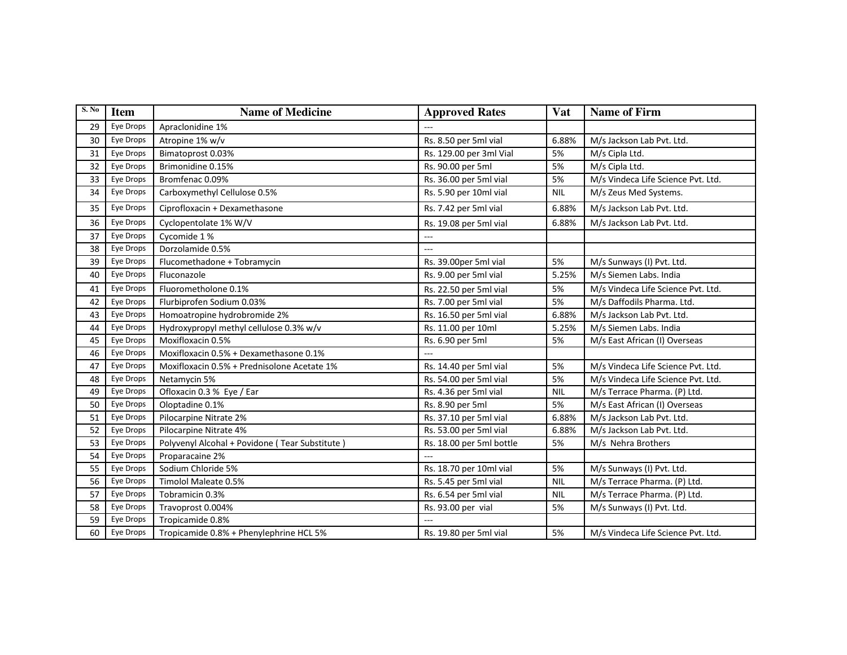| S. No | <b>Item</b> | <b>Name of Medicine</b>                        | <b>Approved Rates</b>    | Vat        | <b>Name of Firm</b>                |
|-------|-------------|------------------------------------------------|--------------------------|------------|------------------------------------|
| 29    | Eye Drops   | Apraclonidine 1%                               |                          |            |                                    |
| 30    | Eye Drops   | Atropine 1% w/v                                | Rs. 8.50 per 5ml vial    | 6.88%      | M/s Jackson Lab Pvt. Ltd.          |
| 31    | Eye Drops   | Bimatoprost 0.03%                              | Rs. 129.00 per 3ml Vial  | 5%         | M/s Cipla Ltd.                     |
| 32    | Eye Drops   | Brimonidine 0.15%                              | Rs. 90.00 per 5ml        | 5%         | M/s Cipla Ltd.                     |
| 33    | Eye Drops   | Bromfenac 0.09%                                | Rs. 36.00 per 5ml vial   | 5%         | M/s Vindeca Life Science Pvt. Ltd. |
| 34    | Eye Drops   | Carboxymethyl Cellulose 0.5%                   | Rs. 5.90 per 10ml vial   | <b>NIL</b> | M/s Zeus Med Systems.              |
| 35    | Eye Drops   | Ciprofloxacin + Dexamethasone                  | Rs. 7.42 per 5ml vial    | 6.88%      | M/s Jackson Lab Pvt. Ltd.          |
| 36    | Eye Drops   | Cyclopentolate 1% W/V                          | Rs. 19.08 per 5ml vial   | 6.88%      | M/s Jackson Lab Pvt. Ltd.          |
| 37    | Eye Drops   | Cycomide 1%                                    | ---                      |            |                                    |
| 38    | Eye Drops   | Dorzolamide 0.5%                               | ---                      |            |                                    |
| 39    | Eye Drops   | Flucomethadone + Tobramycin                    | Rs. 39.00per 5ml vial    | 5%         | M/s Sunways (I) Pvt. Ltd.          |
| 40    | Eye Drops   | Fluconazole                                    | Rs. 9.00 per 5ml vial    | 5.25%      | M/s Siemen Labs. India             |
| 41    | Eye Drops   | Fluorometholone 0.1%                           | Rs. 22.50 per 5ml vial   | 5%         | M/s Vindeca Life Science Pvt. Ltd. |
| 42    | Eye Drops   | Flurbiprofen Sodium 0.03%                      | Rs. 7.00 per 5ml vial    | 5%         | M/s Daffodils Pharma. Ltd.         |
| 43    | Eye Drops   | Homoatropine hydrobromide 2%                   | Rs. 16.50 per 5ml vial   | 6.88%      | M/s Jackson Lab Pvt. Ltd.          |
| 44    | Eye Drops   | Hydroxypropyl methyl cellulose 0.3% w/v        | Rs. 11.00 per 10ml       | 5.25%      | M/s Siemen Labs. India             |
| 45    | Eye Drops   | Moxifloxacin 0.5%                              | Rs. 6.90 per 5ml         | 5%         | M/s East African (I) Overseas      |
| 46    | Eye Drops   | Moxifloxacin 0.5% + Dexamethasone 0.1%         | $\overline{a}$           |            |                                    |
| 47    | Eye Drops   | Moxifloxacin 0.5% + Prednisolone Acetate 1%    | Rs. 14.40 per 5ml vial   | 5%         | M/s Vindeca Life Science Pvt. Ltd. |
| 48    | Eye Drops   | Netamycin 5%                                   | Rs. 54.00 per 5ml vial   | 5%         | M/s Vindeca Life Science Pvt. Ltd. |
| 49    | Eye Drops   | Ofloxacin 0.3 % Eye / Ear                      | Rs. 4.36 per 5ml vial    | <b>NIL</b> | M/s Terrace Pharma. (P) Ltd.       |
| 50    | Eye Drops   | Oloptadine 0.1%                                | Rs. 8.90 per 5ml         | 5%         | M/s East African (I) Overseas      |
| 51    | Eye Drops   | Pilocarpine Nitrate 2%                         | Rs. 37.10 per 5ml vial   | 6.88%      | M/s Jackson Lab Pvt. Ltd.          |
| 52    | Eye Drops   | Pilocarpine Nitrate 4%                         | Rs. 53.00 per 5ml vial   | 6.88%      | M/s Jackson Lab Pvt. Ltd.          |
| 53    | Eye Drops   | Polyvenyl Alcohal + Povidone (Tear Substitute) | Rs. 18.00 per 5ml bottle | 5%         | M/s Nehra Brothers                 |
| 54    | Eye Drops   | Proparacaine 2%                                |                          |            |                                    |
| 55    | Eye Drops   | Sodium Chloride 5%                             | Rs. 18.70 per 10ml vial  | 5%         | M/s Sunways (I) Pvt. Ltd.          |
| 56    | Eye Drops   | Timolol Maleate 0.5%                           | Rs. 5.45 per 5ml vial    | <b>NIL</b> | M/s Terrace Pharma. (P) Ltd.       |
| 57    | Eye Drops   | Tobramicin 0.3%                                | Rs. 6.54 per 5ml vial    | <b>NIL</b> | M/s Terrace Pharma. (P) Ltd.       |
| 58    | Eye Drops   | Travoprost 0.004%                              | Rs. 93.00 per vial       | 5%         | M/s Sunways (I) Pvt. Ltd.          |
| 59    | Eye Drops   | Tropicamide 0.8%                               |                          |            |                                    |
| 60    | Eye Drops   | Tropicamide 0.8% + Phenylephrine HCL 5%        | Rs. 19.80 per 5ml vial   | 5%         | M/s Vindeca Life Science Pvt. Ltd. |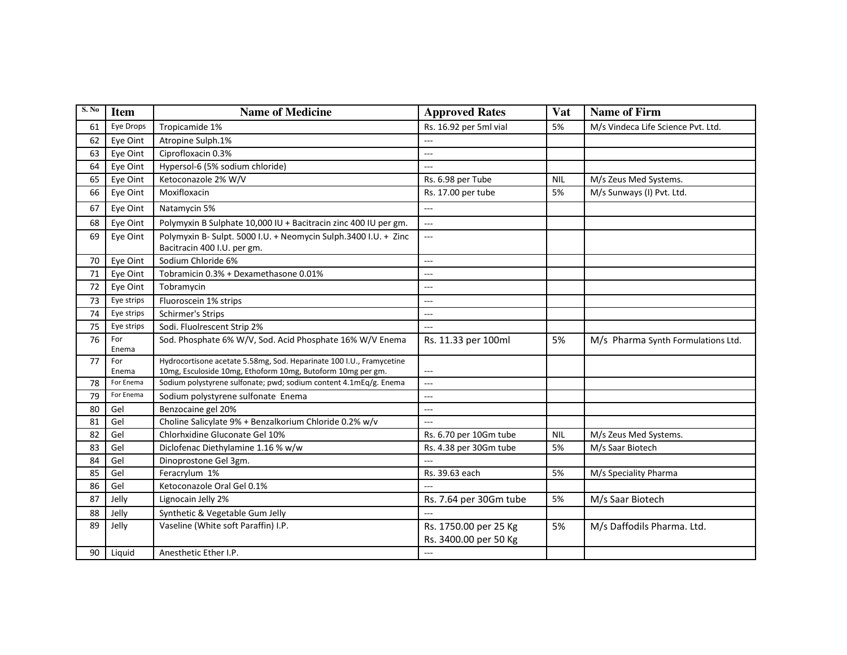| S. No | <b>Item</b>  | <b>Name of Medicine</b>                                                                                                             | <b>Approved Rates</b>                          | Vat        | <b>Name of Firm</b>                |
|-------|--------------|-------------------------------------------------------------------------------------------------------------------------------------|------------------------------------------------|------------|------------------------------------|
| 61    | Eye Drops    | Tropicamide 1%                                                                                                                      | Rs. 16.92 per 5ml vial                         | 5%         | M/s Vindeca Life Science Pvt. Ltd. |
| 62    | Eye Oint     | Atropine Sulph.1%                                                                                                                   | ---                                            |            |                                    |
| 63    | Eye Oint     | Ciprofloxacin 0.3%                                                                                                                  |                                                |            |                                    |
| 64    | Eye Oint     | Hypersol-6 (5% sodium chloride)                                                                                                     | ---                                            |            |                                    |
| 65    | Eye Oint     | Ketoconazole 2% W/V                                                                                                                 | Rs. 6.98 per Tube                              | <b>NIL</b> | M/s Zeus Med Systems.              |
| 66    | Eye Oint     | Moxifloxacin                                                                                                                        | Rs. 17.00 per tube                             | 5%         | M/s Sunways (I) Pvt. Ltd.          |
| 67    | Eye Oint     | Natamycin 5%                                                                                                                        | ---                                            |            |                                    |
| 68    | Eye Oint     | Polymyxin B Sulphate 10,000 IU + Bacitracin zinc 400 IU per gm.                                                                     | ---                                            |            |                                    |
| 69    | Eye Oint     | Polymyxin B- Sulpt. 5000 I.U. + Neomycin Sulph.3400 I.U. + Zinc<br>Bacitracin 400 I.U. per gm.                                      | $\overline{a}$                                 |            |                                    |
| 70    | Eye Oint     | Sodium Chloride 6%                                                                                                                  | ---                                            |            |                                    |
| 71    | Eye Oint     | Tobramicin 0.3% + Dexamethasone 0.01%                                                                                               | ---                                            |            |                                    |
| 72    | Eye Oint     | Tobramycin                                                                                                                          | ---                                            |            |                                    |
| 73    | Eye strips   | Fluoroscein 1% strips                                                                                                               | ---                                            |            |                                    |
| 74    | Eye strips   | Schirmer's Strips                                                                                                                   | $\overline{a}$                                 |            |                                    |
| 75    | Eye strips   | Sodi. Fluolrescent Strip 2%                                                                                                         | ---                                            |            |                                    |
| 76    | For<br>Enema | Sod. Phosphate 6% W/V, Sod. Acid Phosphate 16% W/V Enema                                                                            | Rs. 11.33 per 100ml                            | 5%         | M/s Pharma Synth Formulations Ltd. |
| 77    | For<br>Enema | Hydrocortisone acetate 5.58mg, Sod. Heparinate 100 I.U., Framycetine<br>10mg, Esculoside 10mg, Ethoform 10mg, Butoform 10mg per gm. | ---                                            |            |                                    |
| 78    | For Enema    | Sodium polystyrene sulfonate; pwd; sodium content 4.1mEq/g. Enema                                                                   | $---$                                          |            |                                    |
| 79    | For Enema    | Sodium polystyrene sulfonate Enema                                                                                                  | $\overline{a}$                                 |            |                                    |
| 80    | Gel          | Benzocaine gel 20%                                                                                                                  | ---                                            |            |                                    |
| 81    | Gel          | Choline Salicylate 9% + Benzalkorium Chloride 0.2% w/v                                                                              | ---                                            |            |                                    |
| 82    | Gel          | Chlorhxidine Gluconate Gel 10%                                                                                                      | Rs. 6.70 per 10Gm tube                         | <b>NIL</b> | M/s Zeus Med Systems.              |
| 83    | Gel          | Diclofenac Diethylamine 1.16 % w/w                                                                                                  | Rs. 4.38 per 30Gm tube                         | 5%         | M/s Saar Biotech                   |
| 84    | Gel          | Dinoprostone Gel 3gm.                                                                                                               | ---                                            |            |                                    |
| 85    | Gel          | Feracrylum 1%                                                                                                                       | Rs. 39.63 each                                 | 5%         | M/s Speciality Pharma              |
| 86    | Gel          | Ketoconazole Oral Gel 0.1%                                                                                                          |                                                |            |                                    |
| 87    | Jelly        | Lignocain Jelly 2%                                                                                                                  | Rs. 7.64 per 30Gm tube                         | 5%         | M/s Saar Biotech                   |
| 88    | Jelly        | Synthetic & Vegetable Gum Jelly                                                                                                     |                                                |            |                                    |
| 89    | Jelly        | Vaseline (White soft Paraffin) I.P.                                                                                                 | Rs. 1750.00 per 25 Kg<br>Rs. 3400.00 per 50 Kg | 5%         | M/s Daffodils Pharma. Ltd.         |
| 90    | Liquid       | Anesthetic Ether I.P.                                                                                                               | ---                                            |            |                                    |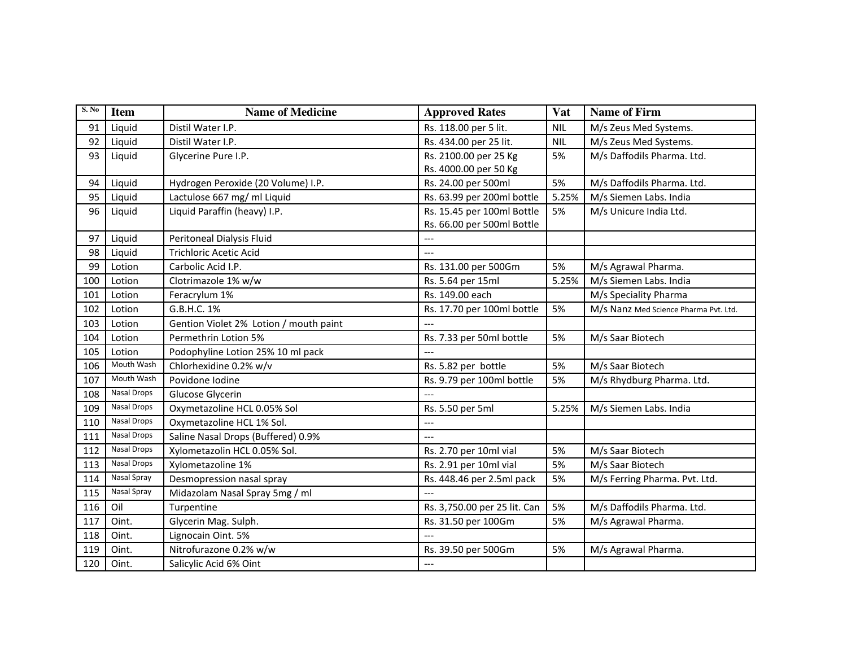| S. No | <b>Item</b>        | <b>Name of Medicine</b>                | <b>Approved Rates</b>        | Vat        | <b>Name of Firm</b>                   |
|-------|--------------------|----------------------------------------|------------------------------|------------|---------------------------------------|
| 91    | Liquid             | Distil Water I.P.                      | Rs. 118.00 per 5 lit.        | <b>NIL</b> | M/s Zeus Med Systems.                 |
| 92    | Liquid             | Distil Water I.P.                      | Rs. 434.00 per 25 lit.       | <b>NIL</b> | M/s Zeus Med Systems.                 |
| 93    | Liquid             | Glycerine Pure I.P.                    | Rs. 2100.00 per 25 Kg        | 5%         | M/s Daffodils Pharma. Ltd.            |
|       |                    |                                        | Rs. 4000.00 per 50 Kg        |            |                                       |
| 94    | Liquid             | Hydrogen Peroxide (20 Volume) I.P.     | Rs. 24.00 per 500ml          | 5%         | M/s Daffodils Pharma. Ltd.            |
| 95    | Liquid             | Lactulose 667 mg/ ml Liquid            | Rs. 63.99 per 200ml bottle   | 5.25%      | M/s Siemen Labs. India                |
| 96    | Liquid             | Liquid Paraffin (heavy) I.P.           | Rs. 15.45 per 100ml Bottle   | 5%         | M/s Unicure India Ltd.                |
|       |                    |                                        | Rs. 66.00 per 500ml Bottle   |            |                                       |
| 97    | Liquid             | Peritoneal Dialysis Fluid              | ---                          |            |                                       |
| 98    | Liquid             | <b>Trichloric Acetic Acid</b>          |                              |            |                                       |
| 99    | Lotion             | Carbolic Acid I.P.                     | Rs. 131.00 per 500Gm         | 5%         | M/s Agrawal Pharma.                   |
| 100   | Lotion             | Clotrimazole 1% w/w                    | Rs. 5.64 per 15ml            | 5.25%      | M/s Siemen Labs. India                |
| 101   | Lotion             | Feracrylum 1%                          | Rs. 149.00 each              |            | M/s Speciality Pharma                 |
| 102   | Lotion             | G.B.H.C. 1%                            | Rs. 17.70 per 100ml bottle   | 5%         | M/s Nanz Med Science Pharma Pvt. Ltd. |
| 103   | Lotion             | Gention Violet 2% Lotion / mouth paint | $---$                        |            |                                       |
| 104   | Lotion             | Permethrin Lotion 5%                   | Rs. 7.33 per 50ml bottle     | 5%         | M/s Saar Biotech                      |
| 105   | Lotion             | Podophyline Lotion 25% 10 ml pack      | $\overline{a}$               |            |                                       |
| 106   | Mouth Wash         | Chlorhexidine 0.2% w/v                 | Rs. 5.82 per bottle          | 5%         | M/s Saar Biotech                      |
| 107   | Mouth Wash         | Povidone Iodine                        | Rs. 9.79 per 100ml bottle    | 5%         | M/s Rhydburg Pharma. Ltd.             |
| 108   | Nasal Drops        | Glucose Glycerin                       | $\overline{a}$               |            |                                       |
| 109   | <b>Nasal Drops</b> | Oxymetazoline HCL 0.05% Sol            | Rs. 5.50 per 5ml             | 5.25%      | M/s Siemen Labs. India                |
| 110   | Nasal Drops        | Oxymetazoline HCL 1% Sol.              | ---                          |            |                                       |
| 111   | <b>Nasal Drops</b> | Saline Nasal Drops (Buffered) 0.9%     | ---                          |            |                                       |
| 112   | Nasal Drops        | Xylometazolin HCL 0.05% Sol.           | Rs. 2.70 per 10ml vial       | 5%         | M/s Saar Biotech                      |
| 113   | <b>Nasal Drops</b> | Xylometazoline 1%                      | Rs. 2.91 per 10ml vial       | 5%         | M/s Saar Biotech                      |
| 114   | Nasal Spray        | Desmopression nasal spray              | Rs. 448.46 per 2.5ml pack    | 5%         | M/s Ferring Pharma. Pvt. Ltd.         |
| 115   | Nasal Spray        | Midazolam Nasal Spray 5mg / ml         | $\overline{a}$               |            |                                       |
| 116   | Oil                | Turpentine                             | Rs. 3,750.00 per 25 lit. Can | 5%         | M/s Daffodils Pharma. Ltd.            |
| 117   | Oint.              | Glycerin Mag. Sulph.                   | Rs. 31.50 per 100Gm          | 5%         | M/s Agrawal Pharma.                   |
| 118   | Oint.              | Lignocain Oint. 5%                     | $---$                        |            |                                       |
| 119   | Oint.              | Nitrofurazone 0.2% w/w                 | Rs. 39.50 per 500Gm          | 5%         | M/s Agrawal Pharma.                   |
| 120   | Oint.              | Salicylic Acid 6% Oint                 | $---$                        |            |                                       |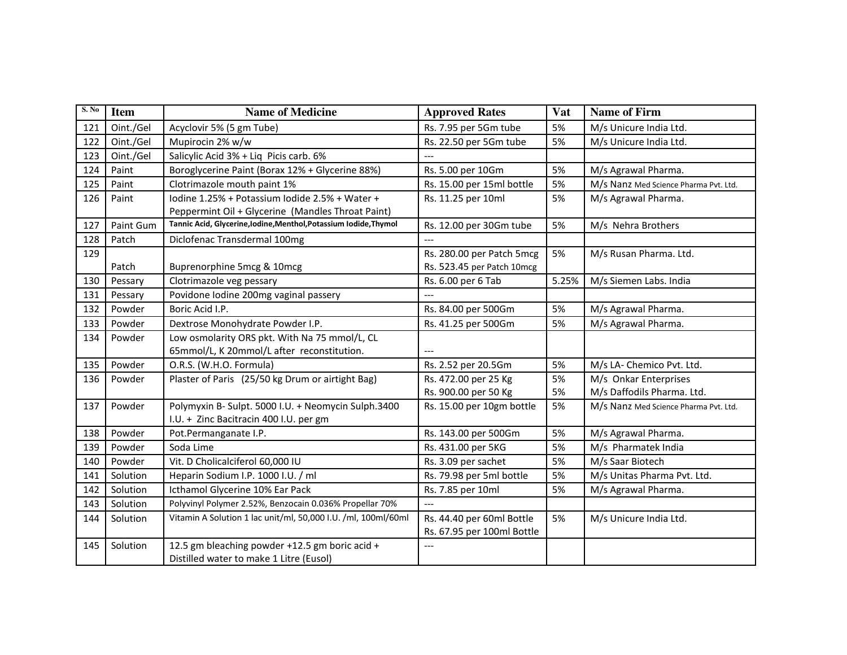| S. No | <b>Item</b> | <b>Name of Medicine</b>                                           | <b>Approved Rates</b>      | Vat   | <b>Name of Firm</b>                   |
|-------|-------------|-------------------------------------------------------------------|----------------------------|-------|---------------------------------------|
| 121   | Oint./Gel   | Acyclovir 5% (5 gm Tube)                                          | Rs. 7.95 per 5Gm tube      | 5%    | M/s Unicure India Ltd.                |
| 122   | Oint./Gel   | Mupirocin 2% w/w                                                  | Rs. 22.50 per 5Gm tube     | 5%    | M/s Unicure India Ltd.                |
| 123   | Oint./Gel   | Salicylic Acid 3% + Liq Picis carb. 6%                            | $---$                      |       |                                       |
| 124   | Paint       | Boroglycerine Paint (Borax 12% + Glycerine 88%)                   | Rs. 5.00 per 10Gm          | 5%    | M/s Agrawal Pharma.                   |
| 125   | Paint       | Clotrimazole mouth paint 1%                                       | Rs. 15.00 per 15ml bottle  | 5%    | M/s Nanz Med Science Pharma Pvt. Ltd. |
| 126   | Paint       | Iodine 1.25% + Potassium Iodide 2.5% + Water +                    | Rs. 11.25 per 10ml         | 5%    | M/s Agrawal Pharma.                   |
|       |             | Peppermint Oil + Glycerine (Mandles Throat Paint)                 |                            |       |                                       |
| 127   | Paint Gum   | Tannic Acid, Glycerine, Iodine, Menthol, Potassium Iodide, Thymol | Rs. 12.00 per 30Gm tube    | 5%    | M/s Nehra Brothers                    |
| 128   | Patch       | Diclofenac Transdermal 100mg                                      | $---$                      |       |                                       |
| 129   |             |                                                                   | Rs. 280.00 per Patch 5mcg  | 5%    | M/s Rusan Pharma. Ltd.                |
|       | Patch       | Buprenorphine 5mcg & 10mcg                                        | Rs. 523.45 per Patch 10mcg |       |                                       |
| 130   | Pessary     | Clotrimazole veg pessary                                          | Rs. 6.00 per 6 Tab         | 5.25% | M/s Siemen Labs. India                |
| 131   | Pessary     | Povidone Iodine 200mg vaginal passery                             |                            |       |                                       |
| 132   | Powder      | Boric Acid I.P.                                                   | Rs. 84.00 per 500Gm        | 5%    | M/s Agrawal Pharma.                   |
| 133   | Powder      | Dextrose Monohydrate Powder I.P.                                  | Rs. 41.25 per 500Gm        | 5%    | M/s Agrawal Pharma.                   |
| 134   | Powder      | Low osmolarity ORS pkt. With Na 75 mmol/L, CL                     |                            |       |                                       |
|       |             | 65mmol/L, K 20mmol/L after reconstitution.                        |                            |       |                                       |
| 135   | Powder      | O.R.S. (W.H.O. Formula)                                           | Rs. 2.52 per 20.5Gm        | 5%    | M/s LA- Chemico Pvt. Ltd.             |
| 136   | Powder      | Plaster of Paris (25/50 kg Drum or airtight Bag)                  | Rs. 472.00 per 25 Kg       | 5%    | M/s Onkar Enterprises                 |
|       |             |                                                                   | Rs. 900.00 per 50 Kg       | 5%    | M/s Daffodils Pharma. Ltd.            |
| 137   | Powder      | Polymyxin B- Sulpt. 5000 I.U. + Neomycin Sulph.3400               | Rs. 15.00 per 10gm bottle  | 5%    | M/s Nanz Med Science Pharma Pvt. Ltd. |
|       |             | I.U. + Zinc Bacitracin 400 I.U. per gm                            |                            |       |                                       |
| 138   | Powder      | Pot.Permanganate I.P.                                             | Rs. 143.00 per 500Gm       | 5%    | M/s Agrawal Pharma.                   |
| 139   | Powder      | Soda Lime                                                         | Rs. 431.00 per 5KG         | 5%    | M/s Pharmatek India                   |
| 140   | Powder      | Vit. D Cholicalciferol 60,000 IU                                  | Rs. 3.09 per sachet        | 5%    | M/s Saar Biotech                      |
| 141   | Solution    | Heparin Sodium I.P. 1000 I.U. / ml                                | Rs. 79.98 per 5ml bottle   | 5%    | M/s Unitas Pharma Pvt. Ltd.           |
| 142   | Solution    | Icthamol Glycerine 10% Ear Pack                                   | Rs. 7.85 per 10ml          | 5%    | M/s Agrawal Pharma.                   |
| 143   | Solution    | Polyvinyl Polymer 2.52%, Benzocain 0.036% Propellar 70%           |                            |       |                                       |
| 144   | Solution    | Vitamin A Solution 1 lac unit/ml, 50,000 I.U. /ml, 100ml/60ml     | Rs. 44.40 per 60ml Bottle  | 5%    | M/s Unicure India Ltd.                |
|       |             |                                                                   | Rs. 67.95 per 100ml Bottle |       |                                       |
| 145   | Solution    | 12.5 gm bleaching powder +12.5 gm boric acid +                    | $---$                      |       |                                       |
|       |             | Distilled water to make 1 Litre (Eusol)                           |                            |       |                                       |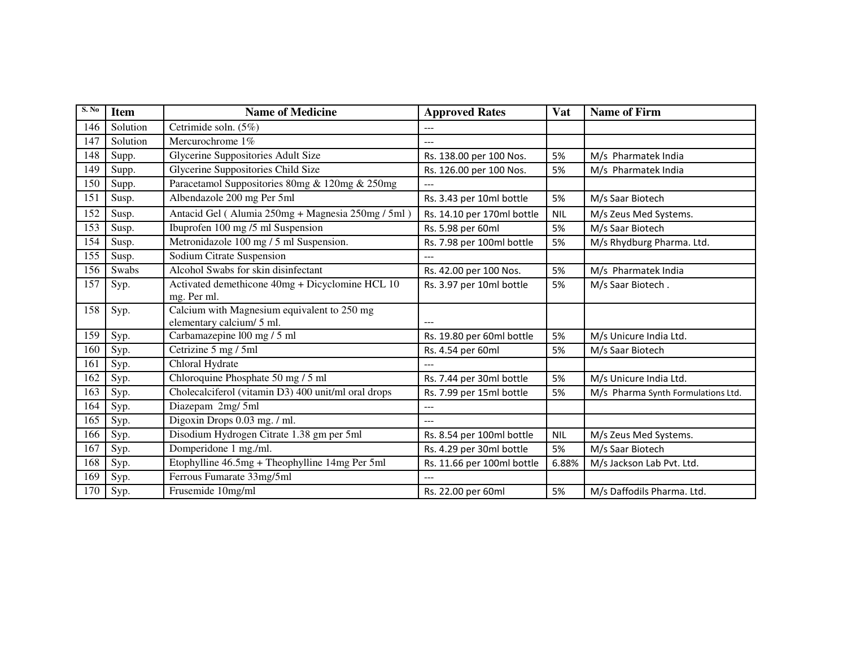| S. No | <b>Item</b> | <b>Name of Medicine</b>                                                  | <b>Approved Rates</b>      | Vat        | <b>Name of Firm</b>                |
|-------|-------------|--------------------------------------------------------------------------|----------------------------|------------|------------------------------------|
| 146   | Solution    | Cetrimide soln. (5%)                                                     | ---                        |            |                                    |
| 147   | Solution    | Mercurochrome 1%                                                         |                            |            |                                    |
| 148   | Supp.       | Glycerine Suppositories Adult Size                                       | Rs. 138.00 per 100 Nos.    | 5%         | M/s Pharmatek India                |
| 149   | Supp.       | Glycerine Suppositories Child Size                                       | Rs. 126.00 per 100 Nos.    | 5%         | M/s Pharmatek India                |
| 150   | Supp.       | Paracetamol Suppositories 80mg & 120mg & 250mg                           |                            |            |                                    |
| 151   | Susp.       | Albendazole 200 mg Per 5ml                                               | Rs. 3.43 per 10ml bottle   | 5%         | M/s Saar Biotech                   |
| 152   | Susp.       | Antacid Gel (Alumia 250mg + Magnesia 250mg / 5ml)                        | Rs. 14.10 per 170ml bottle | <b>NIL</b> | M/s Zeus Med Systems.              |
| 153   | Susp.       | Ibuprofen 100 mg /5 ml Suspension                                        | Rs. 5.98 per 60ml          | 5%         | M/s Saar Biotech                   |
| 154   | Susp.       | Metronidazole 100 mg / 5 ml Suspension.                                  | Rs. 7.98 per 100ml bottle  | 5%         | M/s Rhydburg Pharma. Ltd.          |
| 155   | Susp.       | Sodium Citrate Suspension                                                |                            |            |                                    |
| 156   | Swabs       | Alcohol Swabs for skin disinfectant                                      | Rs. 42.00 per 100 Nos.     | 5%         | M/s Pharmatek India                |
| 157   | Syp.        | Activated demethicone 40mg + Dicyclomine HCL 10<br>mg. Per ml.           | Rs. 3.97 per 10ml bottle   | 5%         | M/s Saar Biotech.                  |
| 158   | Syp.        | Calcium with Magnesium equivalent to 250 mg<br>elementary calcium/ 5 ml. |                            |            |                                    |
| 159   | Syp.        | Carbamazepine 100 mg / 5 ml                                              | Rs. 19.80 per 60ml bottle  | 5%         | M/s Unicure India Ltd.             |
| 160   | Syp.        | Cetrizine 5 mg / 5ml                                                     | Rs. 4.54 per 60ml          | 5%         | M/s Saar Biotech                   |
| 161   | Syp.        | Chloral Hydrate                                                          |                            |            |                                    |
| 162   | Syp.        | Chloroquine Phosphate 50 mg / 5 ml                                       | Rs. 7.44 per 30ml bottle   | 5%         | M/s Unicure India Ltd.             |
| 163   | Syp.        | Cholecalciferol (vitamin D3) 400 unit/ml oral drops                      | Rs. 7.99 per 15ml bottle   | 5%         | M/s Pharma Synth Formulations Ltd. |
| 164   | $S_y p$ .   | Diazepam 2mg/5ml                                                         | ---                        |            |                                    |
| 165   | Syp.        | Digoxin Drops 0.03 mg. / ml.                                             |                            |            |                                    |
| 166   | Syp.        | Disodium Hydrogen Citrate 1.38 gm per 5ml                                | Rs. 8.54 per 100ml bottle  | <b>NIL</b> | M/s Zeus Med Systems.              |
| 167   | Syp.        | Domperidone 1 mg./ml.                                                    | Rs. 4.29 per 30ml bottle   | 5%         | M/s Saar Biotech                   |
| 168   | Syp.        | Etophylline 46.5mg + Theophylline 14mg Per 5ml                           | Rs. 11.66 per 100ml bottle | 6.88%      | M/s Jackson Lab Pvt. Ltd.          |
| 169   | Syp.        | Ferrous Fumarate 33mg/5ml                                                |                            |            |                                    |
| 170   | Syp.        | Frusemide 10mg/ml                                                        | Rs. 22.00 per 60ml         | 5%         | M/s Daffodils Pharma. Ltd.         |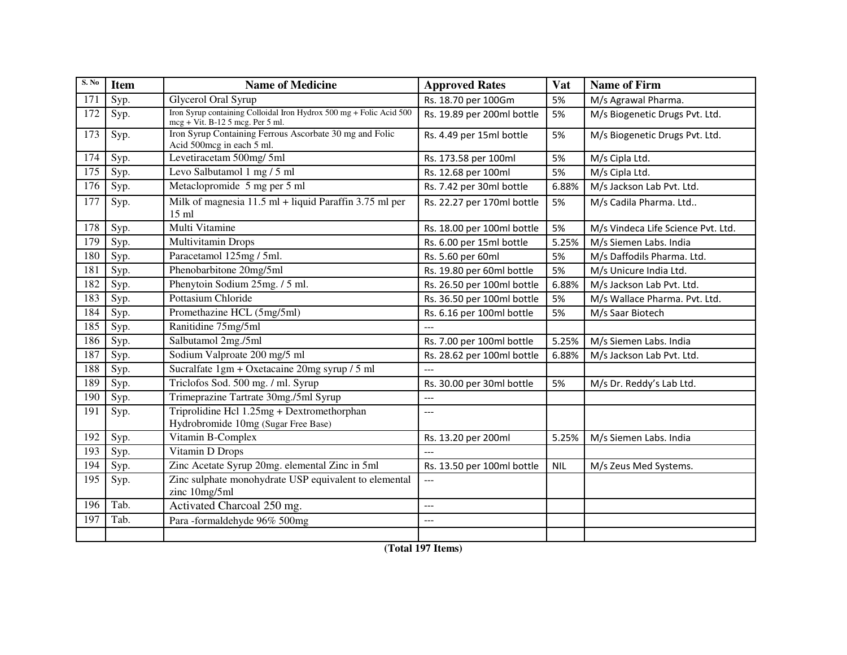| S. No | <b>Item</b> | <b>Name of Medicine</b>                                                                                 | <b>Approved Rates</b>      | Vat        | <b>Name of Firm</b>                |
|-------|-------------|---------------------------------------------------------------------------------------------------------|----------------------------|------------|------------------------------------|
| 171   | Syp.        | <b>Glycerol Oral Syrup</b>                                                                              | Rs. 18.70 per 100Gm        | 5%         | M/s Agrawal Pharma.                |
| 172   | Syp.        | Iron Syrup containing Colloidal Iron Hydrox 500 mg + Folic Acid 500<br>mcg + Vit. B-12 5 mcg. Per 5 ml. | Rs. 19.89 per 200ml bottle | 5%         | M/s Biogenetic Drugs Pvt. Ltd.     |
| 173   | Syp.        | Iron Syrup Containing Ferrous Ascorbate 30 mg and Folic<br>Acid 500mcg in each 5 ml.                    | Rs. 4.49 per 15ml bottle   | 5%         | M/s Biogenetic Drugs Pvt. Ltd.     |
| 174   | Syp.        | Levetiracetam 500mg/ 5ml                                                                                | Rs. 173.58 per 100ml       | 5%         | M/s Cipla Ltd.                     |
| 175   | Syp.        | Levo Salbutamol 1 mg / 5 ml                                                                             | Rs. 12.68 per 100ml        | 5%         | M/s Cipla Ltd.                     |
| 176   | Syp.        | Metaclopromide 5 mg per 5 ml                                                                            | Rs. 7.42 per 30ml bottle   | 6.88%      | M/s Jackson Lab Pvt. Ltd.          |
| 177   | Syp.        | Milk of magnesia $11.5$ ml + liquid Paraffin 3.75 ml per<br>$15 \text{ ml}$                             | Rs. 22.27 per 170ml bottle | 5%         | M/s Cadila Pharma. Ltd             |
| 178   | Syp.        | Multi Vitamine                                                                                          | Rs. 18.00 per 100ml bottle | 5%         | M/s Vindeca Life Science Pvt. Ltd. |
| 179   | Syp.        | Multivitamin Drops                                                                                      | Rs. 6.00 per 15ml bottle   | 5.25%      | M/s Siemen Labs. India             |
| 180   | Syp.        | Paracetamol 125mg / 5ml.                                                                                | Rs. 5.60 per 60ml          | 5%         | M/s Daffodils Pharma. Ltd.         |
| 181   | Syp.        | Phenobarbitone 20mg/5ml                                                                                 | Rs. 19.80 per 60ml bottle  | 5%         | M/s Unicure India Ltd.             |
| 182   | Syp.        | Phenytoin Sodium 25mg. / 5 ml.                                                                          | Rs. 26.50 per 100ml bottle | 6.88%      | M/s Jackson Lab Pvt. Ltd.          |
| 183   | Syp.        | Pottasium Chloride                                                                                      | Rs. 36.50 per 100ml bottle | 5%         | M/s Wallace Pharma. Pvt. Ltd.      |
| 184   | Syp.        | Promethazine HCL (5mg/5ml)                                                                              | Rs. 6.16 per 100ml bottle  | 5%         | M/s Saar Biotech                   |
| 185   | Syp.        | Ranitidine 75mg/5ml                                                                                     | $---$                      |            |                                    |
| 186   | Syp.        | Salbutamol 2mg./5ml                                                                                     | Rs. 7.00 per 100ml bottle  | 5.25%      | M/s Siemen Labs. India             |
| 187   | Syp.        | Sodium Valproate 200 mg/5 ml                                                                            | Rs. 28.62 per 100ml bottle | 6.88%      | M/s Jackson Lab Pvt. Ltd.          |
| 188   | Syp.        | Sucralfate 1gm + Oxetacaine 20mg syrup / 5 ml                                                           |                            |            |                                    |
| 189   | Syp.        | Triclofos Sod. 500 mg. / ml. Syrup                                                                      | Rs. 30.00 per 30ml bottle  | 5%         | M/s Dr. Reddy's Lab Ltd.           |
| 190   | Syp.        | Trimeprazine Tartrate 30mg./5ml Syrup                                                                   | $---$                      |            |                                    |
| 191   | Syp.        | Triprolidine Hcl 1.25mg + Dextromethorphan<br>Hydrobromide 10mg (Sugar Free Base)                       | $---$                      |            |                                    |
| 192   | Syp.        | Vitamin B-Complex                                                                                       | Rs. 13.20 per 200ml        | 5.25%      | M/s Siemen Labs. India             |
| 193   | Syp.        | Vitamin D Drops                                                                                         | $---$                      |            |                                    |
| 194   | Syp.        | Zinc Acetate Syrup 20mg. elemental Zinc in 5ml                                                          | Rs. 13.50 per 100ml bottle | <b>NIL</b> | M/s Zeus Med Systems.              |
| 195   | Syp.        | Zinc sulphate monohydrate USP equivalent to elemental<br>zinc 10mg/5ml                                  |                            |            |                                    |
| 196   | Tab.        | Activated Charcoal 250 mg.                                                                              | $---$                      |            |                                    |
| 197   | Tab.        | Para-formaldehyde 96% 500mg                                                                             | ---                        |            |                                    |
|       |             |                                                                                                         |                            |            |                                    |

**(Total 197 Items)**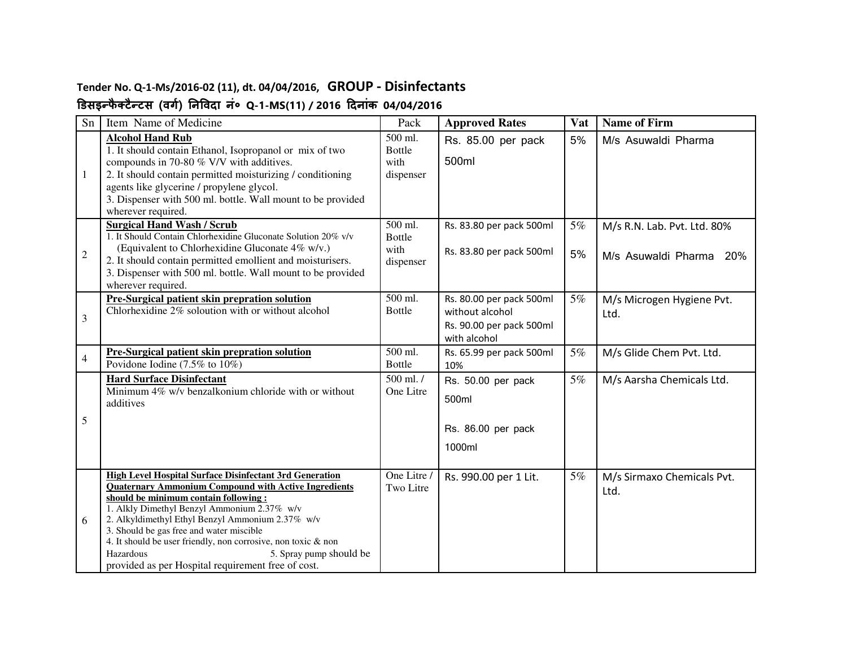### **Tender No. Q-1-Ms/2016-02 (11), dt. 04/04/2016, GROUP - Disinfectants**

### **डसइ#फै टै#टस (वग) नवदा नं० Q-1-MS(11) / 2016 दनांक 04/04/2016**

| Sn           | Item Name of Medicine                                                                                                                                                                                                                                                                                                                                                                                                                                                               |                                                            | <b>Approved Rates</b>                                                                   | Vat      | <b>Name of Firm</b>                                    |
|--------------|-------------------------------------------------------------------------------------------------------------------------------------------------------------------------------------------------------------------------------------------------------------------------------------------------------------------------------------------------------------------------------------------------------------------------------------------------------------------------------------|------------------------------------------------------------|-----------------------------------------------------------------------------------------|----------|--------------------------------------------------------|
| 1            | <b>Alcohol Hand Rub</b><br>1. It should contain Ethanol, Isopropanol or mix of two<br>compounds in 70-80 % V/V with additives.<br>2. It should contain permitted moisturizing / conditioning<br>agents like glycerine / propylene glycol.<br>3. Dispenser with 500 ml. bottle. Wall mount to be provided<br>wherever required.                                                                                                                                                      | $\overline{500}$ ml.<br><b>Bottle</b><br>with<br>dispenser | Rs. 85.00 per pack<br>500ml                                                             | 5%       | M/s Asuwaldi Pharma                                    |
| $\mathbf{2}$ | <b>Surgical Hand Wash / Scrub</b><br>1. It Should Contain Chlorhexidine Gluconate Solution 20% v/v<br>(Equivalent to Chlorhexidine Gluconate 4% w/v.)<br>2. It should contain permitted emollient and moisturisers.<br>3. Dispenser with 500 ml. bottle. Wall mount to be provided<br>wherever required.                                                                                                                                                                            | 500 ml.<br><b>Bottle</b><br>with<br>dispenser              | Rs. 83.80 per pack 500ml<br>Rs. 83.80 per pack 500ml                                    | 5%<br>5% | M/s R.N. Lab. Pvt. Ltd. 80%<br>M/s Asuwaldi Pharma 20% |
| 3            | Pre-Surgical patient skin prepration solution<br>Chlorhexidine $2\%$ soloution with or without alcohol                                                                                                                                                                                                                                                                                                                                                                              | 500 ml.<br><b>Bottle</b>                                   | Rs. 80.00 per pack 500ml<br>without alcohol<br>Rs. 90.00 per pack 500ml<br>with alcohol | 5%       | M/s Microgen Hygiene Pvt.<br>Ltd.                      |
| 4            | Pre-Surgical patient skin prepration solution<br>Povidone Iodine $(7.5\%$ to $10\%)$                                                                                                                                                                                                                                                                                                                                                                                                | 500 ml.<br><b>Bottle</b>                                   | Rs. 65.99 per pack 500ml<br>10%                                                         | 5%       | M/s Glide Chem Pvt. Ltd.                               |
| 5            | <b>Hard Surface Disinfectant</b><br>Minimum $4\%$ w/v benzalkonium chloride with or without<br>additives                                                                                                                                                                                                                                                                                                                                                                            | 500 ml. /<br>One Litre                                     | Rs. 50.00 per pack<br>500ml<br>Rs. 86.00 per pack<br>1000ml                             | 5%       | M/s Aarsha Chemicals Ltd.                              |
| 6            | <b>High Level Hospital Surface Disinfectant 3rd Generation</b><br><b>Quaternary Ammonium Compound with Active Ingredients</b><br>should be minimum contain following:<br>1. Alkly Dimethyl Benzyl Ammonium 2.37% w/v<br>2. Alkyldimethyl Ethyl Benzyl Ammonium 2.37% w/v<br>3. Should be gas free and water miscible<br>4. It should be user friendly, non corrosive, non toxic & non<br>Hazardous<br>5. Spray pump should be<br>provided as per Hospital requirement free of cost. | One Litre /<br>Two Litre                                   | Rs. 990.00 per 1 Lit.                                                                   | 5%       | M/s Sirmaxo Chemicals Pvt.<br>Ltd.                     |